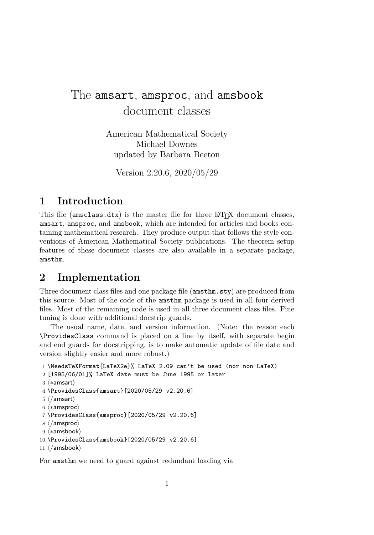# The amsart, amsproc, and amsbook document classes

American Mathematical Society Michael Downes updated by Barbara Beeton

Version 2.20.6, 2020/05/29

# **1 Introduction**

This file (amsclass.dtx) is the master file for three LAT<sub>EX</sub> document classes, amsart, amsproc, and amsbook, which are intended for articles and books containing mathematical research. They produce output that follows the style conventions of American Mathematical Society publications. The theorem setup features of these document classes are also available in a separate package, amsthm.

# **2 Implementation**

Three document class files and one package file (amsthm.sty) are produced from this source. Most of the code of the amsthm package is used in all four derived files. Most of the remaining code is used in all three document class files. Fine tuning is done with additional docstrip guards.

The usual name, date, and version information. (Note: the reason each \ProvidesClass command is placed on a line by itself, with separate begin and end guards for docstripping, is to make automatic update of file date and version slightly easier and more robust.)

```
1 \NeedsTeXFormat{LaTeX2e}% LaTeX 2.09 can't be used (nor non-LaTeX)
2 [1995/06/01]% LaTeX date must be June 1995 or later
 _3 \langle * \textsf{amsart} \rangle4 \ProvidesClass{amsart}[2020/05/29 v2.20.6]
 _{5}\left\langle\middle/ \text{amsart}\right\rangle6 \langle * \text{amsproc} \rangle7 \ProvidesClass{amsproc}[2020/05/29 v2.20.6]
 8 \langle / \text{amsproc} \rangle9 \n\left\langle \ast \text{amsbook} \right\rangle10 \ProvidesClass{amsbook}[2020/05/29 v2.20.6]
```

```
11 \langle / \text{amshook} \rangle
```
For amsthm we need to guard against redundant loading via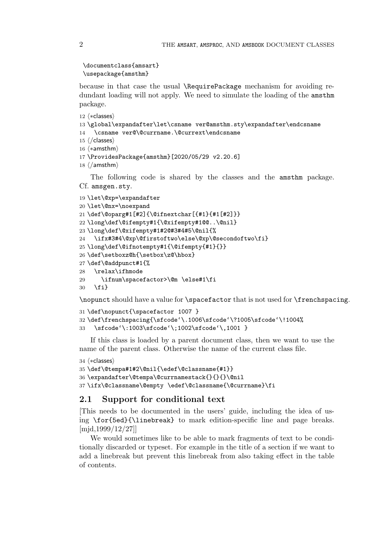```
\documentclass{amsart}
\usepackage{amsthm}
```
because in that case the usual \RequirePackage mechanism for avoiding redundant loading will not apply. We need to simulate the loading of the amsthm package.

```
12 \langle *classes \rangle13 \global\expandafter\let\csname ver@amsthm.sty\expandafter\endcsname
14 \csname ver@\@currname.\@currext\endcsname
15 \langle / \text{classes} \rangle16 \n\left\langle \ast \text{amsthm} \right\rangle17 \ProvidesPackage{amsthm}[2020/05/29 v2.20.6]
18 \ \langle / \text{amsthm} \rangleThe following code is shared by the classes and the amsthm package.
Cf. amsgen.sty.
```

```
19 \let\@xp=\expandafter
20 \let\@nx=\noexpand
21 \def\@oparg#1[#2]{\@ifnextchar[{#1}{#1[#2]}}
22 \long\def\@ifempty#1{\@xifempty#1@@..\@nil}
23 \long\def\@xifempty#1#2@#3#4#5\@nil{%
    \ifx#3#4\@xp\@firstoftwo\else\@xp\@secondoftwo\fi}
25 \long\def\@ifnotempty#1{\@ifempty{#1}{}}
26 \def\setboxz@h{\setbox\z@\hbox}
27 \def\@addpunct#1{%
28 \relax\ifhmode
29 \ifnum\spacefactor>\@m \else#1\fi
30 \fi}
```
\nopunct should have a value for \spacefactor that is not used for \frenchspacing.

```
31 \def\nopunct{\spacefactor 1007 }
32 \def\frenchspacing{\sfcode'\.1006\sfcode'\?1005\sfcode'\!1004%
33 \sfcode'\:1003\sfcode'\;1002\sfcode'\,1001 }
```
If this class is loaded by a parent document class, then we want to use the name of the parent class. Otherwise the name of the current class file.

```
34 \langle *classes \rangle
```

```
35 \def\@tempa#1#2\@nil{\edef\@classname{#1}}
36 \expandafter\@tempa\@currnamestack{}{}{}\@nil
37 \ifx\@classname\@empty \edef\@classname{\@currname}\fi
```
# **2.1 Support for conditional text**

[This needs to be documented in the users' guide, including the idea of using \for{5ed}{\linebreak} to mark edition-specific line and page breaks. [mjd,1999/12/27]]

We would sometimes like to be able to mark fragments of text to be conditionally discarded or typeset. For example in the title of a section if we want to add a linebreak but prevent this linebreak from also taking effect in the table of contents.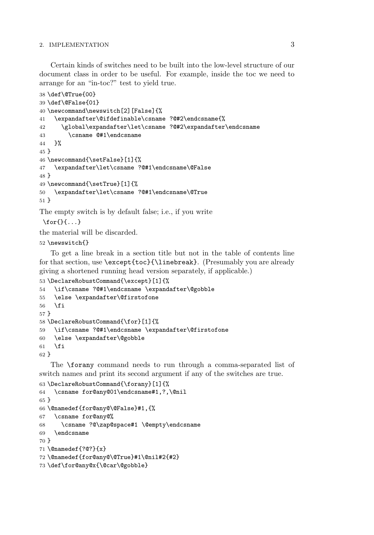Certain kinds of switches need to be built into the low-level structure of our document class in order to be useful. For example, inside the toc we need to arrange for an "in-toc?" test to yield true.

```
38 \def\@True{00}
39 \def\@False{01}
40 \newcommand\newswitch[2][False]{%
41 \expandafter\@ifdefinable\csname ?@#2\endcsname{%
42 \global\expandafter\let\csname ?@#2\expandafter\endcsname
43 \csname @#1\endcsname
44 }%
45 }
46 \newcommand{\setFalse}[1]{%
47 \expandafter\let\csname ?@#1\endcsname\@False
48 }
49 \newcommand{\setTrue}[1]{%
50 \expandafter\let\csname ?@#1\endcsname\@True
51 }
The empty switch is by default false; i.e., if you write
```
 $\{f \in \{1, \ldots\}$ 

```
the material will be discarded.
```
# \newswitch{}

To get a line break in a section title but not in the table of contents line for that section, use \except{toc}{\linebreak}. (Presumably you are already giving a shortened running head version separately, if applicable.)

```
53 \DeclareRobustCommand{\except}[1]{%
54 \if\csname ?@#1\endcsname \expandafter\@gobble
55 \else \expandafter\@firstofone
56 \fi
57 }
58 \DeclareRobustCommand{\for}[1]{%
59 \if\csname ?@#1\endcsname \expandafter\@firstofone
60 \else \expandafter\@gobble
61 \fi
62 }
```
The \forany command needs to run through a comma-separated list of switch names and print its second argument if any of the switches are true.

```
63 \DeclareRobustCommand{\forany}[1]{%
64 \csname for@any@01\endcsname#1,?,\@nil
65 }
66 \@namedef{for@any@\@False}#1,{%
67 \csname for@any@%
68 \csname ?@\zap@space#1 \@empty\endcsname
69 \endcsname
70 }
71 \@namedef{?@?}{x}
72 \@namedef{for@any@\@True}#1\@nil#2{#2}
73 \def\for@any@x{\@car\@gobble}
```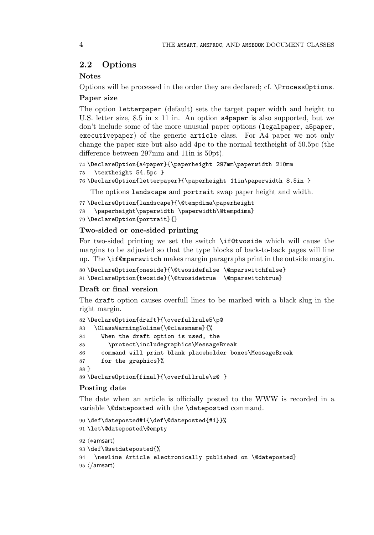# **2.2 Options**

### **Notes**

Options will be processed in the order they are declared; cf. \ProcessOptions.

### **Paper size**

The option letterpaper (default) sets the target paper width and height to U.S. letter size, 8.5 in x 11 in. An option a4paper is also supported, but we don't include some of the more unusual paper options (legalpaper, a5paper, executivepaper) of the generic article class. For A4 paper we not only change the paper size but also add 4pc to the normal textheight of 50.5pc (the difference between 297mm and 11in is 50pt).

```
74 \DeclareOption{a4paper}{\paperheight 297mm\paperwidth 210mm
75 \textheight 54.5pc }
```

```
76 \DeclareOption{letterpaper}{\paperheight 11in\paperwidth 8.5in }
```
The options landscape and portrait swap paper height and width.

```
77 \DeclareOption{landscape}{\@tempdima\paperheight
78 \paperheight\paperwidth \paperwidth\@tempdima}
79 \DeclareOption{portrait}{}
```
# **Two-sided or one-sided printing**

For two-sided printing we set the switch \if@twoside which will cause the margins to be adjusted so that the type blocks of back-to-back pages will line up. The \if@mparswitch makes margin paragraphs print in the outside margin.

```
80 \DeclareOption{oneside}{\@twosidefalse \@mparswitchfalse}
81 \DeclareOption{twoside}{\@twosidetrue \@mparswitchtrue}
```
# **Draft or final version**

The draft option causes overfull lines to be marked with a black slug in the right margin.

```
82 \DeclareOption{draft}{\overfullrule5\p@
83 \ClassWarningNoLine{\@classname}{%
84 When the draft option is used, the
85 \protect\includegraphics\MessageBreak
86 command will print blank placeholder boxes\MessageBreak
87 for the graphics}%
88 }
89 \DeclareOption{final}{\overfullrule\z@ }
```
### **Posting date**

The date when an article is officially posted to the WWW is recorded in a variable **\@dateposted** with the **\dateposted** command.

```
90 \def\dateposted#1{\def\@dateposted{#1}}%
91 \let\@dateposted\@empty
92\; \langle * \textsf{amsart} \rangle93 \def\@setdateposted{%
94 \newline Article electronically published on \@dateposted}
95 \; \langle / \mathsf{amsart} \rangle
```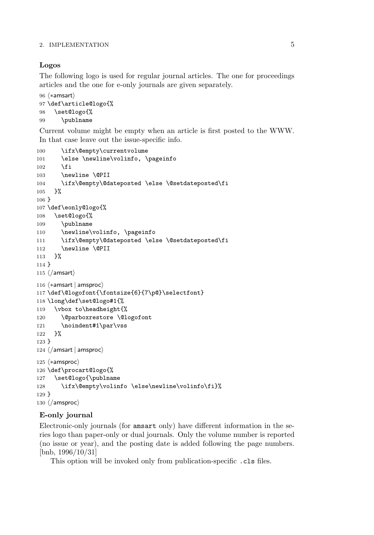### **Logos**

The following logo is used for regular journal articles. The one for proceedings articles and the one for e-only journals are given separately.

```
96 \; \langle * \textsf{amsart} \rangle97 \def\article@logo{%
98 \set@logo{%
99 \publname
```
Current volume might be empty when an article is first posted to the WWW. In that case leave out the issue-specific info.

```
100 \ifx\@empty\currentvolume
101 \else \newline\volinfo, \pageinfo
102 \qquad \text{if}103 \newline \@PII
104 \ifx\@empty\@dateposted \else \@setdateposted\fi
105 }%
106 }
107 \def\eonly@logo{%
108 \set@logo{%
109 \publname
110 \newline\volinfo, \pageinfo
111 \ifx\@empty\@dateposted \else \@setdateposted\fi
112 \newline \@PII
113 }%
114 }
115 \langle / \text{amsart} \rangle116 \langle *amsart | amsproc \rangle117 \def\@logofont{\fontsize{6}{7\p@}\selectfont}
118 \long\def\set@logo#1{%
119 \vbox to\headheight{%
120 \@parboxrestore \@logofont
121 \noindent#1\par\vss
122 }%
123 }
124 \langle/amsart | amsproc\rangle125 \n\left\langle \ast \text{amsproc} \right\rangle126 \def\procart@logo{%
127 \set@logo{\publname
128 \ifx\@empty\volinfo \else\newline\volinfo\fi}%
129 }
130 \ \langle / \text{amsproc} \rangle
```
# **E-only journal**

Electronic-only journals (for amsart only) have different information in the series logo than paper-only or dual journals. Only the volume number is reported (no issue or year), and the posting date is added following the page numbers. [bnb, 1996/10/31]

This option will be invoked only from publication-specific .cls files.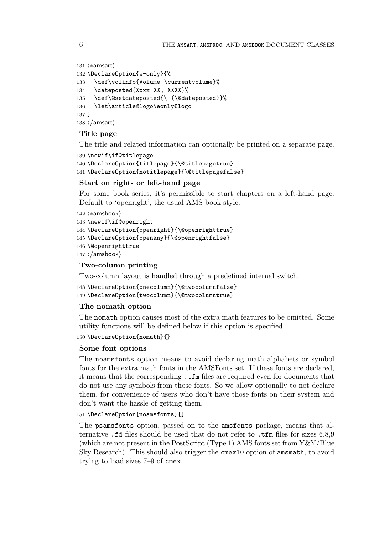```
131 \langle *amsart \rangle132 \DeclareOption{e-only}{%
133 \def\volinfo{Volume \currentvolume}%
134 \dateposted{Xxxx XX, XXXX}%
135 \def\@setdateposted{\ (\@dateposted)}%
136 \let\article@logo\eonly@logo
137 }
138 \; \langle / \mathsf{amsart} \rangle
```
# **Title page**

The title and related information can optionally be printed on a separate page.

```
139 \newif\if@titlepage
140 \DeclareOption{titlepage}{\@titlepagetrue}
141 \DeclareOption{notitlepage}{\@titlepagefalse}
```
### **Start on right- or left-hand page**

For some book series, it's permissible to start chapters on a left-hand page. Default to 'openright', the usual AMS book style.

```
142 \n\left\langle \ast \text{amshook} \right\rangle143 \newif\if@openright
144 \DeclareOption{openright}{\@openrighttrue}
145 \DeclareOption{openany}{\@openrightfalse}
146 \@openrighttrue
147 \langle / \text{amshook} \rangle
```
### **Two-column printing**

Two-column layout is handled through a predefined internal switch.

```
148 \DeclareOption{onecolumn}{\@twocolumnfalse}
149 \DeclareOption{twocolumn}{\@twocolumntrue}
```
### **The nomath option**

The nomath option causes most of the extra math features to be omitted. Some utility functions will be defined below if this option is specified.

```
150 \DeclareOption{nomath}{}
```
### **Some font options**

The noamsfonts option means to avoid declaring math alphabets or symbol fonts for the extra math fonts in the AMSFonts set. If these fonts are declared, it means that the corresponding .tfm files are required even for documents that do not use any symbols from those fonts. So we allow optionally to not declare them, for convenience of users who don't have those fonts on their system and don't want the hassle of getting them.

### 151 \DeclareOption{noamsfonts}{}

The psamsfonts option, passed on to the amsfonts package, means that alternative .fd files should be used that do not refer to .tfm files for sizes 6,8,9 (which are not present in the PostScript (Type 1) AMS fonts set from Y&Y/Blue Sky Research). This should also trigger the cmex10 option of amsmath, to avoid trying to load sizes 7–9 of cmex.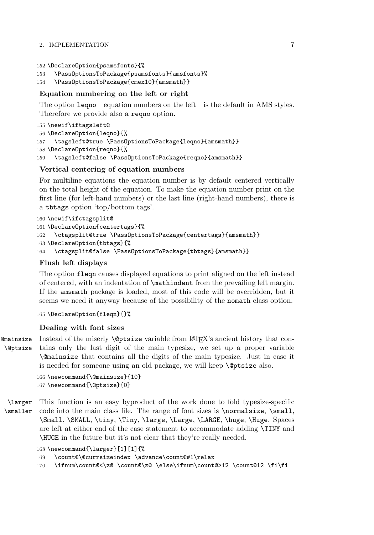```
152 \DeclareOption{psamsfonts}{%
```

```
153 \PassOptionsToPackage{psamsfonts}{amsfonts}%
```

```
154 \PassOptionsToPackage{cmex10}{amsmath}}
```
# **Equation numbering on the left or right**

The option leqno—equation numbers on the left—is the default in AMS styles. Therefore we provide also a reqno option.

```
155 \newif\iftagsleft@
156 \DeclareOption{leqno}{%
157 \tagsleft@true \PassOptionsToPackage{leqno}{amsmath}}
158 \DeclareOption{reqno}{%
159 \tagsleft@false \PassOptionsToPackage{reqno}{amsmath}}
```
# **Vertical centering of equation numbers**

For multiline equations the equation number is by default centered vertically on the total height of the equation. To make the equation number print on the first line (for left-hand numbers) or the last line (right-hand numbers), there is a tbtags option 'top/bottom tags'.

```
160 \newif\ifctagsplit@
161 \DeclareOption{centertags}{%
     \ctagsplit@true \PassOptionsToPackage{centertags}{amsmath}}
163 \DeclareOption{tbtags}{%
164 \ctagsplit@false \PassOptionsToPackage{tbtags}{amsmath}}
```
# **Flush left displays**

The option fleqn causes displayed equations to print aligned on the left instead of centered, with an indentation of \mathindent from the prevailing left margin. If the amsmath package is loaded, most of this code will be overridden, but it seems we need it anyway because of the possibility of the nomath class option.

165 \DeclareOption{fleqn}{}%

# **Dealing with font sizes**

\@mainsize \@ptsize Instead of the miserly **\@ptsize** variable from LAT<sub>EX</sub>'s ancient history that contains only the last digit of the main typesize, we set up a proper variable \@mainsize that contains all the digits of the main typesize. Just in case it is needed for someone using an old package, we will keep \@ptsize also.

```
166 \newcommand{\@mainsize}{10}
167 \newcommand{\@ptsize}{0}
```
\larger \smaller This function is an easy byproduct of the work done to fold typesize-specific code into the main class file. The range of font sizes is \normalsize, \small, \Small, \SMALL, \tiny, \Tiny, \large, \Large, \LARGE, \huge, \Huge. Spaces are left at either end of the case statement to accommodate adding \TINY and \HUGE in the future but it's not clear that they're really needed.

```
168 \newcommand{\larger}[1][1]{%
```

```
169 \count@\@currsizeindex \advance\count@#1\relax
```

```
170 \ifnum\count@<\z@ \count@\z@ \else\ifnum\count@>12 \count@12 \fi\fi
```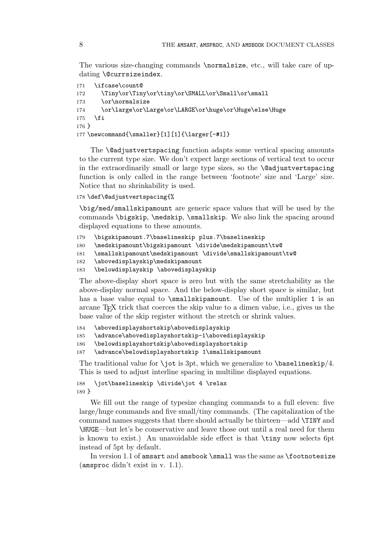The various size-changing commands \normalsize, etc., will take care of updating \@currsizeindex.

```
171 \ifcase\count@
172 \Tiny\or\Tiny\or\tiny\or\SMALL\or\Small\or\small
173 \or\normalsize
174 \or\large\or\Large\or\LARGE\or\huge\or\Huge\else\Huge
175 \foralli
176 }
177\newcommand{\smaller}[1][1]{\larger[-#1]}
```
The \@adjustvertspacing function adapts some vertical spacing amounts to the current type size. We don't expect large sections of vertical text to occur in the extraordinarily small or large type sizes, so the **\@adjustvertspacing** function is only called in the range between 'footnote' size and 'Large' size. Notice that no shrinkability is used.

178 \def\@adjustvertspacing{%

\big/med/smallskipamount are generic space values that will be used by the commands \bigskip, \medskip, \smallskip. We also link the spacing around displayed equations to these amounts.

```
179 \bigskipamount.7\baselineskip plus.7\baselineskip
```

```
180 \medskipamount\bigskipamount \divide\medskipamount\tw@
```

```
181 \smallskipamount\medskipamount \divide\smallskipamount\tw@
```

```
182 \abovedisplayskip\medskipamount
```

```
183 \belowdisplayskip \abovedisplayskip
```
The above-display short space is zero but with the same stretchability as the above-display normal space. And the below-display short space is similar, but has a base value equal to \smallskipamount. Use of the multiplier 1 is an arcane T<sub>E</sub>X trick that coerces the skip value to a dimen value, i.e., gives us the base value of the skip register without the stretch or shrink values.

```
184 \abovedisplayshortskip\abovedisplayskip
```

```
185 \advance\abovedisplayshortskip-1\abovedisplayskip
```

```
186 \belowdisplayshortskip\abovedisplayshortskip
```

```
187 \advance\belowdisplayshortskip 1\smallskipamount
```
The traditional value for \jot is 3pt, which we generalize to  $\bar{\text{baselineskip}}/4$ . This is used to adjust interline spacing in multiline displayed equations.

```
188 \jot\baselineskip \divide\jot 4 \relax
189 }
```
We fill out the range of typesize changing commands to a full eleven: five large/huge commands and five small/tiny commands. (The capitalization of the command names suggests that there should actually be thirteen—add \TINY and \HUGE—but let's be conservative and leave those out until a real need for them is known to exist.) An unavoidable side effect is that \tiny now selects 6pt instead of 5pt by default.

In version 1.1 of amsart and amsbook \small was the same as \footnotesize (amsproc didn't exist in v. 1.1).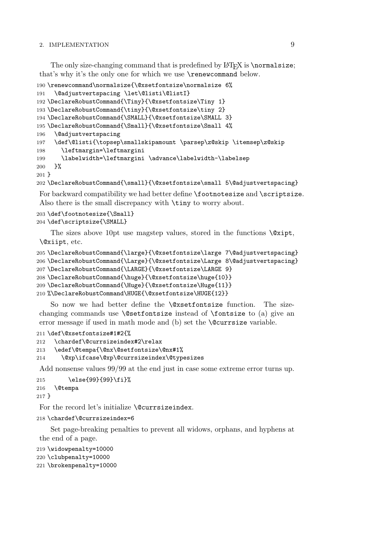The only size-changing command that is predefined by L<sup>AT</sup>FX is \normalsize; that's why it's the only one for which we use \renewcommand below.

```
190 \renewcommand\normalsize{\@xsetfontsize\normalsize 6%
191 \@adjustvertspacing \let\@listi\@listI}
192 \DeclareRobustCommand{\Tiny}{\@xsetfontsize\Tiny 1}
193 \DeclareRobustCommand{\tiny}{\@xsetfontsize\tiny 2}
194 \DeclareRobustCommand{\SMALL}{\@xsetfontsize\SMALL 3}
195 \DeclareRobustCommand{\Small}{\@xsetfontsize\Small 4%
196 \@adjustvertspacing
197 \def\@listi{\topsep\smallskipamount \parsep\z@skip \itemsep\z@skip
198 \leftmargin=\leftmargini
199 \labelwidth=\leftmargini \advance\labelwidth-\labelsep
200 }%
201 }
```
\DeclareRobustCommand{\small}{\@xsetfontsize\small 5\@adjustvertspacing}

For backward compatibility we had better define \footnotesize and \scriptsize. Also there is the small discrepancy with  $\tan y$  to worry about.

```
203 \def\footnotesize{\Small}
204 \def\scriptsize{\SMALL}
```
The sizes above 10pt use magstep values, stored in the functions  $\sqrt{\alpha x}$ \@xiipt, etc.

```
205 \DeclareRobustCommand{\large}{\@xsetfontsize\large 7\@adjustvertspacing}
206 \DeclareRobustCommand{\Large}{\@xsetfontsize\Large 8\@adjustvertspacing}
207 \DeclareRobustCommand{\LARGE}{\@xsetfontsize\LARGE 9}
208 \DeclareRobustCommand{\huge}{\@xsetfontsize\huge{10}}
209 \DeclareRobustCommand{\Huge}{\@xsetfontsize\Huge{11}}
210 %\DeclareRobustCommand\HUGE{\@xsetfontsize\HUGE{12}}
```
So now we had better define the \@xsetfontsize function. The sizechanging commands use **\@setfontsize** instead of **\fontsize** to (a) give an error message if used in math mode and (b) set the *s* currsize variable.

```
211 \def\@xsetfontsize#1#2{%
212 \chardef\@currsizeindex#2\relax
213 \edef\@tempa{\@nx\@setfontsize\@nx#1%
214 \@xp\ifcase\@xp\@currsizeindex\@typesizes
```
Add nonsense values 99/99 at the end just in case some extreme error turns up.

```
215 \else{99}{99}\fi}%
216 \@tempa
217 }
```
For the record let's initialize \@currsizeindex.

```
218 \chardef\@currsizeindex=6
```
Set page-breaking penalties to prevent all widows, orphans, and hyphens at the end of a page.

```
219 \widowpenalty=10000
220 \clubpenalty=10000
221 \brokenpenalty=10000
```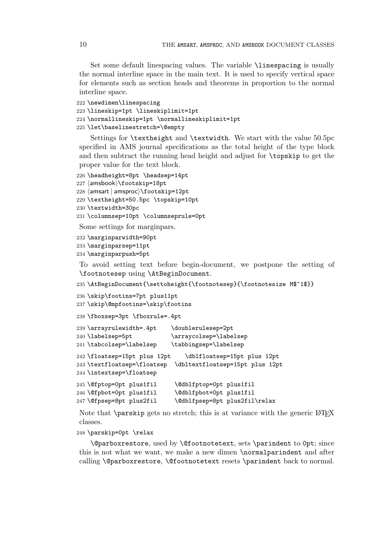Set some default linespacing values. The variable \linespacing is usually the normal interline space in the main text. It is used to specify vertical space for elements such as section heads and theorems in proportion to the normal interline space.

```
222 \newdimen\linespacing
223 \lineskip=1pt \lineskiplimit=1pt
224 \normallineskip=1pt \normallineskiplimit=1pt
225 \let\baselinestretch=\@empty
```
Settings for \textheight and \textwidth. We start with the value 50.5pc specified in AMS journal specifications as the total height of the type block and then subtract the running head height and adjust for \topskip to get the proper value for the text block.

```
226 \headheight=8pt \headsep=14pt
227 \; \langle \mathsf{amshook} \rangle \footski\mathsf{p}\mathsf{=}\mathsf{18pt}228 \langleamsart | amsproc\rangle\footskip=12pt
229 \textheight=50.5pc \topskip=10pt
230 \textwidth=30pc
231 \columnsep=10pt \columnseprule=0pt
```
Some settings for marginpars.

```
232 \marginparwidth=90pt
233 \marginparsep=11pt
234 \marginparpush=5pt
```
To avoid setting text before begin-document, we postpone the setting of \footnotesep using \AtBeginDocument.

235 \AtBeginDocument{\settoheight{\footnotesep}{\footnotesize M\$^1\$}}

```
236 \skip\footins=7pt plus11pt
237 \skip\@mpfootins=\skip\footins
```
238 \fboxsep=3pt \fboxrule=.4pt

```
239 \arrayrulewidth=.4pt \doublerulesep=2pt
240 \labelsep=5pt \arraycolsep=\labelsep
241 \tabcolsep=\labelsep \tabbingsep=\labelsep
242 \floatsep=15pt plus 12pt \dblfloatsep=15pt plus 12pt
243 \textfloatsep=\floatsep \dbltextfloatsep=15pt plus 12pt
244 \intextsep=\floatsep
245 \@fptop=0pt plus1fil \@dblfptop=0pt plus1fil
246 \@fpbot=0pt plus1fil \@dblfpbot=0pt plus1fil
247 \@fpsep=8pt plus2fil \@dblfpsep=8pt plus2fil\relax
```
Note that  $\text{parskip}$  gets no stretch; this is at variance with the generic LATEX classes.

#### 248 \parskip=0pt \relax

\@parboxrestore, used by \@footnotetext, sets \parindent to 0pt; since this is not what we want, we make a new dimen \normalparindent and after calling \@parboxrestore, \@footnotetext resets \parindent back to normal.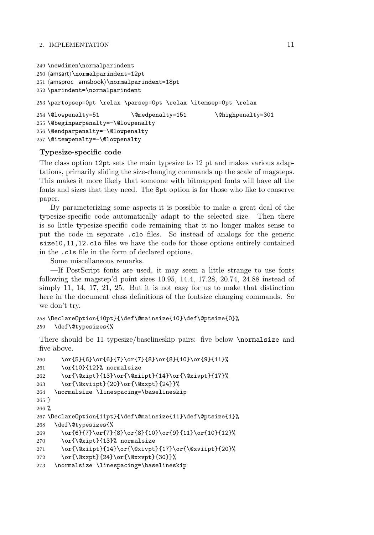```
249 \newdimen\normalparindent
250 -
amsart\normalparindent=12pt
251 \langle amsproc | amsbook\rangle\normalparindent=18pt
252 \parindent=\normalparindent
253 \partopsep=0pt \relax \parsep=0pt \relax \itemsep=0pt \relax
254 \@lowpenalty=51 \@medpenalty=151 \@highpenalty=301
255 \@beginparpenalty=-\@lowpenalty
256 \@endparpenalty=-\@lowpenalty
257 \@itempenalty=-\@lowpenalty
```
# **Typesize-specific code**

The class option 12pt sets the main typesize to 12 pt and makes various adaptations, primarily sliding the size-changing commands up the scale of magsteps. This makes it more likely that someone with bitmapped fonts will have all the fonts and sizes that they need. The 8pt option is for those who like to conserve paper.

By parameterizing some aspects it is possible to make a great deal of the typesize-specific code automatically adapt to the selected size. Then there is so little typesize-specific code remaining that it no longer makes sense to put the code in separate .clo files. So instead of analogs for the generic size10,11,12.clo files we have the code for those options entirely contained in the .cls file in the form of declared options.

Some miscellaneous remarks.

—If PostScript fonts are used, it may seem a little strange to use fonts following the magstep'd point sizes 10.95, 14.4, 17.28, 20.74, 24.88 instead of simply 11, 14, 17, 21, 25. But it is not easy for us to make that distinction here in the document class definitions of the fontsize changing commands. So we don't try.

```
258 \DeclareOption{10pt}{\def\@mainsize{10}\def\@ptsize{0}%
259 \def\@typesizes{%
```
There should be 11 typesize/baselineskip pairs: five below \normalsize and five above.

```
260 \or{5}{6}\or{6}{7}\or{7}{8}\or{8}{10}\or{9}{11}%
261 \or{10}{12}% normalsize
262 \or{\@xipt}{13}\or{\@xiipt}{14}\or{\@xivpt}{17}%
263 \or{\@xviipt}{20}\or{\@xxpt}{24}}%
264 \normalsize \linespacing=\baselineskip
265 }
266 %
267 \DeclareOption{11pt}{\def\@mainsize{11}\def\@ptsize{1}%
268 \def\@typesizes{%
269 \or{6}{7}\or{7}{8}\or{8}{10}\or{9}{11}\or{10}{12}%
270 \or{\@xipt}{13}% normalsize
271 \or{\@xiipt}{14}\or{\@xivpt}{17}\or{\@xviipt}{20}%
272 \or{\@xxpt}{24}\or{\@xxvpt}{30}}%
273 \normalsize \linespacing=\baselineskip
```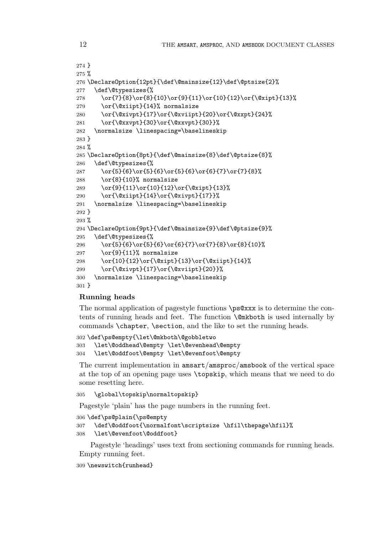```
274 }
275 %
276 \DeclareOption{12pt}{\def\@mainsize{12}\def\@ptsize{2}%
277 \def\@typesizes{%
278 \or{7}{8}\or{8}{10}\or{9}{11}\or{10}{12}\or{\@xipt}{13}%
279 \or{\@xiipt}{14}% normalsize
280 \or{\@xivpt}{17}\or{\@xviipt}{20}\or{\@xxpt}{24}%
281 \or{\@xxvpt}{30}\or{\@xxvpt}{30}}%
282 \normalsize \linespacing=\baselineskip
283 }
284 %
285 \DeclareOption{8pt}{\def\@mainsize{8}\def\@ptsize{8}%
286 \def\@typesizes{%
287 \or{5}{6}\or{5}{6}\or{5}{6}\or{6}{7}\or{7}{8}%
288 \or{8}{10}% normalsize
289 \or{9}{11}\or{10}{12}\or{\@xipt}{13}%
290 \or{\@xiipt}{14}\or{\@xivpt}{17}}%
291 \normalsize \linespacing=\baselineskip
292 }
293 %
294 \DeclareOption{9pt}{\def\@mainsize{9}\def\@ptsize{9}%
295 \def\@typesizes{%
296 \or{5}{6}\or{5}{6}\or{6}{7}\or{7}{8}\or{8}{10}%
297 \or{9}{11}% normalsize
298 \or{10}{12}\or{\@xipt}{13}\or{\@xiipt}{14}%
299 \or{\@xivpt}{17}\or{\@xviipt}{20}}%
300 \normalsize \linespacing=\baselineskip
301 }
```
# **Running heads**

The normal application of pagestyle functions \ps@xxx is to determine the contents of running heads and feet. The function \@mkboth is used internally by commands **\chapter**, **\section**, and the like to set the running heads.

```
302 \def\ps@empty{\let\@mkboth\@gobbletwo
303 \let\@oddhead\@empty \let\@evenhead\@empty
304 \let\@oddfoot\@empty \let\@evenfoot\@empty
```
The current implementation in amsart/amsproc/amsbook of the vertical space at the top of an opening page uses \topskip, which means that we need to do some resetting here.

\global\topskip\normaltopskip}

Pagestyle 'plain' has the page numbers in the running feet.

\def\ps@plain{\ps@empty

```
307 \def\@oddfoot{\normalfont\scriptsize \hfil\thepage\hfil}%
```
\let\@evenfoot\@oddfoot}

Pagestyle 'headings' uses text from sectioning commands for running heads. Empty running feet.

\newswitch{runhead}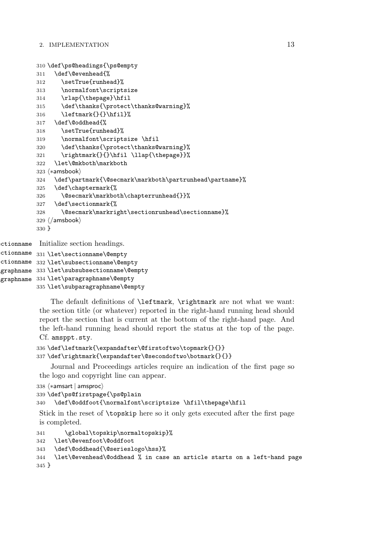```
310 \def\ps@headings{\ps@empty
           311 \def\@evenhead{%
           312 \setTrue{runhead}%
           313 \normalfont\scriptsize
           314 \rlap{\thepage}\hfil
           315 \def\thanks{\protect\thanks@warning}%
           316 \leftmark{}{}\hfil}%
           317 \def\@oddhead{%
           318 \setTrue{runhead}%
           319 \normalfont\scriptsize \hfil
           320 \def\thanks{\protect\thanks@warning}%
           321 \rightmark{}{}\hfil \llap{\thepage}}%
           322 \let\@mkboth\markboth
           323 \langle *amsbook \rangle324 \def\partmark{\@secmark\markboth\partrunhead\partname}%
           325 \def\chaptermark{%
           326 \@secmark\markboth\chapterrunhead{}}%
           327 \def\sectionmark{%
           328 \@secmark\markright\sectionrunhead\sectionname}%
           329 \langle / \text{amshook} \rangle330 }
ectionname
ctionname 331 \let\sectionname\@empty
           Initialize section headings.
```

```
ctionname 332 \let\subsectionname\@empty
graphname 333 \let\subsubsectionname\@empty
agraphname
334 \let\paragraphname\@empty
           335 \let\subparagraphname\@empty
```
The default definitions of \leftmark, \rightmark are not what we want: the section title (or whatever) reported in the right-hand running head should report the section that is current at the bottom of the right-hand page. And the left-hand running head should report the status at the top of the page. Cf. amsppt.sty.

```
336 \def\leftmark{\expandafter\@firstoftwo\topmark{}{}}
337 \def\rightmark{\expandafter\@secondoftwo\botmark{}{}}
```
Journal and Proceedings articles require an indication of the first page so the logo and copyright line can appear.

```
338 \; \langle * \textsf{amsart} \, | \: \textsf{amsproc} \rangle
```

```
339 \def\ps@firstpage{\ps@plain
```

```
340 \def\@oddfoot{\normalfont\scriptsize \hfil\thepage\hfil
```
Stick in the reset of \topskip here so it only gets executed after the first page is completed.

```
341 \global\topskip\normaltopskip}%
342 \let\@evenfoot\@oddfoot
343 \def\@oddhead{\@serieslogo\hss}%
344 \let\@evenhead\@oddhead % in case an article starts on a left-hand page
345 }
```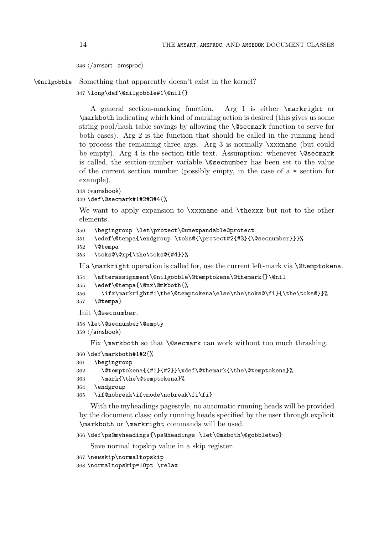```
346 \; \langle / \textsf{amsart} \, | \, \textsf{amsproc} \rangle
```
\@nilgobble Something that apparently doesn't exist in the kernel?

347 \long\def\@nilgobble#1\@nil{}

A general section-marking function. Arg 1 is either \markright or \markboth indicating which kind of marking action is desired (this gives us some string pool/hash table savings by allowing the \@secmark function to serve for both cases). Arg 2 is the function that should be called in the running head to process the remaining three args. Arg 3 is normally \xxxname (but could be empty). Arg 4 is the section-title text. Assumption: whenever **\@secmark** is called, the section-number variable \@secnumber has been set to the value of the current section number (possibly empty, in the case of a  $*$  section for example).

 $348 \langle *amsbook \rangle$ 

```
349 \def\@secmark#1#2#3#4{%
```
We want to apply expansion to  $\xxx$ name and  $\theta$  but not to the other elements.

```
350 \begingroup \let\protect\@unexpandable@protect
```

```
351 \edef\@tempa{\endgroup \toks@{\protect#2{#3}{\@secnumber}}}%
```

```
352 \@tempa
```

```
353 \toks@\@xp{\the\toks@{#4}}%
```
If a \markright operation is called for, use the current left-mark via \@temptokena.

```
354 \afterassignment\@nilgobble\@temptokena\@themark{}\@nil
```

```
355 \edef\@tempa{\@nx\@mkboth{%
```

```
356 \ifx\markright#1\the\@temptokena\else\the\toks@\fi}{\the\toks@}}%
```

```
357 \@tempa}
```

```
Init \@secnumber.
```

```
358 \let\@secnumber\@empty
359 \langle / \text{amshook} \rangle
```
Fix **\markboth** so that **\@secmark** can work without too much thrashing.

```
360 \def\markboth#1#2{%
```

```
361 \begingroup
```

```
362 \@temptokena{{#1}{#2}}\xdef\@themark{\the\@temptokena}%
```

```
363 \mark{\the\@temptokena}%
```

```
364 \endgroup
```
365 \if@nobreak\ifvmode\nobreak\fi\fi}

With the myheadings pagestyle, no automatic running heads will be provided by the document class; only running heads specified by the user through explicit \markboth or \markright commands will be used.

```
366 \def\ps@myheadings{\ps@headings \let\@mkboth\@gobbletwo}
```
Save normal topskip value in a skip register.

```
367 \newskip\normaltopskip
```

```
368 \normaltopskip=10pt \relax
```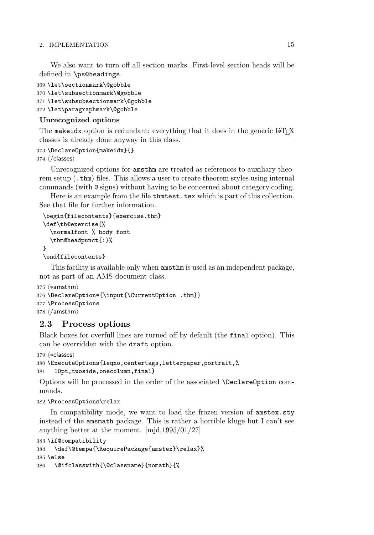We also want to turn off all section marks. First-level section heads will be defined in \ps@headings.

```
369 \let\sectionmark\@gobble
370 \let\subsectionmark\@gobble
371 \let\subsubsectionmark\@gobble
372 \let\paragraphmark\@gobble
```
# **Unrecognized options**

The makeidx option is redundant; everything that it does in the generic LATEX classes is already done anyway in this class.

# 373 \DeclareOption{makeidx}{}

 $374 \angle$ /classes $\rangle$ 

Unrecognized options for amsthm are treated as references to auxiliary theorem setup (.thm) files. This allows a user to create theorem styles using internal commands (with @ signs) without having to be concerned about category coding.

Here is an example from the file thmtest.tex which is part of this collection. See that file for further information.

```
\begin{filecontents}{exercise.thm}
\def\th@exercise{%
  \normalfont % body font
  \thm@headpunct{:}%
}
\end{filecontents}
```
This facility is available only when amsthm is used as an independent package, not as part of an AMS document class.

```
375 \; \big\langle *amsthm \big\rangle376 \DeclareOption*{\input{\CurrentOption .thm}}
377 \ProcessOptions
378 \; \langle / \mathsf{amsthm} \rangle
```
# **2.3 Process options**

Black boxes for overfull lines are turned off by default (the final option). This can be overridden with the draft option.

```
379 \langle *classes \rangle
```

```
380 \ExecuteOptions{leqno,centertags,letterpaper,portrait,%
381 10pt,twoside,onecolumn,final}
```
Options will be processed in the order of the associated \DeclareOption commands.

# 382 \ProcessOptions\relax

In compatibility mode, we want to load the frozen version of amstex.sty instead of the amsmath package. This is rather a horrible kluge but I can't see anything better at the moment. [mjd,1995/01/27]

```
383 \if@compatibility
384 \def\@tempa{\RequirePackage{amstex}\relax}%
385 \else
386 \@ifclasswith{\@classname}{nomath}{%
```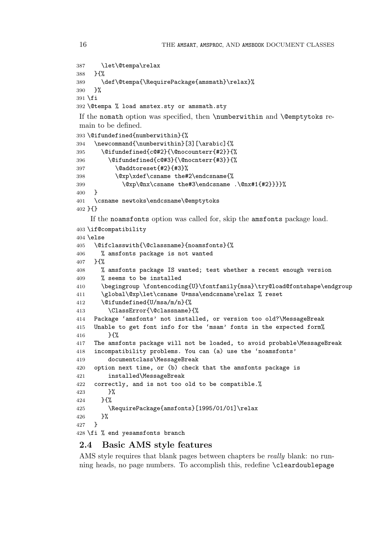```
387 \let\@tempa\relax
388 }{%
389 \def\@tempa{\RequirePackage{amsmath}\relax}%
390 }%
391 \fi
392 \@tempa % load amstex.sty or amsmath.sty
If the nomath option was specified, then \numberwithin and \@emptytoks re-
main to be defined.
393 \@ifundefined{numberwithin}{%
394 \newcommand{\numberwithin}[3][\arabic]{%
395 \@ifundefined{c@#2}{\@nocounterr{#2}}{%
396 \@ifundefined{c@#3}{\@nocnterr{#3}}{%
397 \@addtoreset{#2}{#3}%
398 \@xp\xdef\csname the#2\endcsname{%
399 \@xp\@nx\csname the#3\endcsname .\@nx#1{#2}}}}%
400 }
401 \csname newtoks\endcsname\@emptytoks
402 }{}
    If the noamsfonts option was called for, skip the amsfonts package load.
403 \if@compatibility
404 \else
405 \@ifclasswith{\@classname}{noamsfonts}{%
406 % amsfonts package is not wanted
407 }{%
408 % amsfonts package IS wanted; test whether a recent enough version
409 % seems to be installed
410 \begingroup \fontencoding{U}\fontfamily{msa}\try@load@fontshape\endgroup
411 \global\@xp\let\csname U+msa\endcsname\relax % reset
412 \@ifundefined{U/msa/m/n}{%
413 \ClassError{\@classname}{%
414 Package 'amsfonts' not installed, or version too old?\MessageBreak
415 Unable to get font info for the 'msam' fonts in the expected form%
416 }{%
417 The amsfonts package will not be loaded, to avoid probable\MessageBreak
418 incompatibility problems. You can (a) use the 'noamsfonts'
419 documentclass\MessageBreak
420 option next time, or (b) check that the amsfonts package is
421 installed\MessageBreak
422 correctly, and is not too old to be compatible.%
423 }%
424 }\{%
425 \RequirePackage{amsfonts}[1995/01/01]\relax
426 }%
427 }
428 \fi % end yesamsfonts branch
```
# **2.4 Basic AMS style features**

AMS style requires that blank pages between chapters be *really* blank: no running heads, no page numbers. To accomplish this, redefine \cleardoublepage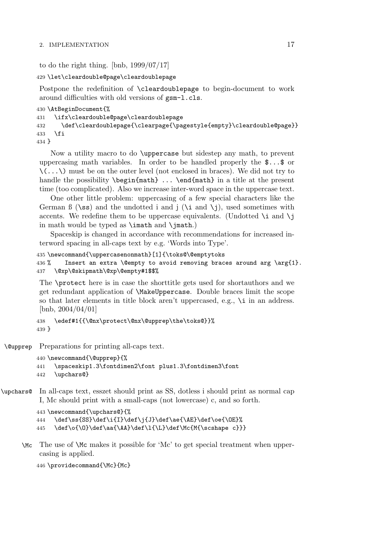to do the right thing. [bnb, 1999/07/17]

```
429 \let\cleardouble@page\cleardoublepage
```
Postpone the redefinition of \cleardoublepage to begin-document to work around difficulties with old versions of gsm-l.cls.

```
430 \AtBeginDocument{%
431 \ifx\cleardouble@page\cleardoublepage
432 \def\cleardoublepage{\clearpage{\pagestyle{empty}\cleardouble@page}}
433 \fi
434 }
```
Now a utility macro to do \uppercase but sidestep any math, to prevent uppercasing math variables. In order to be handled properly the \$...\$ or  $\langle$ ... $\rangle$  must be on the outer level (not enclosed in braces). We did not try to handle the possibility  $\begin{math} \ldots \end{math}$  in a title at the present time (too complicated). Also we increase inter-word space in the uppercase text.

One other little problem: uppercasing of a few special characters like the German  $\beta$  (\ss) and the undotted i and j (\i and \j), used sometimes with accents. We redefine them to be uppercase equivalents. (Undotted  $\iota$  and  $\iota$ ) in math would be typed as \imath and \jmath.)

Spaceskip is changed in accordance with recommendations for increased interword spacing in all-caps text by e.g. 'Words into Type'.

```
435 \newcommand{\uppercasenonmath}[1]{\toks@\@emptytoks
436 % Insert an extra \@empty to avoid removing braces around arg \arg{1}.
437 \@xp\@skipmath\@xp\@empty#1$$%
```
The \protect here is in case the shorttitle gets used for shortauthors and we get redundant application of \MakeUppercase. Double braces limit the scope so that later elements in title block aren't uppercased, e.g., \i in an address. [bnb, 2004/04/01]

```
438 \edef#1{{\@nx\protect\@nx\@upprep\the\toks@}}%
439 }
```
\@upprep Preparations for printing all-caps text.

```
440 \newcommand{\@upprep}{%
441 \spaceskip1.3\fontdimen2\font plus1.3\fontdimen3\font
442 \upchars@}
```
\upchars@ In all-caps text, esszet should print as SS, dotless i should print as normal cap I, Mc should print with a small-caps (not lowercase) c, and so forth.

```
443 \newcommand{\upchars@}{%
444 \def\ss{SS}\def\i{I}\def\j{J}\def\ae{\AE}\def\oe{\OE}%
445 \def\o{\O}\def\aa{\AA}\def\l{\L}\def\Mc{M{\scshape c}}}
```
\Mc The use of \Mc makes it possible for 'Mc' to get special treatment when uppercasing is applied.

```
446 \providecommand{\Mc}{Mc}
```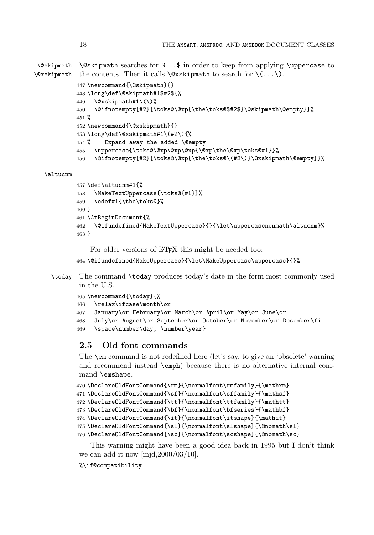\@skipmath  $\&$ skipmath the contents. Then it calls  $\&$ xskipmath to search for  $\(\ldots\).$ \@skipmath searches for \$...\$ in order to keep from applying \uppercase to

```
447 \newcommand{\@skipmath}{}
448 \long\def\@skipmath#1$#2${%
449 \&xskipmath#1\(\)%
450 \@ifnotempty{#2}{\toks@\@xp{\the\toks@$#2$}\@skipmath\@empty}}%
451 \%452 \newcommand{\@xskipmath}{}
453 \long\def\@xskipmath#1\(#2\){%
454 % Expand away the added \@empty
455 \uppercase{\toks@\@xp\@xp\@xp{\@xp\the\@xp\toks@#1}}%
456 \@ifnotempty{#2}{\toks@\@xp{\the\toks@\(#2\)}\@xskipmath\@empty}}%
```
### \altucnm

```
457 \def\altucnm#1{%
458 \MakeTextUppercase{\toks@{#1}}%
459 \edef#1{\the\toks@}%
460 }
461 \AtBeginDocument{%
462 \@ifundefined{MakeTextUppercase}{}{\let\uppercasenonmath\altucnm}%
463 }
```
For older versions of LAT<sub>EX</sub> this might be needed too:

```
464 \@ifundefined{MakeUppercase}{\let\MakeUppercase\uppercase}{}%
```
\today The command \today produces today's date in the form most commonly used in the U.S.

```
465 \newcommand{\today}{%
466 \relax\ifcase\month\or
467 January\or February\or March\or April\or May\or June\or
468 July\or August\or September\or October\or November\or December\fi
469 \space\number\day, \number\year}
```
# **2.5 Old font commands**

The \em command is not redefined here (let's say, to give an 'obsolete' warning and recommend instead \emph) because there is no alternative internal command \emshape.

```
470 \DeclareOldFontCommand{\rm}{\normalfont\rmfamily}{\mathrm}
471 \DeclareOldFontCommand{\sf}{\normalfont\sffamily}{\mathsf}
472 \DeclareOldFontCommand{\tt}{\normalfont\ttfamily}{\mathtt}
473 \Declare0ldFontCommand{\bf}{\normalfont\bfseries}{\mathbf}
474 \DeclareOldFontCommand{\it}{\normalfont\itshape}{\mathit}
475 \DeclareOldFontCommand{\sl}{\normalfont\slshape}{\@nomath\sl}
476 \DeclareOldFontCommand{\sc}{\normalfont\scshape}{\@nomath\sc}
```
This warning might have been a good idea back in 1995 but I don't think we can add it now [mjd,2000/03/10].

### %\if@compatibility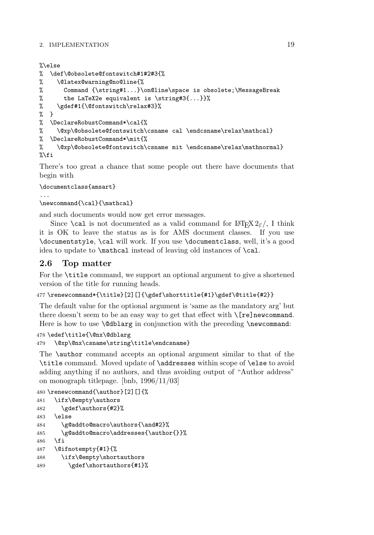```
%\else
% \def\@obsolete@fontswitch#1#2#3{%
% \@latex@warning@no@line{%
% Command {\string#1...}\on@line\space is obsolete;\MessageBreak
% the LaTeX2e equivalent is \string#3{...}}%
% \gdef#1{\@fontswitch\relax#3}%
% }
% \DeclareRobustCommand*\cal{%
% \@xp\@obsolete@fontswitch\csname cal \endcsname\relax\mathcal}
% \DeclareRobustCommand*\mit{%
% \@xp\@obsolete@fontswitch\csname mit \endcsname\relax\mathnormal}
\sqrt[6]{1}
```
There's too great a chance that some people out there have documents that begin with

### \documentclass{amsart}

```
...
\newcommand{\cal}{\mathcal}
```
and such documents would now get error messages.

Since **\cal** is not documented as a valid command for  $\text{LATEX } 2\varepsilon$ , I think it is OK to leave the status as is for AMS document classes. If you use \documentstyle, \cal will work. If you use \documentclass, well, it's a good idea to update to \mathcal instead of leaving old instances of \cal.

# **2.6 Top matter**

For the \title command, we support an optional argument to give a shortened version of the title for running heads.

```
477 \renewcommand*{\title}[2][]{\gdef\shorttitle{#1}\gdef\@title{#2}}
```
The default value for the optional argument is 'same as the mandatory arg' but there doesn't seem to be an easy way to get that effect with  $\Gamma$ re]newcommand. Here is how to use **\@dblarg** in conjunction with the preceding **\newcommand:** 

```
478 \edef\title{\@nx\@dblarg
479 \@xp\@nx\csname\string\title\endcsname}
```
The \author command accepts an optional argument similar to that of the \title command. Moved update of \addresses within scope of \else to avoid adding anything if no authors, and thus avoiding output of "Author address" on monograph titlepage. [bnb, 1996/11/03]

```
480 \renewcommand{\author}[2][]{%
481 \ifx\@empty\authors
482 \qquad \qquad \text{authors{#2}}483 \else
484 \g@addto@macro\authors{\and#2}%
485 \g@addto@macro\addresses{\author{}}%
486 \fi
487 \@ifnotempty{#1}{%
488 \ifx\@empty\shortauthors
489 \gdef\shortauthors{#1}%
```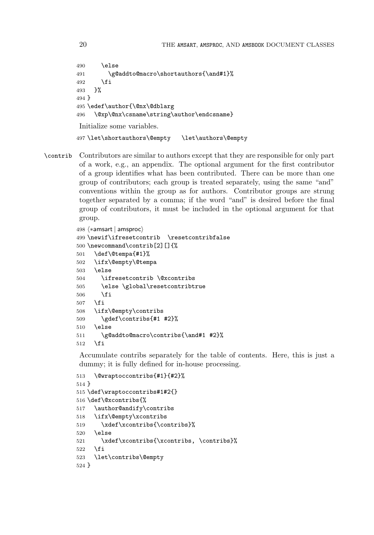```
490 \else
491 \g@addto@macro\shortauthors{\and#1}%
492 \fi
493 }%
494 }
495 \edef\author{\@nx\@dblarg
496 \@xp\@nx\csname\string\author\endcsname}
Initialize some variables.
497 \let\shortauthors\@empty \let\authors\@empty
```
\contrib Contributors are similar to authors except that they are responsible for only part of a work, e.g., an appendix. The optional argument for the first contributor of a group identifies what has been contributed. There can be more than one group of contributors; each group is treated separately, using the same "and" conventions within the group as for authors. Contributor groups are strung together separated by a comma; if the word "and" is desired before the final group of contributors, it must be included in the optional argument for that group.

```
498 \; \langle * \textsf{amsart} \; | \; \textsf{amsproc} \rangle499 \newif\ifresetcontrib \resetcontribfalse
500 \newcommand\contrib[2][]{%
501 \def\@tempa{#1}%
502 \ifx\@empty\@tempa
503 \else
504 \ifresetcontrib \@xcontribs
505 \else \global\resetcontribtrue
506 \fi
507 \fi
508 \ifx\@empty\contribs
509 \gdef\contribs{#1 #2}%
510 \else
511 \g@addto@macro\contribs{\and#1 #2}%
512 \fi
```
Accumulate contribs separately for the table of contents. Here, this is just a dummy; it is fully defined for in-house processing.

```
513 \@wraptoccontribs{#1}{#2}%
514 }
515 \def\wraptoccontribs#1#2{}
516 \def\@xcontribs{%
517 \author@andify\contribs
518 \ifx\@empty\xcontribs
519 \xdef\xcontribs{\contribs}%
520 \else
521 \xdef\xcontribs{\xcontribs, \contribs}%
522 \fi
523 \let\contribs\@empty
524 }
```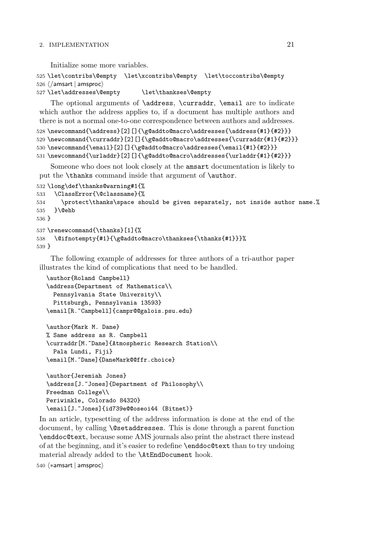Initialize some more variables.

```
525 \let\contribs\@empty \let\xcontribs\@empty \let\toccontribs\@empty
526 \; \langle / \textsf{amsart} \, | \, \textsf{amsproc} \rangle
```

```
527\let\addresses\@empty \let\thankses\@empty
```
The optional arguments of **\address**, **\curraddr**, **\email** are to indicate which author the address applies to, if a document has multiple authors and there is not a normal one-to-one correspondence between authors and addresses.

```
528 \newcommand{\address}[2][]{\g@addto@macro\addresses{\address{#1}{#2}}}
529 \newcommand{\curraddr}[2][]{\g@addto@macro\addresses{\curraddr{#1}{#2}}}
530 \newcommand{\email}[2][]{\g@addto@macro\addresses{\email{#1}{#2}}}
531 \newcommand{\urladdr}[2][]{\g@addto@macro\addresses{\urladdr{#1}{#2}}}
```
Someone who does not look closely at the amsart documentation is likely to put the **\thanks** command inside that argument of **\author.** 

```
532 \long\def\thanks@warning#1{%
533 \ClassError{\@classname}{%
534 \protect\thanks\space should be given separately, not inside author name.%
535 }\@ehb
536 }
537 \renewcommand{\thanks}[1]{%
538 \@ifnotempty{#1}{\g@addto@macro\thankses{\thanks{#1}}}%
539 }
```
The following example of addresses for three authors of a tri-author paper illustrates the kind of complications that need to be handled.

```
\author{Roland Campbell}
\address{Department of Mathematics\\
 Pennsylvania State University\\
 Pittsburgh, Pennsylvania 13593}
\email[R.~Campbell]{campr@@galois.psu.edu}
\author{Mark M. Dane}
% Same address as R. Campbell
\curraddr[M.~Dane]{Atmospheric Research Station\\
 Pala Lundi, Fiji}
\email[M.~Dane]{DaneMark@@ffr.choice}
\author{Jeremiah Jones}
\address[J.~Jones]{Department of Philosophy\\
Freedman College\\
```

```
Periwinkle, Colorado 84320}
\email[J.~Jones]{id739e@@oseoi44 (Bitnet)}
```
In an article, typesetting of the address information is done at the end of the document, by calling **\@setaddresses**. This is done through a parent function \enddoc@text, because some AMS journals also print the abstract there instead of at the beginning, and it's easier to redefine \enddoc@text than to try undoing material already added to the \AtEndDocument hook.

 $540 \; \langle * \textsf{amsart} \, | \, \textsf{amsproc} \rangle$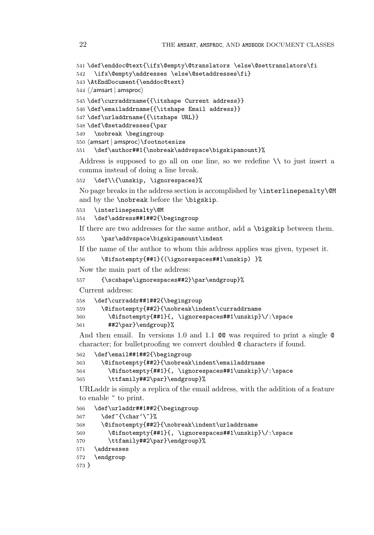```
541 \def\enddoc@text{\ifx\@empty\@translators \else\@settranslators\fi
542 \ifx\@empty\addresses \else\@setaddresses\fi}
543 \AtEndDocument{\enddoc@text}
544 \; \langle / \textsf{amsart} \, | \, \textsf{amsproc} \rangle545 \def\curraddrname{{\itshape Current address}}
546 \def\emailaddrname{{\itshape Email address}}
547 \def\urladdrname{{\itshape URL}}
548 \def\@setaddresses{\par
549 \nobreak \begingroup
550 \text{ (amsart } amsproc\text{)}
```
\def\author##1{\nobreak\addvspace\bigskipamount}%

Address is supposed to go all on one line, so we redefine  $\setminus\setminus$  to just insert a comma instead of doing a line break.

```
552 \def\\{\unskip, \ignorespaces}%
```
No page breaks in the address section is accomplished by \interlinepenalty\@M and by the \nobreak before the \bigskip.

```
553 \interlinepenalty\@M
```
\def\address##1##2{\begingroup

If there are two addresses for the same author, add a \bigskip between them.

```
555 \par\addvspace\bigskipamount\indent
```
If the name of the author to whom this address applies was given, typeset it.

```
556 \@ifnotempty{##1}{(\ignorespaces##1\unskip) }%
```
Now the main part of the address:

```
557 {\scshape\ignorespaces##2}\par\endgroup}%
```
Current address:

```
558 \def\curraddr##1##2{\begingroup
559 \@ifnotempty{##2}{\nobreak\indent\curraddrname
560 \@ifnotempty{##1}{, \ignorespaces##1\unskip}\/:\space
561 ##2\par}\endgroup}%
```
And then email. In versions 1.0 and 1.1 @@ was required to print a single @ character; for bulletproofing we convert doubled @ characters if found.

```
562 \def\email##1##2{\begingroup
563 \@ifnotempty{##2}{\nobreak\indent\emailaddrname
564 \@ifnotempty{##1}{, \ignorespaces##1\unskip}\/:\space
565 \ttfamily##2\par}\endgroup}%
```
URLaddr is simply a replica of the email address, with the addition of a feature to enable ~ to print.

```
566 \def\urladdr##1##2{\begingroup
567 \det^{\hat{\theta}'}568 \@ifnotempty{##2}{\nobreak\indent\urladdrname
569 \@ifnotempty{##1}{, \ignorespaces##1\unskip}\/:\space
570 \ttfamily##2\par}\endgroup}%
571 \addresses
572 \endgroup
573 }
```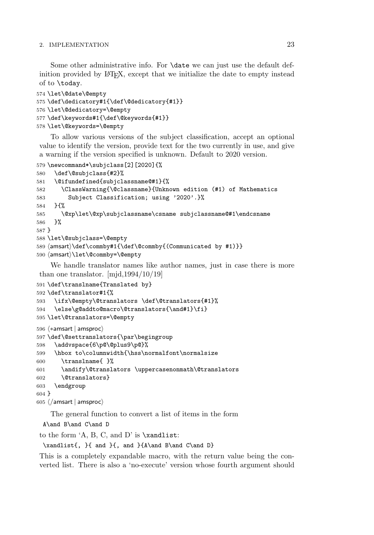Some other administrative info. For **\date** we can just use the default definition provided by LATEX, except that we initialize the date to empty instead of to \today.

```
574 \let\@date\@empty
575 \def\dedicatory#1{\def\@dedicatory{#1}}
576 \let\@dedicatory=\@empty
577 \def\keywords#1{\def\@keywords{#1}}
578 \let\@keywords=\@empty
```
To allow various versions of the subject classification, accept an optional value to identify the version, provide text for the two currently in use, and give a warning if the version specified is unknown. Default to 2020 version.

```
579 \newcommand*\subjclass[2][2020]{%
580 \def\@subjclass{#2}%
581 \@ifundefined{subjclassname@#1}{%
582 \ClassWarning{\@classname}{Unknown edition (#1) of Mathematics
583 Subject Classification; using '2020'.}%
584 }{%
585 \@xp\let\@xp\subjclassname\csname subjclassname@#1\endcsname
586 }%
587 }
588 \let\@subjclass=\@empty
589 \langleamsart\rangle\det\mathrm{Id}f\det\mathrm{Comm}by#1\{(Communicated by #1)}}
590 \langleamsart\rangle\let\Diamondcommby=\Diamondempty
```
We handle translator names like author names, just in case there is more than one translator. [mjd,1994/10/19]

```
591 \def\translname{Translated by}
592 \def\translator#1{%
593 \ifx\@empty\@translators \def\@translators{#1}%
594 \else\g@addto@macro\@translators{\and#1}\fi}
595 \let\@translators=\@empty
596 \; \langle * \textsf{amsart} \, | \, \textsf{amsproc} \rangle597 \def\@settranslators{\par\begingroup
```

```
598 \addvspace{6\p@\@plus9\p@}%
599 \hbox to\columnwidth{\hss\normalfont\normalsize
600 \translname{ }%
601 \andify\@translators \uppercasenonmath\@translators
602 \@translators}
603 \endgroup
604 }
605 \; \langle / \textsf{amsart} \, | \, \textsf{amsproc} \rangle
```
The general function to convert a list of items in the form

A\and B\and C\and D

to the form  $A$ , B, C, and D' is  $\xandlist$ :

 $\xandlist{, }{ and }{, and }A\and B\and C\and D}$ 

This is a completely expandable macro, with the return value being the converted list. There is also a 'no-execute' version whose fourth argument should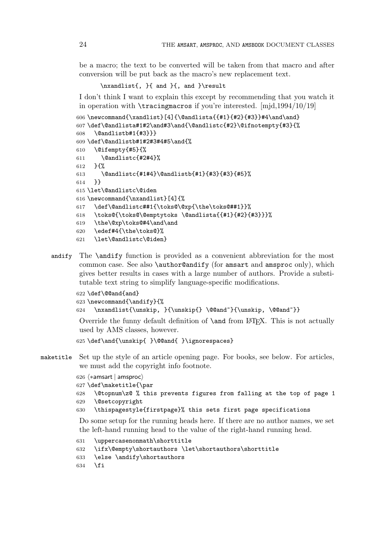be a macro; the text to be converted will be taken from that macro and after conversion will be put back as the macro's new replacement text.

\nxandlist{, }{ and }{, and }\result

I don't think I want to explain this except by recommending that you watch it in operation with \tracingmacros if you're interested. [mjd,1994/10/19]

```
606\newcommand{\xandlist}[4]{\@andlista{{#1}{#2}{#3}}#4\and\and}
607 \def\@andlista#1#2\and#3\and{\@andlistc{#2}\@ifnotempty{#3}{%
608 \@andlistb#1{#3}}}
609 \def\@andlistb#1#2#3#4#5\and{%
610 \@ifempty{#5}{%
611 \@andlistc{#2#4}%
612 }{%
613 \@andlistc{#1#4}\@andlistb{#1}{#3}{#3}{#5}%
614 }}
615 \let\@andlistc\@iden
616 \newcommand{\nxandlist}[4]{%
617 \def\@andlistc##1{\toks@\@xp{\the\toks@##1}}%
618 \toks@{\toks@\@emptytoks \@andlista{{#1}{#2}{#3}}}%
619 \the\@xp\toks@#4\and\and
620 \edef#4{\the\toks@}%
621 \let\@andlistc\@iden}
```
andify The \andify function is provided as a convenient abbreviation for the most common case. See also **\author@andify** (for amsart and amsproc only), which gives better results in cases with a large number of authors. Provide a substitutable text string to simplify language-specific modifications.

```
622 \def\@@and{and}
623 \newcommand{\andify}{%
624 \nxandlist{\unskip, }{\unskip{} \@@and~}{\unskip, \@@and~}}
```
Override the funny default definition of  $\lambda$  and from LAT<sub>EX</sub>. This is not actually used by AMS classes, however.

625\def\and{\unskip{ }\@@and{ }\ignorespaces}

maketitle Set up the style of an article opening page. For books, see below. For articles, we must add the copyright info footnote.

```
626 \; \langle * \textsf{amsart} \; | \; \textsf{amsproc} \rangle627 \def\maketitle{\par
628 \@topnum\z@ % this prevents figures from falling at the top of page 1
629 \@setcopyright
630 \thispagestyle{firstpage}% this sets first page specifications
```
Do some setup for the running heads here. If there are no author names, we set the left-hand running head to the value of the right-hand running head.

```
631 \uppercasenonmath\shorttitle
632 \ifx\@empty\shortauthors \let\shortauthors\shorttitle
633 \else \andify\shortauthors
634 \fi
```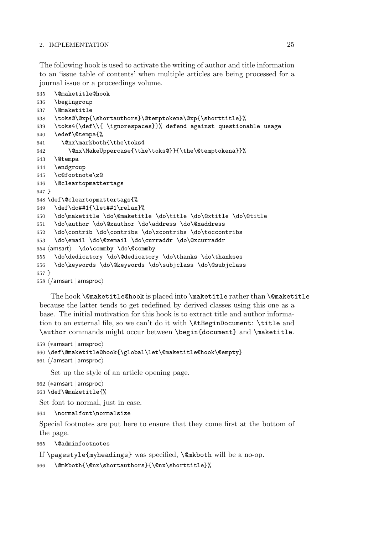The following hook is used to activate the writing of author and title information to an 'issue table of contents' when multiple articles are being processed for a journal issue or a proceedings volume.

```
635 \@maketitle@hook
636 \begingroup
637 \@maketitle
638 \toks@\@xp{\shortauthors}\@temptokena\@xp{\shorttitle}%
639 \toks4{\def\\{ \ignorespaces}}% defend against questionable usage
640 \edef\@tempa{%
641 \@nx\markboth{\the\toks4
642 \@nx\MakeUppercase{\the\toks@}}{\the\@temptokena}}%
643 \@tempa
644 \endgroup
645 \c@footnote\z@
646 \@cleartopmattertags
647 }
648 \def\@cleartopmattertags{%
649 \def\do##1{\let##1\relax}%
650 \do\maketitle \do\@maketitle \do\title \do\@xtitle \do\@title
651 \do\author \do\@xauthor \do\address \do\@xaddress
652 \do\contrib \do\contribs \do\xcontribs \do\toccontribs
653 \do\email \do\@xemail \do\curraddr \do\@xcurraddr
654 \langleamsart\rangle \do\commby \do\@commby
655 \do\dedicatory \do\@dedicatory \do\thanks \do\thankses
656 \do\keywords \do\@keywords \do\subjclass \do\@subjclass
657 }
658 \; \langle / \textsf{amsart} \, | \, \textsf{amsproc} \rangle
```
The hook \@maketitle@hook is placed into \maketitle rather than \@maketitle because the latter tends to get redefined by derived classes using this one as a base. The initial motivation for this hook is to extract title and author information to an external file, so we can't do it with \AtBeginDocument: \title and \author commands might occur between \begin{document} and \maketitle.

```
659 \; \langle * \textsf{amsart} \, | \, \textsf{amsproc} \rangle660 \def\@maketitle@hook{\global\let\@maketitle@hook\@empty}
661 \; \langle / \textsf{amsart} \, | \, \textsf{amsproc} \rangle
```
Set up the style of an article opening page.

```
662 \langle * \textsf{amsart} \mid \textsf{amsproc} \rangle663 \def\@maketitle{%
```
Set font to normal, just in case.

```
664 \normalfont\normalsize
```
Special footnotes are put here to ensure that they come first at the bottom of the page.

```
665 \@adminfootnotes
```
If \pagestyle{myheadings} was specified, \@mkboth will be a no-op.

```
666 \@mkboth{\@nx\shortauthors}{\@nx\shorttitle}%
```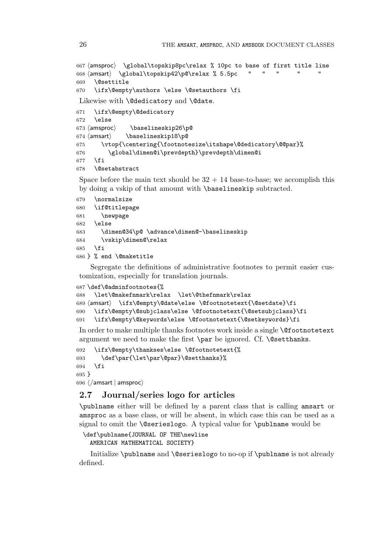```
667 \langle amsproc\rangle \global\topskip8pc\relax % 10pc to base of first title line
668 \langle \text{amsart} \setminus \text{dtopskip42\cdot} \text{d} \ranglerelax % 5.5pc " " " " " "
669 \@settitle
670 \ifx\@empty\authors \else \@setauthors \fi
Likewise with \@dedicatory and \@date.
```

```
671 \ifx\@empty\@dedicatory
672 \else
673 \langle amsproc\rangle\baselineskip26\p@
674 \text{ (amsart)}<br>675 \text{ Vvt}\baselineskip18\p@
        \vtop{\centering{\footnotesize\itshape\@dedicatory\@@par}%
676 \global\dimen@i\prevdepth}\prevdepth\dimen@i
677 \fi
678 \@setabstract
```
Space before the main text should be  $32 + 14$  base-to-base; we accomplish this by doing a vskip of that amount with \baselineskip subtracted.

```
679 \normalsize
680 \if@titlepage
681 \newpage
682 \else
683 \dimen@34\p@ \advance\dimen@-\baselineskip
684 \vskip\dimen@\relax
685 \fi
686 } % end \@maketitle
```
Segregate the definitions of administrative footnotes to permit easier customization, especially for translation journals.

```
687 \def\@adminfootnotes{%
```

```
688 \let\@makefnmark\relax \let\@thefnmark\relax
689 \langleamsart\rangle \ifx\@empty\@date\else \@footnotetext{\@setdate}\fi
690 \ifx\@empty\@subjclass\else \@footnotetext{\@setsubjclass}\fi
691 \ifx\@empty\@keywords\else \@footnotetext{\@setkeywords}\fi
```
In order to make multiple thanks footnotes work inside a single \@footnotetext argument we need to make the first \par be ignored. Cf. \@setthanks.

```
692 \ifx\@empty\thankses\else \@footnotetext{%
693 \def\par{\let\par\@par}\@setthanks}%
694 \fi
695 }
696 \langle/amsart | amsproc\rangle
```
# **2.7 Journal/series logo for articles**

\publname either will be defined by a parent class that is calling amsart or amsproc as a base class, or will be absent, in which case this can be used as a signal to omit the **\@serieslogo**. A typical value for **\publname** would be

```
\def\publname{JOURNAL OF THE\newline
  AMERICAN MATHEMATICAL SOCIETY}
```
Initialize \publname and \@serieslogo to no-op if \publname is not already defined.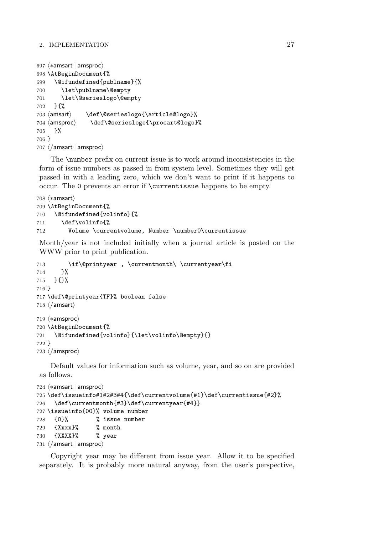```
697 \langle * \textsf{amsart} \mid \textsf{amsproc} \rangle698 \AtBeginDocument{%
699 \@ifundefined{publname}{%
700 \let\publname\@empty
701 \let\@serieslogo\@empty
702 }{%
703 \langle amsart\rangle\def\@serieslogo{\article@logo}%
704 \langle amsproc \ranglemsproc〉  \def\@serieslogo{\procart@logo}%<br>}%
705
706 }
707 \; \langle / \textsf{amsart} \, | \, \textsf{amsproc} \rangle
```
The \number prefix on current issue is to work around inconsistencies in the form of issue numbers as passed in from system level. Sometimes they will get passed in with a leading zero, which we don't want to print if it happens to occur. The 0 prevents an error if \currentissue happens to be empty.

```
708 \; \langle * \textsf{amsart} \rangle709 \AtBeginDocument{%
710 \@ifundefined{volinfo}{%
711 \def\volinfo{%
712 Volume \currentvolume, Number \number0\currentissue
```
Month/year is not included initially when a journal article is posted on the WWW prior to print publication.

```
713 \if\@printyear , \currentmonth\ \currentyear\fi
714 }%
715 }{}%
716 }
717 \def\@printyear{TF}% boolean false
718 \; \langle / \mathsf{amsart} \rangle719 \; \langle * \textsf{amsproc} \rangle720 \AtBeginDocument{%
721 \@ifundefined{volinfo}{\let\volinfo\@empty}{}
722 }
723 \; \langle / \text{amsproc} \rangle
```
Default values for information such as volume, year, and so on are provided as follows.

```
724 \; \langle * \textsf{amsart} \, | \, \textsf{amsproc} \rangle725 \def\issueinfo#1#2#3#4{\def\currentvolume{#1}\def\currentissue{#2}%
726 \def\currentmonth{#3}\def\currentyear{#4}}
727 \issueinfo{00}% volume number
728 {0}% % issue number
729 {Xxxx}% % month
730 {XXXX}% % year
731 \; \langle / \textsf{amsart} \, | \, \textsf{amsproc} \rangle
```
Copyright year may be different from issue year. Allow it to be specified separately. It is probably more natural anyway, from the user's perspective,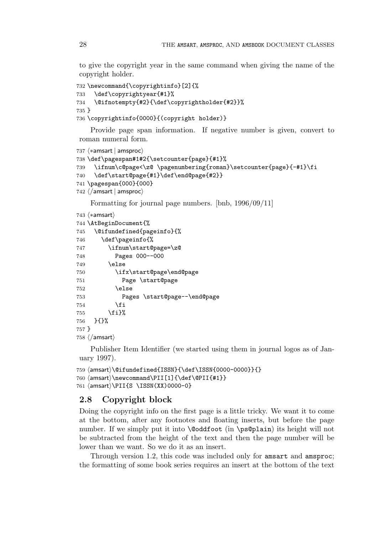to give the copyright year in the same command when giving the name of the copyright holder.

```
732 \newcommand{\copyrightinfo}[2]{%
733 \def\copyrightyear{#1}%
734 \@ifnotempty{#2}{\def\copyrightholder{#2}}%
735 }
736 \copyrightinfo{0000}{(copyright holder)}
```
Provide page span information. If negative number is given, convert to roman numeral form.

```
737 \; \langle * \textsf{amsart} \; | \; \textsf{amsproc} \rangle
```

```
738 \def\pagespan#1#2{\setcounter{page}{#1}%
739 \ifnum\c@page<\z@ \pagenumbering{roman}\setcounter{page}{-#1}\fi
740 \def\start@page{#1}\def\end@page{#2}}
741 \pagespan{000}{000}
742 \; \langle / \textsf{amsart} \, | \, \textsf{amsproc} \rangle
```
Formatting for journal page numbers. [bnb, 1996/09/11]

```
743\; \langle * \textsf{amsart} \rangle744 \AtBeginDocument{%
745 \@ifundefined{pageinfo}{%
746 \def\pageinfo{%
747 \ifnum\start@page=\z@
748 Pages 000--000
749 \else
750 \ifx\start@page\end@page
751 Page \start@page
752 \else
753 Pages \start@page--\end@page
754 \fi
755 \fi}%
756 }{}%
757 }
758 \; \langle / \mathsf{amsart} \rangle
```
Publisher Item Identifier (we started using them in journal logos as of January 1997).

```
759 \text{/amsart}\@ifundefined{ISSN}{\def\ISSN}{0000-0000}}{\}760 \text{amsart}\newcommand\PII[1]{\def\Psi\761 \{amsart\} \PII{S \  \1SSN(XX) 0000-0\}
```
# **2.8 Copyright block**

Doing the copyright info on the first page is a little tricky. We want it to come at the bottom, after any footnotes and floating inserts, but before the page number. If we simply put it into **\@oddfoot** (in **\ps@plain**) its height will not be subtracted from the height of the text and then the page number will be lower than we want. So we do it as an insert.

Through version 1.2, this code was included only for amsart and amsproc; the formatting of some book series requires an insert at the bottom of the text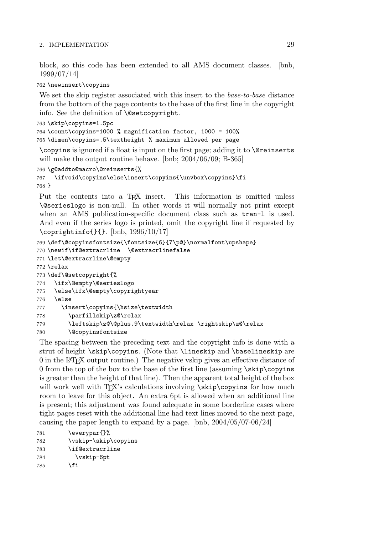block, so this code has been extended to all AMS document classes. [bnb, 1999/07/14]

#### 762 \newinsert\copyins

We set the skip register associated with this insert to the *base-to-base* distance from the bottom of the page contents to the base of the first line in the copyright info. See the definition of \@setcopyright.

```
763 \skip\copyins=1.5pc
764 \count\copyins=1000 % magnification factor, 1000 = 100%
765 \dimen\copyins=.5\textheight % maximum allowed per page
```
\copyins is ignored if a float is input on the first page; adding it to \@reinserts will make the output routine behave. [bnb; 2004/06/09; B-365]

```
766 \g@addto@macro\@reinserts{%
767 \ifvoid\copyins\else\insert\copyins{\unvbox\copyins}\fi
768 }
```
Put the contents into a T<sub>E</sub>X insert. This information is omitted unless \@serieslogo is non-null. In other words it will normally not print except when an AMS publication-specific document class such as  $tran-1$  is used. And even if the series logo is printed, omit the copyright line if requested by \coprightinfo{}{}. [bnb, 1996/10/17]

```
769 \def\@copyinsfontsize{\fontsize{6}{7\p@}\normalfont\upshape}
770 \newif\if@extracrline \@extracrlinefalse
771 \let\@extracrline\@empty
772 \relax
773 \def\@setcopyright{%
774 \ifx\@empty\@serieslogo
775 \else\ifx\@empty\copyrightyear
776 \else
777 \insert\copyins{\hsize\textwidth
778 \parfillskip\z@\relax
779 \leftskip\z@\@plus.9\textwidth\relax \rightskip\z@\relax
780 \@copyinsfontsize
```
The spacing between the preceding text and the copyright info is done with a strut of height \skip\copyins. (Note that \lineskip and \baselineskip are 0 in the LATEX output routine.) The negative vskip gives an effective distance of 0 from the top of the box to the base of the first line (assuming  $\succeq$  skip $\coup$ copyins is greater than the height of that line). Then the apparent total height of the box will work well with TEX's calculations involving \skip\copyins for how much room to leave for this object. An extra 6pt is allowed when an additional line is present; this adjustment was found adequate in some borderline cases where tight pages reset with the additional line had text lines moved to the next page, causing the paper length to expand by a page. [bnb, 2004/05/07-06/24]

```
781 \everypar{}%
782 \vskip-\skip\copyins
783 \if@extracrline
784 \vskip-6pt
785 \overline{f}
```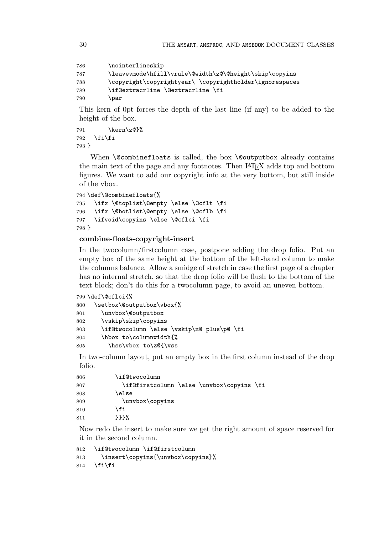```
786 \nointerlineskip
787 \leavevmode\hfill\vrule\@width\z@\@height\skip\copyins
788 \copyright\copyrightyear\ \copyrightholder\ignorespaces
789 \if@extracrline \@extracrline \fi
790 \par
```
This kern of 0pt forces the depth of the last line (if any) to be added to the height of the box.

```
791 \kern\z@}%
792 \fi\fi
793 }
```
When **\@combinefloats** is called, the box **\@outputbox** already contains the main text of the page and any footnotes. Then LAT<sub>EX</sub> adds top and bottom figures. We want to add our copyright info at the very bottom, but still inside of the vbox.

```
794 \def\@combinefloats{%
795 \ifx \@toplist\@empty \else \@cflt \fi
796 \ifx \@botlist\@empty \else \@cflb \fi
797 \ifvoid\copyins \else \@cflci \fi
798 }
```
# **combine-floats-copyright-insert**

In the twocolumn/firstcolumn case, postpone adding the drop folio. Put an empty box of the same height at the bottom of the left-hand column to make the columns balance. Allow a smidge of stretch in case the first page of a chapter has no internal stretch, so that the drop folio will be flush to the bottom of the text block; don't do this for a twocolumn page, to avoid an uneven bottom.

```
799 \def\@cflci{%
800 \setbox\@outputbox\vbox{%
801 \unvbox\@outputbox
802 \vskip\skip\copyins
803 \if@twocolumn \else \vskip\z@ plus\p@ \fi
804 \hbox to\columnwidth{%
805 \hss\vbox to\z@{\vss
```
In two-column layout, put an empty box in the first column instead of the drop folio.

| 806 | \if@twocolumn                             |
|-----|-------------------------------------------|
| 807 | \if@firstcolumn \else \unvbox\copyins \fi |
| 808 | \else                                     |
| 809 | \unvbox\copyins                           |
| 810 | \fi                                       |
| 811 | ንንን‰                                      |

Now redo the insert to make sure we get the right amount of space reserved for it in the second column.

```
812 \if@twocolumn \if@firstcolumn
813 \insert\copyins{\unvbox\copyins}%
814 \fi\fi
```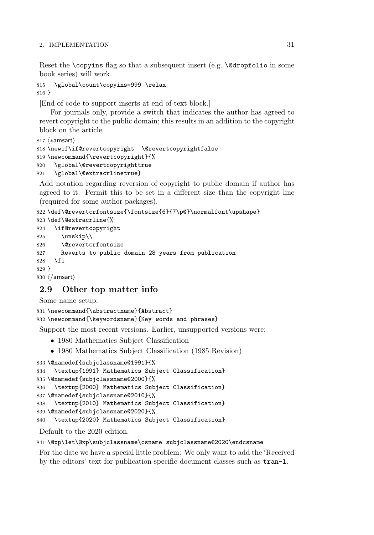Reset the  $\cosh$  flag so that a subsequent insert (e.g.  $\det$ )  $\cosh$  in some book series) will work.

```
815 \global\count\copyins=999 \relax
816 }
```
[End of code to support inserts at end of text block.]

For journals only, provide a switch that indicates the author has agreed to revert copyright to the public domain; this results in an addition to the copyright block on the article.

```
817 \langle * {\sf amsart} \rangle818 \newif\if@revertcopyright \@revertcopyrightfalse
819 \newcommand{\revertcopyright}{%
820 \global\@revertcopyrighttrue
821 \global\@extracrlinetrue}
```
Add notation regarding reversion of copyright to public domain if author has agreed to it. Permit this to be set in a different size than the copyright line (required for some author packages).

```
822 \def\@revertcrfontsize{\fontsize{6}{7\p@}\normalfont\upshape}
823 \def\@extracrline{%
824 \if@revertcopyright
825 \unskip\\
826 \@revertcrfontsize
827 Reverts to public domain 28 years from publication
828 \fi
829 }
830 \; \langle / \mathsf{amsart} \rangle
```
# **2.9 Other top matter info**

Some name setup.

```
831 \newcommand{\abstractname}{Abstract}
832 \newcommand{\keywordsname}{Key words and phrases}
```
Support the most recent versions. Earlier, unsupported versions were:

- 1980 Mathematics Subject Classification
- 1980 Mathematics Subject Classification (1985 Revision)

```
833 \@namedef{subjclassname@1991}{%
834 \textup{1991} Mathematics Subject Classification}
835 \@namedef{subjclassname@2000}{%
836 \textup{2000} Mathematics Subject Classification}
837 \@namedef{subjclassname@2010}{%
838 \textup{2010} Mathematics Subject Classification}
839 \@namedef{subjclassname@2020}{%
840 \textup{2020} Mathematics Subject Classification}
```
Default to the 2020 edition.

```
841 \@xp\let\@xp\subjclassname\csname subjclassname@2020\endcsname
```
For the date we have a special little problem: We only want to add the 'Received by the editors' text for publication-specific document classes such as tran-l.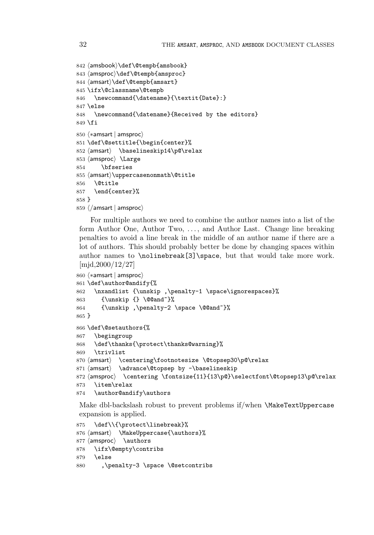```
842 \langleamsbook\rangle\def\langle@tempb{amsbook}
843 \langleamsproc\rangle\def\langle@tempb{amsproc}
844 \langleamsart\rangle\def\langle@tempb\{amsart\}845 \ifx\@classname\@tempb
846 \newcommand{\datename}{\textit{Date}:}
847 \else
848 \newcommand{\datename}{Received by the editors}
849 \fi
850 \; \langle * \textsf{amsart} \mid \textsf{amsproc} \rangle851 \def\@settitle{\begin{center}%
852 \langleamsart\rangle \baselineskip14\p@\relax
853 \langleamsproc\rangle \langleLarge
854 \bfseries
855 \langleamsart\rangle\uppercasenonmath\@title
856 \@title
857 \end{center}%
858 }
859 \; \langle / \textsf{amsart} \, | \, \textsf{amsproc} \rangle
```
For multiple authors we need to combine the author names into a list of the form Author One, Author Two, . . . , and Author Last. Change line breaking penalties to avoid a line break in the middle of an author name if there are a lot of authors. This should probably better be done by changing spaces within author names to \nolinebreak[3]\space, but that would take more work. [mjd,2000/12/27]

```
860 \; \langle * \textsf{amsart} \; | \; \textsf{amsproc} \rangle861 \def\author@andify{%
862 \nxandlist {\unskip ,\penalty-1 \space\ignorespaces}%
863 {\unskip {} \@@and~}%
864 {\unskip ,\penalty-2 \space \@@and~}%
865 }
866 \def\@setauthors{%
867 \begingroup
868 \def\thanks{\protect\thanks@warning}%
869 \trivlist
870 \langleamsart\rangle \centering\footnotesize \@topsep30\p@\relax
871 \langle \advance\@topsep by -\baselineskip
872 \langle \rangle \centering \fontsize{11}{13\p@}\selectfont\@topsep13\p@\relax
873 \item\relax
874 \author@andify\authors
```
Make dbl-backslash robust to prevent problems if/when \MakeTextUppercase expansion is applied.

```
875 \def\\{\protect\linebreak}%
876 \text{ (amsart} \text{MakeUppercase}\text{lauthors}\text{\%}877 \langle\amsproc\rangle \authors
878 \ifx\@empty\contribs
879 \else
880 , \penalty-3 \space \@setcontribs
```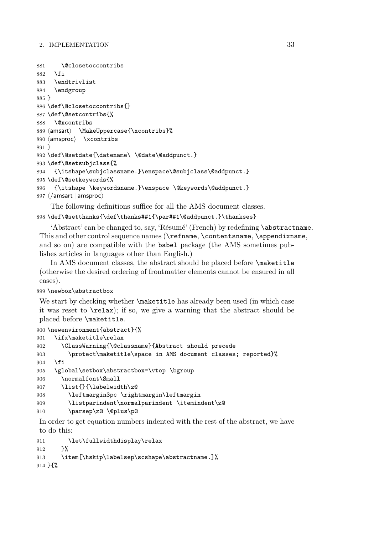```
881 \@closetoccontribs
882 \fi
883 \endtrivlist
884 \endgroup
885 }
886 \def\@closetoccontribs{}
887 \def\@setcontribs{%
888 \@xcontribs
889 \text{ (amsart} \text{MakeUppercase} \xcontribs\%890 \langle \texttt{amsproc} \rangle \xcontribs
891 }
892 \def\@setdate{\datename\ \@date\@addpunct.}
893 \def\@setsubjclass{%
894 {\itshape\subjclassname.}\enspace\@subjclass\@addpunct.}
895 \def\@setkeywords{%
896 {\itshape \keywordsname.}\enspace \@keywords\@addpunct.}
897 \; \langle / \textsf{amsart} \, | \, \textsf{amsproc} \rangle
```
The following definitions suffice for all the AMS document classes. \def\@setthanks{\def\thanks##1{\par##1\@addpunct.}\thankses}

'Abstract' can be changed to, say, 'Résumé' (French) by redefining \abstractname. This and other control sequence names (\refname, \contentsname, \appendixname, and so on) are compatible with the babel package (the AMS sometimes publishes articles in languages other than English.)

In AMS document classes, the abstract should be placed before \maketitle (otherwise the desired ordering of frontmatter elements cannot be ensured in all cases).

### \newbox\abstractbox

We start by checking whether **\maketitle** has already been used (in which case it was reset to \relax); if so, we give a warning that the abstract should be placed before \maketitle.

```
900 \newenvironment{abstract}{%
901 \ifx\maketitle\relax
902 \ClassWarning{\@classname}{Abstract should precede
903 \protect\maketitle\space in AMS document classes; reported}%
904 \fi
905 \global\setbox\abstractbox=\vtop \bgroup
906 \normalfont\Small
907 \list{}{\labelwidth\z@
908 \leftmargin3pc \rightmargin\leftmargin
909 \listparindent\normalparindent \itemindent\z@
910 \parsep\z@ \@plus\p@
```
In order to get equation numbers indented with the rest of the abstract, we have to do this:

```
911 \let\fullwidthdisplay\relax
912 }%
913 \item[\hskip\labelsep\scshape\abstractname.]%
914 }{%
```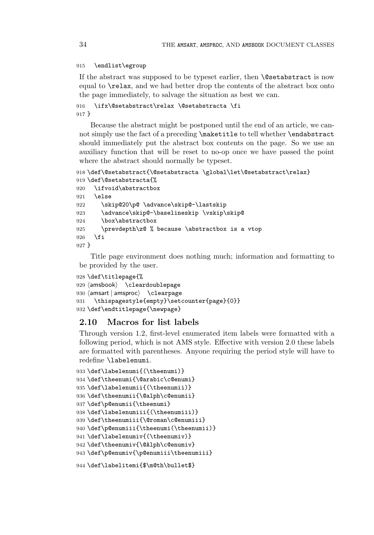#### \endlist\egroup

If the abstract was supposed to be typeset earlier, then **\@setabstract** is now equal to \relax, and we had better drop the contents of the abstract box onto the page immediately, to salvage the situation as best we can.

```
916 \ifx\@setabstract\relax \@setabstracta \fi
917 }
```
Because the abstract might be postponed until the end of an article, we cannot simply use the fact of a preceding \maketitle to tell whether \endabstract should immediately put the abstract box contents on the page. So we use an auxiliary function that will be reset to no-op once we have passed the point where the abstract should normally be typeset.

```
918 \def\@setabstract{\@setabstracta \global\let\@setabstract\relax}
919 \def\@setabstracta{%
920 \ifvoid\abstractbox
```

```
921 \else
922 \skip@20\p@ \advance\skip@-\lastskip
923 \advance\skip@-\baselineskip \vskip\skip@
924 \box\abstractbox
925 \prevdepth\z@ % because \abstractbox is a vtop
926 \fi
927 }
```
Title page environment does nothing much; information and formatting to be provided by the user.

```
928 \def\titlepage{%
929 \langle \textsf{amshook} \rangle \textsf{\small \textsf{cleardoublepage}}930 \langleamsart | amsproc\rangle \; \setminusclearpage
931 \thispagestyle{empty}\setcounter{page}{0}}
932 \def\endtitlepage{\newpage}
```
# **2.10 Macros for list labels**

Through version 1.2, first-level enumerated item labels were formatted with a following period, which is not AMS style. Effective with version 2.0 these labels are formatted with parentheses. Anyone requiring the period style will have to redefine \labelenumi.

```
933 \def\labelenumi{(\theenumi)}
934 \def\theenumi{\@arabic\c@enumi}
935 \def\labelenumii{(\theenumii)}
936 \def\theenumii{\@alph\c@enumii}
937 \def\p@enumii{\theenumi}
938 \def\labelenumiii{(\theenumiii)}
939 \def\theenumiii{\@roman\c@enumiii}
940 \def\p@enumiii{\theenumi(\theenumii)}
941 \def\labelenumiv{(\theenumiv)}
942 \def\theenumiv{\@Alph\c@enumiv}
943 \def\p@enumiv{\p@enumiii\theenumiii}
```

```
944 \def\labelitemi{$\m@th\bullet$}
```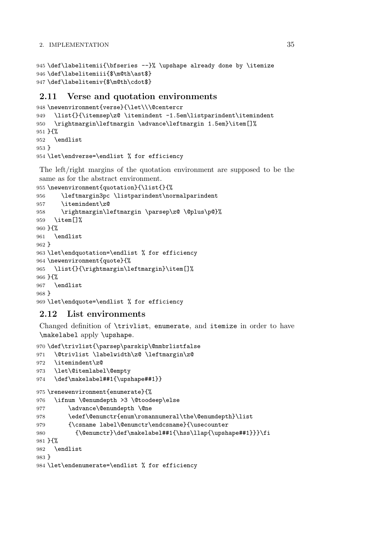```
945 \def\labelitemii{\bfseries --}% \upshape already done by \itemize
946 \def\labelitemiii{$\m@th\ast$}
947 \def\labelitemiv{$\m@th\cdot$}
```
# **2.11 Verse and quotation environments**

```
948 \newenvironment{verse}{\let\\\@centercr
949 \list{}{\itemsep\z@ \itemindent -1.5em\listparindent\itemindent
950 \rightmargin\leftmargin \advance\leftmargin 1.5em}\item[]%
951 }{%
952 \endlist
953 }
954 \let\endverse=\endlist % for efficiency
```
The left/right margins of the quotation environment are supposed to be the same as for the abstract environment.

```
955 \newenvironment{quotation}{\list{}{%
956 \leftmargin3pc \listparindent\normalparindent
957 \itemindent\z@
958 \rightmargin\leftmargin \parsep\z@ \@plus\p@}%
959 \item[]%
960 }{%
961 \endlist
962 }
963 \let\endquotation=\endlist % for efficiency
964 \newenvironment{quote}{%
965 \list{}{\rightmargin\leftmargin}\item[]%
966 }{%
967 \endlist
968 }
969 \let\endquote=\endlist % for efficiency
```
# **2.12 List environments**

Changed definition of \trivlist, enumerate, and itemize in order to have \makelabel apply \upshape.

```
970 \def\trivlist{\parsep\parskip\@nmbrlistfalse
971 \@trivlist \labelwidth\z@ \leftmargin\z@
972 \itemindent\z@
973 \let\@itemlabel\@empty
974 \def\makelabel##1{\upshape##1}}
975 \renewenvironment{enumerate}{%
976 \ifnum \@enumdepth >3 \@toodeep\else
977 \advance\@enumdepth \@ne
978 \edef\@enumctr{enum\romannumeral\the\@enumdepth}\list
979 {\csname label\@enumctr\endcsname}{\usecounter
980 {\@enumctr}\def\makelabel##1{\hss\llap{\upshape##1}}}\fi
981 }{%
982 \endlist
983 }
984 \let\endenumerate=\endlist % for efficiency
```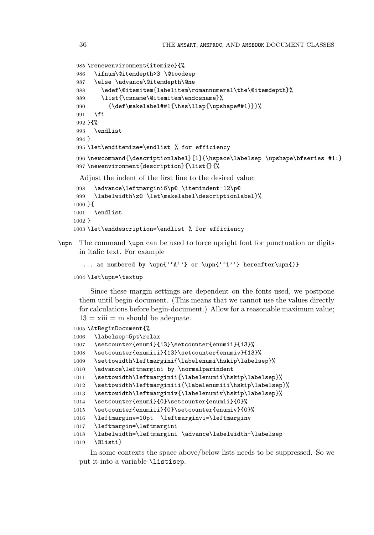```
985 \renewenvironment{itemize}{%
986 \ifnum\@itemdepth>3 \@toodeep
987 \else \advance\@itemdepth\@ne
988 \edef\@itemitem{labelitem\romannumeral\the\@itemdepth}%
989 \list{\csname\@itemitem\endcsname}%
990 {\def\makelabel##1{\hss\llap{\upshape##1}}}%
991 \fi
992 }{%
993 \endlist
994 }
995 \let\enditemize=\endlist % for efficiency
996 \newcommand{\descriptionlabel}[1]{\hspace\labelsep \upshape\bfseries #1:}
997 \newenvironment{description}{\list{}{%
```
Adjust the indent of the first line to the desired value:

```
998 \advance\leftmargini6\p@ \itemindent-12\p@
999 \labelwidth\z@ \let\makelabel\descriptionlabel}%
1000 }{
1001 \endlist
1002 }
1003 \let\enddescription=\endlist % for efficiency
```
\upn The command \upn can be used to force upright font for punctuation or digits in italic text. For example

```
... as numbered by \un{``A''} or \un{``1''} hereafter\un{)}
```

```
1004 \let\upn=\textup
```
Since these margin settings are dependent on the fonts used, we postpone them until begin-document. (This means that we cannot use the values directly for calculations before begin-document.) Allow for a reasonable maximum value;  $13 = x$ iii = m should be adequate.

```
1005 \AtBeginDocument{%
1006 \labelsep=5pt\relax
1007 \setcounter{enumi}{13}\setcounter{enumii}{13}%
1008 \setcounter{enumiii}{13}\setcounter{enumiv}{13}%
1009 \settowidth\leftmargini{\labelenumi\hskip\labelsep}%
1010 \advance\leftmargini by \normalparindent
1011 \settowidth\leftmarginii{\labelenumii\hskip\labelsep}%
1012 \settowidth\leftmarginiii{\labelenumiii\hskip\labelsep}%
1013 \settowidth\leftmarginiv{\labelenumiv\hskip\labelsep}%
1014 \setcounter{enumi}{0}\setcounter{enumii}{0}%
1015 \setcounter{enumiii}{0}\setcounter{enumiv}{0}%
1016 \leftmarginv=10pt \leftmarginvi=\leftmarginv
1017 \leftmargin=\leftmargini
1018 \labelwidth=\leftmargini \advance\labelwidth-\labelsep
1019 \@listi}
```
In some contexts the space above/below lists needs to be suppressed. So we put it into a variable \listisep.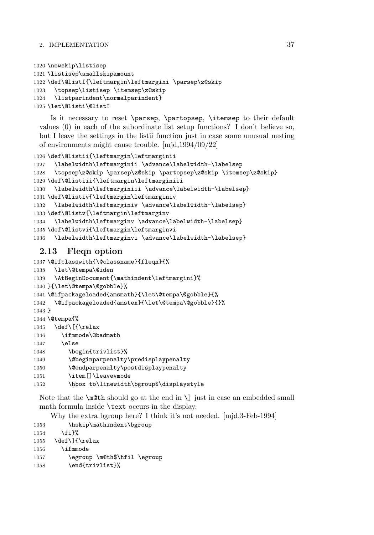```
1020 \newskip\listisep
1021 \listisep\smallskipamount
1022 \def\@listI{\leftmargin\leftmargini \parsep\z@skip
1023 \topsep\listisep \itemsep\z@skip
1024 \listparindent\normalparindent}
1025 \let\@listi\@listI
```
Is it necessary to reset \parsep, \partopsep, \itemsep to their default values (0) in each of the subordinate list setup functions? I don't believe so, but I leave the settings in the listii function just in case some unusual nesting of environments might cause trouble. [mjd,1994/09/22]

```
1026 \def\@listii{\leftmargin\leftmarginii
1027 \labelwidth\leftmarginii \advance\labelwidth-\labelsep
1028 \topsep\z@skip \parsep\z@skip \partopsep\z@skip \itemsep\z@skip}
1029 \def\@listiii{\leftmargin\leftmarginiii
1030 \labelwidth\leftmarginiii \advance\labelwidth-\labelsep}
1031 \def\@listiv{\leftmargin\leftmarginiv
1032 \labelwidth\leftmarginiv \advance\labelwidth-\labelsep}
1033 \def\@listv{\leftmargin\leftmarginv
1034 \labelwidth\leftmarginv \advance\labelwidth-\labelsep}
1035 \def\@listvi{\leftmargin\leftmarginvi
1036 \labelwidth\leftmarginvi \advance\labelwidth-\labelsep}
```
# **2.13 Fleqn option**

```
1037 \@ifclasswith{\@classname}{fleqn}{%
1038 \let\@tempa\@iden
1039 \AtBeginDocument{\mathindent\leftmargini}%
1040 }{\let\@tempa\@gobble}%
1041 \@ifpackageloaded{amsmath}{\let\@tempa\@gobble}{%
1042 \@ifpackageloaded{amstex}{\let\@tempa\@gobble}{}%
1043 }
1044 \@tempa{%
1045 \def\[{\relax
1046 \ifmmode\@badmath
1047 \else
1048 \begin{trivlist}%
1049 \@beginparpenalty\predisplaypenalty
1050 \@endparpenalty\postdisplaypenalty
1051 \item[]\leavevmode
1052 \hbox to\linewidth\bgroup$\displaystyle
```
Note that the  $\mathcal{L}$  should go at the end in  $\mathcal{L}$  just in case an embedded small math formula inside \text occurs in the display.

Why the extra bgroup here? I think it's not needed. [mjd,3-Feb-1994]

```
1053 \hskip\mathindent\bgroup
1054 \fi}%
1055 \def\]{\relax
1056 \ifmmode
1057 \egroup \m@th$\hfil \egroup
1058 \end{trivlist}%
```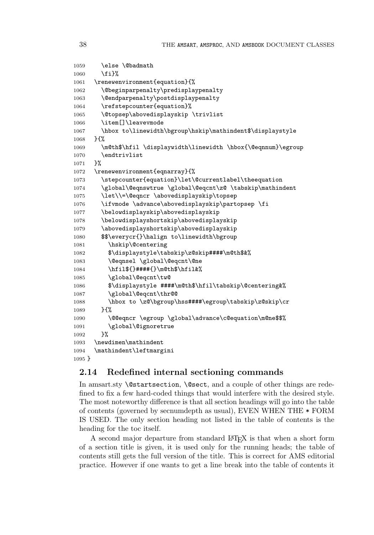```
1059 \else \@badmath
1060 \fi}%
1061 \renewenvironment{equation}{%
1062 \@beginparpenalty\predisplaypenalty
1063 \@endparpenalty\postdisplaypenalty
1064 \refstepcounter{equation}%
1065 \@topsep\abovedisplayskip \trivlist
1066 \item[]\leavevmode
1067 \hbox to\linewidth\bgroup\hskip\mathindent$\displaystyle
1068 }{%
1069 \m@th$\hfil \displaywidth\linewidth \hbox{\@eqnnum}\egroup
1070 \endtrivlist
1071 }%
1072 \renewenvironment{eqnarray}{%
1073 \stepcounter{equation}\let\@currentlabel\theequation
1074 \global\@eqnswtrue \global\@eqcnt\z@ \tabskip\mathindent
1075 \let\\=\@eqncr \abovedisplayskip\topsep
1076 \ifvmode \advance\abovedisplayskip\partopsep \fi
1077 \belowdisplayskip\abovedisplayskip
1078 \belowdisplayshortskip\abovedisplayskip
1079 \abovedisplayshortskip\abovedisplayskip
1080 $$\everycr{}\halign to\linewidth\bgroup
1081 \hskip\@centering
1082 $\displaystyle\tabskip\z@skip####\m@th$&%
1083 \@eqnsel \global\@eqcnt\@ne
1084 \hfil${}####{}\m@th$\hfil&%
1085 \global\@eqcnt\tw@
1086 $\displaystyle ####\m@th$\hfil\tabskip\@centering&%
1087 \global\@eqcnt\thr@@
1088 \hbox to \z@\bgroup\hss####\egroup\tabskip\z@skip\cr
1089 }{%
1090 \@@eqncr \egroup \global\advance\c@equation\m@ne$$%
1091 \global\@ignoretrue
1092 }%
1093 \newdimen\mathindent
1094 \mathindent\leftmargini
1095 }
```
# **2.14 Redefined internal sectioning commands**

In amsart.sty **\@startsection, \@sect,** and a couple of other things are redefined to fix a few hard-coded things that would interfere with the desired style. The most noteworthy difference is that all section headings will go into the table of contents (governed by secnumdepth as usual), EVEN WHEN THE \* FORM IS USED. The only section heading not listed in the table of contents is the heading for the toc itself.

A second major departure from standard LAT<sub>EX</sub> is that when a short form of a section title is given, it is used only for the running heads; the table of contents still gets the full version of the title. This is correct for AMS editorial practice. However if one wants to get a line break into the table of contents it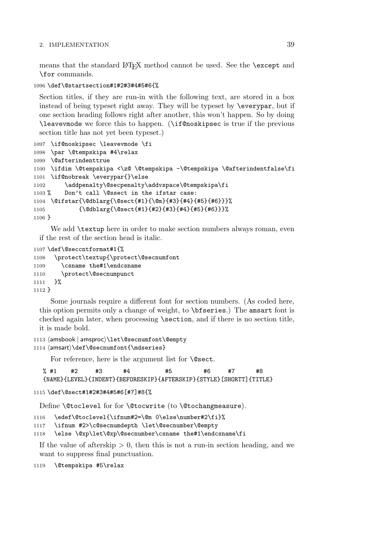means that the standard LAT<sub>EX</sub> method cannot be used. See the **\except** and \for commands.

1096 \def\@startsection#1#2#3#4#5#6{%

Section titles, if they are run-in with the following text, are stored in a box instead of being typeset right away. They will be typeset by \everypar, but if one section heading follows right after another, this won't happen. So by doing \leavevmode we force this to happen. (\if@noskipsec is true if the previous section title has not yet been typeset.)

```
1097 \if@noskipsec \leavevmode \fi
1098 \par \@tempskipa #4\relax
1099 \@afterindenttrue
1100 \ifdim \@tempskipa <\z@ \@tempskipa -\@tempskipa \@afterindentfalse\fi
1101 \if@nobreak \everypar{}\else
1102 \addpenalty\@secpenalty\addvspace\@tempskipa\fi
1103 % Don't call \@ssect in the ifstar case:
1104 \@ifstar{\@dblarg{\@sect{#1}{\@m}{#3}{#4}{#5}{#6}}}%
1105 {\@dblarg{\@sect{#1}{#2}{#3}{#4}{#5}{#6}}}%
1106 }
```
We add **\textup** here in order to make section numbers always roman, even if the rest of the section head is italic.

```
1107 \def\@seccntformat#1{%
1108 \protect\textup{\protect\@secnumfont
1109 \csname the#1\endcsname
1110 \protect\@secnumpunct
1111 }%
1112 }
```
Some journals require a different font for section numbers. (As coded here, this option permits only a change of weight, to \bfseries.) The amsart font is checked again later, when processing \section, and if there is no section title, it is made bold.

```
1113 \langleamsbook | amsproc\rangle\let\Diamondsecnumfont\Diamondempty
1114 \langleamsart\rangle\def\Diamondsecnumfont\{\mathcal S\}
```
For reference, here is the argument list for **\@sect**.

% #1 #2 #3 #4 #5 #6 #7 #8 {NAME}{LEVEL}{INDENT}{BEFORESKIP}{AFTERSKIP}{STYLE}[SHORTT]{TITLE}

```
1115 \def\@sect#1#2#3#4#5#6[#7]#8{%
```
Define \@toclevel for for \@tocwrite (to \@tochangmeasure).

1116 \edef\@toclevel{\ifnum#2=\@m 0\else\number#2\fi}%

1117 \ifnum #2>\c@secnumdepth \let\@secnumber\@empty

1118 \else \@xp\let\@xp\@secnumber\csname the#1\endcsname\fi

If the value of afterskip  $> 0$ , then this is not a run-in section heading, and we want to suppress final punctuation.

1119 \@tempskipa #5\relax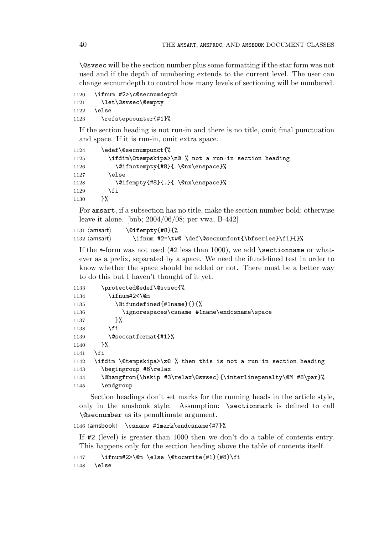\@svsec will be the section number plus some formatting if the star form was not used and if the depth of numbering extends to the current level. The user can change secnumdepth to control how many levels of sectioning will be numbered.

```
1120 \ifnum #2>\c@secnumdepth
1121 \let\@svsec\@empty
1122 \else
1123 \refstepcounter{#1}%
```
If the section heading is not run-in and there is no title, omit final punctuation and space. If it is run-in, omit extra space.

| 1124 | \edef\@secnumpunct{%                                 |
|------|------------------------------------------------------|
| 1125 | \ifdim\@tempskipa>\z@ % not a run-in section heading |
| 1126 | \@ifnotempty{#8}{.\@nx\enspace}%                     |
| 1127 | \else                                                |
| 1128 | \@ifempty{#8}{.}{.\@nx\enspace}%                     |
| 1129 | \fi                                                  |
| 1130 | ን%                                                   |

For amsart, if a subsection has no title, make the section number bold; otherwise leave it alone. [bnb; 2004/06/08; per vwa, B-442]

```
1131 \langle amsart\rangle\@ifempty{#8}{%
1132 \langleamsart\rangle\ifnum #2=\tw@ \def\@secnumfont{\bfseries}\fi}{}%
```
If the  $\ast$ -form was not used (#2 less than 1000), we add \sectionname or whatever as a prefix, separated by a space. We need the ifundefined test in order to know whether the space should be added or not. There must be a better way to do this but I haven't thought of it yet.

| 1133 | \protected@edef\@svsec{%                                           |
|------|--------------------------------------------------------------------|
| 1134 | \ifnum#2<\@m                                                       |
| 1135 | \@ifundefined{#1name}{}{%                                          |
| 1136 | \ignorespaces\csname #1name\endcsname\space                        |
| 1137 | ጉ%                                                                 |
| 1138 | \fi                                                                |
| 1139 | \@seccntformat{#1}%                                                |
| 1140 | ጉ%                                                                 |
| 1141 | \fi                                                                |
| 1142 | \ifdim \@tempskipa>\z@ % then this is not a run-in section heading |
| 1143 | \begingroup #6\relax                                               |
| 1144 | \@hangfrom{\hskip #3\relax\@svsec}{\interlinepenalty\@M #8\par}%   |
| 1145 | \endgroup                                                          |
|      |                                                                    |

Section headings don't set marks for the running heads in the article style, only in the amsbook style. Assumption: \sectionmark is defined to call \@secnumber as its penultimate argument.

1146  $\langle$ amsbook \csname #1mark\endcsname{#7}%

If #2 (level) is greater than 1000 then we don't do a table of contents entry. This happens only for the section heading above the table of contents itself.

```
1147 \ifnum#2>\@m \else \@tocwrite{#1}{#8}\fi
1148 \else
```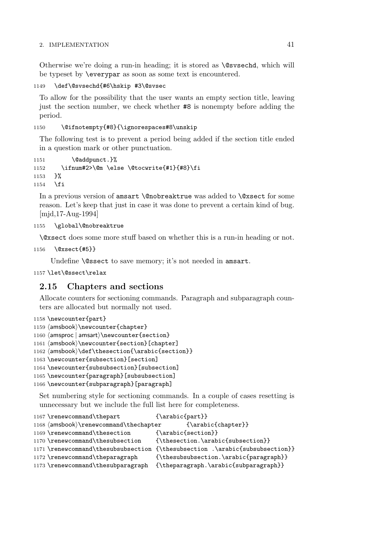Otherwise we're doing a run-in heading; it is stored as \@svsechd, which will be typeset by \everypar as soon as some text is encountered.

```
1149 \def\@svsechd{#6\hskip #3\@svsec
```
To allow for the possibility that the user wants an empty section title, leaving just the section number, we check whether #8 is nonempty before adding the period.

### 1150 \@ifnotempty{#8}{\ignorespaces#8\unskip

The following test is to prevent a period being added if the section title ended in a question mark or other punctuation.

```
1151 \@addpunct.}%
1152 \ifnum#2>\@m \else \@tocwrite{#1}{#8}\fi
1153 }%
1154 \fi
```
In a previous version of amsart \@nobreaktrue was added to \@xsect for some reason. Let's keep that just in case it was done to prevent a certain kind of bug. [mjd,17-Aug-1994]

```
1155 \global\@nobreaktrue
```
\@xsect does some more stuff based on whether this is a run-in heading or not.

```
1156 \@xsect{#5}}
```
Undefine **\@ssect** to save memory; it's not needed in amsart.

```
1157 \let\@ssect\relax
```
# **2.15 Chapters and sections**

Allocate counters for sectioning commands. Paragraph and subparagraph counters are allocated but normally not used.

```
1158 \newcounter{part}
1159 \; \langle \text{answer} \rangle \1160 \langle \text{amsproc} \rangle \backslash \text{section}1161 \langleamsbook\rangle\newcounter{section}[chapter]
1162 \langle \textsf{section}\rangle}
1163 \newcounter{subsection}[section]
1164 \newcounter{subsubsection}[subsection]
1165 \newcounter{paragraph}[subsubsection]
1166 \newcounter{subparagraph}[paragraph]
```
Set numbering style for sectioning commands. In a couple of cases resetting is unnecessary but we include the full list here for completeness.

```
1167 \renewcommand\thepart {\arabic{part}}
1168 (amsbook)\renewcommand\thechapter {\arabic{chapter}}
1169 \renewcommand\thesection {\arabic{section}}
1170 \renewcommand\thesubsection {\thesection.\arabic{subsection}}
1171 \renewcommand\thesubsubsection {\thesubsection .\arabic{subsubsection}}
1172 \renewcommand\theparagraph {\thesubsubsection.\arabic{paragraph}}
1173 \renewcommand\thesubparagraph {\theparagraph.\arabic{subparagraph}}
```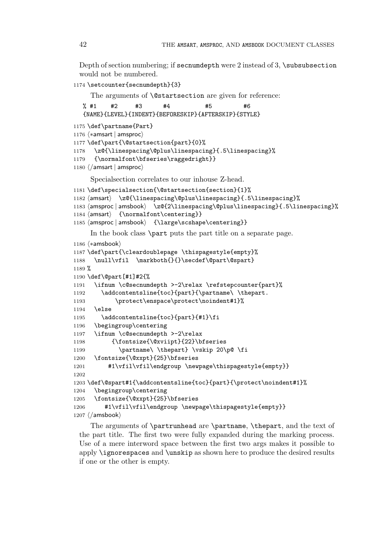Depth of section numbering; if secnumdepth were 2 instead of 3, \subsubsection would not be numbered.

```
1174 \setcounter{secnumdepth}{3}
```
The arguments of **\@startsection** are given for reference:

```
% #1 #2 #3 #4 #5 #6
  {NAME}{LEVEL}{INDENT}{BEFORESKIP}{AFTERSKIP}{STYLE}
1175 \def\partname{Part}
1176 \langle *amsart | amsproc \rangle1177 \def\part{\@startsection{part}{0}%
1178 \z@{\linespacing\@plus\linespacing}{.5\linespacing}%
1179 {\normalfont\bfseries\raggedright}}
1180 \langle/amsart | amsproc\rangleSpecialsection correlates to our inhouse Z-head.
1181 \def\specialsection{\@startsection{section}{1}%
1182 \(amsart\) \z@{\linespacing\@plus\linespacing}{.5\linespacing}%
1183 \amsproc | amsbook \z@{2\linespacing\@plus\linespacing}{.5\linespacing}%
1184 \{normalfont\centerdot\}1185 \langle amsproc | amsbook } {\large\scshape\centering}}
    In the book class \part puts the part title on a separate page.
1186 \n\left< *amsbook \right>1187 \def\part{\cleardoublepage \thispagestyle{empty}%
1188 \null\vfil \markboth{}{}\secdef\@part\@spart}
1189 %
1190 \def\@part[#1]#2{%
1191 \ifnum \c@secnumdepth >-2\relax \refstepcounter{part}%
1192 \addcontentsline{toc}{part}{\partname\ \thepart.
1193 \protect\enspace\protect\noindent#1}%
1194 \else
1195 \addcontentsline{toc}{part}{#1}\fi
1196 \begingroup\centering
1197 \ifnum \c@secnumdepth >-2\relax
1198 {\fontsize{\@xviipt}{22}\bfseries
1199 \partname\ \thepart} \vskip 20\p@ \fi
1200 \fontsize{\@xxpt}{25}\bfseries
1201 #1\vfil\vfil\endgroup \newpage\thispagestyle{empty}}
1202
1203 \def\@spart#1{\addcontentsline{toc}{part}{\protect\noindent#1}%
1204 \begingroup\centering
1205 \fontsize{\@xxpt}{25}\bfseries
1206 #1\vfil\vfil\endgroup \newpage\thispagestyle{empty}}
1207 \langle / \text{amsbook} \rangle
```
The arguments of \partrunhead are \partname, \thepart, and the text of the part title. The first two were fully expanded during the marking process. Use of a mere interword space between the first two args makes it possible to apply \ignorespaces and \unskip as shown here to produce the desired results if one or the other is empty.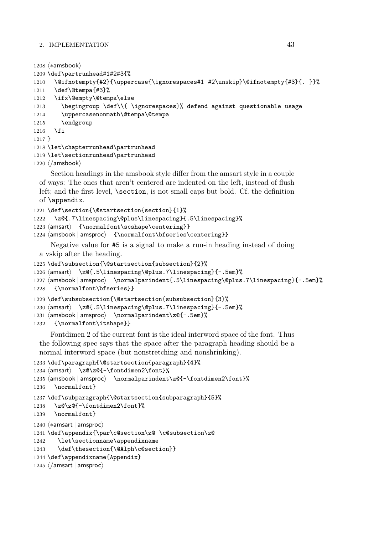```
1208 \n\left\langle \ast \text{amsbook} \right\rangle1209 \def\partrunhead#1#2#3{%
1210 \@ifnotempty{#2}{\uppercase{\ignorespaces#1 #2\unskip}\@ifnotempty{#3}{. }}%
1211 \def\@tempa{#3}%
1212 \ifx\@empty\@tempa\else
1213 \begingroup \def\\{ \ignorespaces}% defend against questionable usage
1214 \uppercasenonmath\@tempa\@tempa
1215 \endgroup
1216 \fi
1217 }
1218 \let\chapterrunhead\partrunhead
1219 \let\sectionrunhead\partrunhead
1220 \ \langle / \text{amshook} \rangle
```
Section headings in the amsbook style differ from the amsart style in a couple of ways: The ones that aren't centered are indented on the left, instead of flush left; and the first level,  $\setminus$  section, is not small caps but bold. Cf. the definition of \appendix.

```
1221 \def\section{\@startsection{section}{1}%
1222 \z@{.7\linespacing\@plus\linespacing}{.5\linespacing}%
1223 \langle {\normalfont\scshape\centering}}
1224 \hspace{\hspace{0.08cm} \hspace{0.08cm} \normalsize{ \normalsize \hspace{0.08cm} \normalsize{ \normalsize \hspace{0.08cm} \normalsize{ \normalsize \hspace{0.08cm} \normalsize{ \normalsize \hspace{0.08cm} \normalsize{ \normalsize{ \normalsize \hspace{0.08cm} \normalsize{ \normalsize \hspace{0.08cm} \normalsize{ \normalsize \hspace{0.08cm} \normalsize{ \normalsize \hspace{0.08cm} \normalsize{ \normalsize \hspace{0.08cm} \normalsize{ \normalsize \hspace{0.0
```
Negative value for #5 is a signal to make a run-in heading instead of doing a vskip after the heading.

```
1225 \def\subsection{\@startsection{subsection}{2}%
1226 \langle \z@{.5\linespacing\@plus.7\linespacing}{-.5em}%
1227 (amsbook | amsproc) \normalparindent{.5\linespacing\@plus.7\linespacing}{-.5em}%
1228 {\normalfont\bfseries}}
1229 \def\subsubsection{\@startsection{subsubsection}{3}%
1230 \langle \z@{.5\linespacing\@plus.7\linespacing}{-.5em}%
1231 (amsbook | amsproc) \normalparindent\z@{-.5em}%
```
{\normalfont\itshape}}

Fontdimen 2 of the current font is the ideal interword space of the font. Thus the following spec says that the space after the paragraph heading should be a normal interword space (but nonstretching and nonshrinking).

```
1233 \def\paragraph{\@startsection{paragraph}{4}%
1234 \langle \textsf{and} \rangle \z@\z@{-\fontdimen2\font}%
1235 \langle amsbook | amsproc\rangle \normalparindent\z@{-\fontdimen2\font}%
1236 \normalfont}
1237 \def\subparagraph{\@startsection{subparagraph}{5}%
1238 \z@\z@{-\fontdimen2\font}%
1239 \normalfont}
1240 \langle *amsart | amsproc \rangle1241 \def\appendix{\par\c@section\z@ \c@subsection\z@
1242 \let\sectionname\appendixname
1243 \def\thesection{\@Alph\c@section}}
1244 \def\appendixname{Appendix}
1245 \; \langle / \textsf{amsart} \, | \, \textsf{amsproc} \rangle
```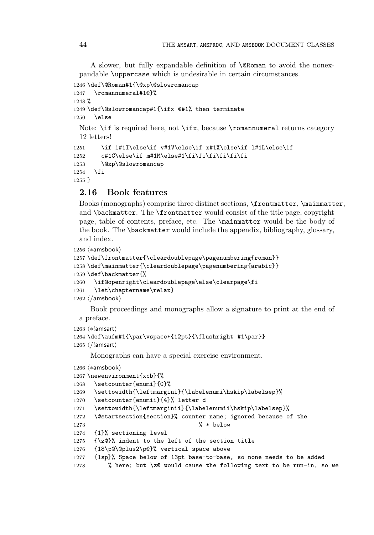A slower, but fully expandable definition of \@Roman to avoid the nonexpandable \uppercase which is undesirable in certain circumstances.

```
1246 \def\@Roman#1{\@xp\@slowromancap
1247 \romannumeral#1@}%
1248 %
1249 \def\@slowromancap#1{\ifx @#1% then terminate
1250 \else
 Note: \if is required here, not \ifx, because \romannumeral returns category
 12 letters!
1251 \if i#1I\else\if v#1V\else\if x#1X\else\if l#1L\else\if
```

```
1252 c#1C\else\if m#1M\else#1\fi\fi\fi\fi\fi\fi
1253 \@xp\@slowromancap
1254 \fi
1255 }
```
# **2.16 Book features**

Books (monographs) comprise three distinct sections, \frontmatter, \mainmatter, and \backmatter. The \frontmatter would consist of the title page, copyright page, table of contents, preface, etc. The \mainmatter would be the body of the book. The \backmatter would include the appendix, bibliography, glossary, and index.

```
1256 \n\left\langle \ast \text{amshook} \right\rangle
```

```
1257 \def\frontmatter{\cleardoublepage\pagenumbering{roman}}
1258 \def\mainmatter{\cleardoublepage\pagenumbering{arabic}}
1259 \def\backmatter{%
1260 \if@openright\cleardoublepage\else\clearpage\fi
1261 \let\chaptername\relax}
1262 \langle / \text{amshook} \rangle
```
Book proceedings and monographs allow a signature to print at the end of a preface.

```
1263 \n\left\langle \ast !\textsf{amsart} \right\rangle
```

```
1264 \def\aufm#1{\par\vspace*{12pt}{\flushright #1\par}}
1265 \ \langle/!amsart\rangle
```
Monographs can have a special exercise environment.

```
1266 \langle *amsbook \rangle
```

```
1267 \newenvironment{xcb}{%
1268 \setcounter{enumi}{0}%
1269 \settowidth{\leftmargini}{\labelenumi\hskip\labelsep}%
1270 \setcounter{enumii}{4}% letter d
1271 \settowidth{\leftmarginii}{\labelenumii\hskip\labelsep}%
1272 \@startsection{section}% counter name; ignored because of the
1273 \% * \text{ below}1274 {1}% sectioning level
1275 {\z@}% indent to the left of the section title
1276 {18\p@\@plus2\p@}% vertical space above
1277 {1sp}% Space below of 13pt base-to-base, so none needs to be added
1278 % here; but \z@ would cause the following text to be run-in, so we
```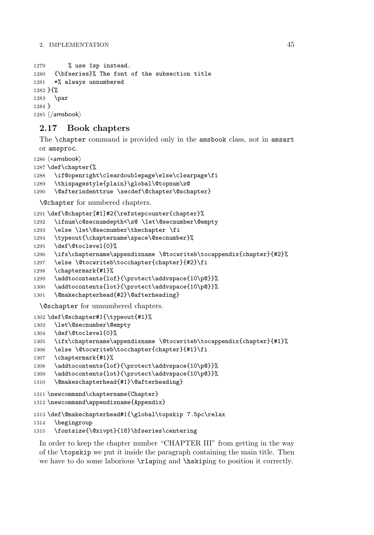```
1279 % use 1sp instead.
1280 {\bfseries}% The font of the subsection title
1281 *% always unnumbered
1282 }{%
1283 \par
1284 }
1285 \langle / \text{amshook} \rangle
```
# **2.17 Book chapters**

The \chapter command is provided only in the amsbook class, not in amsart or amsproc.

```
1286 \n\left\langle \ast \text{amshook} \right\rangle
```

```
1287 \def\chapter{%
1288 \if@openright\cleardoublepage\else\clearpage\fi
1289 \thispagestyle{plain}\global\@topnum\z@
1290 \@afterindenttrue \secdef\@chapter\@schapter}
```
\@chapter for numbered chapters.

\def\@chapter[#1]#2{\refstepcounter{chapter}%

```
1292 \ifnum\c@secnumdepth<\z@ \let\@secnumber\@empty
```
\else \let\@secnumber\thechapter \fi

```
1294 \typeout{\chaptername\space\@secnumber}%
```

```
1295 \def\@toclevel{0}%
```

```
1296 \ifx\chaptername\appendixname \@tocwriteb\tocappendix{chapter}{#2}%
```

```
1297 \else \@tocwriteb\tocchapter{chapter}{#2}\fi
```

```
1298 \chaptermark{#1}%
```

```
1299 \addtocontents{lof}{\protect\addvspace{10\p@}}%
```

```
1300 \addtocontents{lot}{\protect\addvspace{10\p@}}%
```

```
1301 \@makechapterhead{#2}\@afterheading}
```
\@schapter for unnumbered chapters.

```
1302 \def\@schapter#1{\typeout{#1}%
```

```
1303 \let\@secnumber\@empty
1304 \def\@toclevel{0}%
1305 \ifx\chaptername\appendixname \@tocwriteb\tocappendix{chapter}{#1}%
1306 \else \@tocwriteb\tocchapter{chapter}{#1}\fi
1307 \chaptermark{#1}%
1308 \addtocontents{lof}{\protect\addvspace{10\p@}}%
1309 \addtocontents{lot}{\protect\addvspace{10\p@}}%
1310 \@makeschapterhead{#1}\@afterheading}
1311 \newcommand\chaptername{Chapter}
1312 \newcommand\appendixname{Appendix}
```

```
1313 \def\@makechapterhead#1{\global\topskip 7.5pc\relax
```

```
1314 \begingroup
```

```
1315 \fontsize{\@xivpt}{18}\bfseries\centering
```
In order to keep the chapter number "CHAPTER III" from getting in the way of the \topskip we put it inside the paragraph containing the main title. Then we have to do some laborious \rlaping and \hskiping to position it correctly.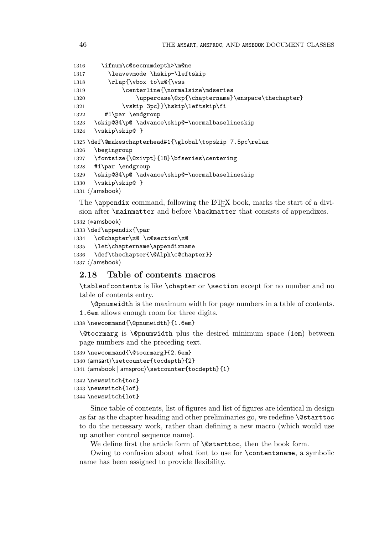```
1316 \ifnum\c@secnumdepth>\m@ne
1317 \leavevmode \hskip-\leftskip
1318 \rlap{\vbox to\z@{\vss
1319 \centerline{\normalsize\mdseries
1320 \uppercase\@xp{\chaptername}\enspace\thechapter}
1321 \vskip 3pc}}\hskip\leftskip\fi
1322 #1\par \endgroup
1323 \skip@34\p@ \advance\skip@-\normalbaselineskip
1324 \vskip\skip@ }
1325 \def\@makeschapterhead#1{\global\topskip 7.5pc\relax
1326 \begingroup
1327 \fontsize{\@xivpt}{18}\bfseries\centering
1328 #1\par \endgroup
1329 \skip@34\p@ \advance\skip@-\normalbaselineskip
1330 \vskip\skip@ }
1331 \; \langle / \text{amshook} \rangle
```
The  $\qquad$  appendix command, following the L<sup>AT</sup>EX book, marks the start of a division after \mainmatter and before \backmatter that consists of appendixes.

```
1332 \n\left\langle \ast \textsf{amsbook} \right\rangle1333 \def\appendix{\par
1334 \c@chapter\z@ \c@section\z@
1335 \let\chaptername\appendixname
1336 \def\thechapter{\@Alph\c@chapter}}
1337 \; \langle / \text{amshook} \rangle
```
# **2.18 Table of contents macros**

\tableofcontents is like \chapter or \section except for no number and no table of contents entry.

\@pnumwidth is the maximum width for page numbers in a table of contents. 1.6em allows enough room for three digits.

1338 \newcommand{\@pnumwidth}{1.6em}

\@tocrmarg is \@pnumwidth plus the desired minimum space (1em) between page numbers and the preceding text.

```
1339 \newcommand{\@tocrmarg}{2.6em}
```

```
1340 \text{ (amsart)}\setminus \text{tocdepth}{2}
```

```
1341 \langleamsbook | amsproc\rangle\setminussetcounter\{to \texttt{cdepth}\{1\}
```

```
1342 \newswitch{toc}
1343 \newswitch{lof}
1344 \newswitch{lot}
```
Since table of contents, list of figures and list of figures are identical in design as far as the chapter heading and other preliminaries go, we redefine \@starttoc to do the necessary work, rather than defining a new macro (which would use up another control sequence name).

We define first the article form of **\@starttoc**, then the book form.

Owing to confusion about what font to use for \contentsname, a symbolic name has been assigned to provide flexibility.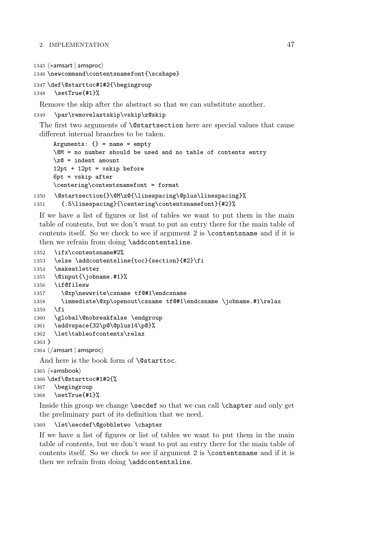```
1345 \langle *amsart | amsproc \rangle1346 \newcommand\contentsnamefont{\scshape}
```

```
1347 \def\@starttoc#1#2{\begingroup
1348 \setTrue{#1}%
```
Remove the skip after the abstract so that we can substitute another.

```
1349 \par\removelastskip\vskip\z@skip
```
The first two arguments of **\@startsection** here are special values that cause different internal branches to be taken.

```
Arguments: \{\} = name = empty
      \@M = no number should be used and no table of contents entry
      \zeta<sup>20</sup> = indent amount
      12pt + 12pt = vskip before
      6pt = vskip after
      \centering\contentsnamefont = format
1350 \@startsection{}\@M\z@{\linespacing\@plus\linespacing}%
```

```
1351 {.5\linespacing}{\centering\contentsnamefont}{#2}%
```
If we have a list of figures or list of tables we want to put them in the main table of contents, but we don't want to put an entry there for the main table of contents itself. So we check to see if argument 2 is \contentsname and if it is then we refrain from doing \addcontentsline.

```
1352 \ifx\contentsname#2%
1353 \else \addcontentsline{toc}{section}{#2}\fi
1354 \makeatletter
1355 \@input{\jobname.#1}%
1356 \if@filesw
1357 \@xp\newwrite\csname tf@#1\endcsname
1358 \immediate\@xp\openout\csname tf@#1\endcsname \jobname.#1\relax
1359 \fi
1360 \global\@nobreakfalse \endgroup
1361 \addvspace{32\p@\@plus14\p@}%
1362 \let\tableofcontents\relax
1363 }
1364 \; \langle / \textsf{amsart} \, | \, \textsf{amsproc} \rangle
```
And here is the book form of **\@starttoc**.

```
1365 \n\langle *amsbook \rangle1366 \def\@starttoc#1#2{%
1367 \begingroup
1368 \setTrue{#1}%
```
Inside this group we change \secdef so that we can call \chapter and only get the preliminary part of its definition that we need.

```
1369 \let\secdef\@gobbletwo \chapter
```
If we have a list of figures or list of tables we want to put them in the main table of contents, but we don't want to put an entry there for the main table of contents itself. So we check to see if argument 2 is \contentsname and if it is then we refrain from doing \addcontentsline.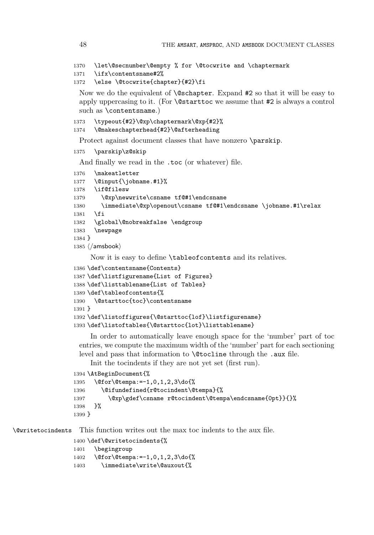```
1370 \let\@secnumber\@empty % for \@tocwrite and \chaptermark
```

```
1371 \ifx\contentsname#2%
```

```
1372 \else \@tocwrite{chapter}{#2}\fi
```
Now we do the equivalent of \@schapter. Expand #2 so that it will be easy to apply uppercasing to it. (For \@starttoc we assume that #2 is always a control such as \contentsname.)

```
1373 \typeout{#2}\@xp\chaptermark\@xp{#2}%
1374 \@makeschapterhead{#2}\@afterheading
```
Protect against document classes that have nonzero \parskip.

```
1375 \parskip\z@skip
```
And finally we read in the .toc (or whatever) file.

```
1376 \makeatletter
1377 \@input{\jobname.#1}%
1378 \if@filesw
1379 \@xp\newwrite\csname tf@#1\endcsname
1380 \immediate\@xp\openout\csname tf@#1\endcsname \jobname.#1\relax
1381 \fi
1382 \global\@nobreakfalse \endgroup
1383 \newpage
1384 }
1385 \ \langle / \text{amshook} \rangle
```
Now it is easy to define \tableofcontents and its relatives.

```
1386 \def\contentsname{Contents}
1387 \def\listfigurename{List of Figures}
1388 \def\listtablename{List of Tables}
1389 \def\tableofcontents{%
1390 \@starttoc{toc}\contentsname
1391 }
1392 \def\listoffigures{\@starttoc{lof}\listfigurename}
1393 \def\listoftables{\@starttoc{lot}\listtablename}
```
In order to automatically leave enough space for the 'number' part of toc entries, we compute the maximum width of the 'number' part for each sectioning level and pass that information to \@tocline through the .aux file.

Init the tocindents if they are not yet set (first run).

```
1394 \AtBeginDocument{%
1395 \@for\@tempa:=-1,0,1,2,3\do{%
1396 \@ifundefined{r@tocindent\@tempa}{%
1397 \@xp\gdef\csname r@tocindent\@tempa\endcsname{0pt}}{}%
1398 }%
1399 }
```
\@writetocindents This function writes out the max toc indents to the aux file.

\def\@writetocindents{%

```
1401 \begingroup
```

```
1402 \@for\@tempa:=-1,0,1,2,3\do{%
```

```
1403 \immediate\write\@auxout{%
```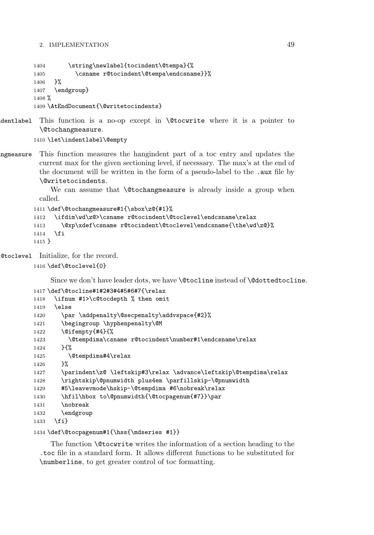1404 \string\newlabel{tocindent\@tempa}{% 1405 \csname r@tocindent\@tempa\endcsname}}% 1406 }% 1407 \endgroup} 1408 % 1409 \AtEndDocument{\@writetocindents}

ndentlabel This function is a no-op except in \@tocwrite where it is a pointer to \@tochangmeasure.

1410 \let\indentlabel\@empty

angmeasure This function measures the hangindent part of a toc entry and updates the current max for the given sectioning level, if necessary. The max's at the end of the document will be written in the form of a pseudo-label to the .aux file by \@writetocindents.

> We can assume that **\@tochangmeasure** is already inside a group when called.

```
1411 \def\@tochangmeasure#1{\sbox\z@{#1}%
1412 \ifdim\wd\z@>\csname r@tocindent\@toclevel\endcsname\relax
1413 \@xp\xdef\csname r@tocindent\@toclevel\endcsname{\the\wd\z@}%
1414 \fi
1415 }
```
\@toclevel Initialize, for the record.

1416 \def\@toclevel{0}

Since we don't have leader dots, we have \@tocline instead of \@dottedtocline.

```
1417 \def\@tocline#1#2#3#4#5#6#7{\relax
1418 \ifnum #1>\c@tocdepth % then omit
1419 \else
1420 \par \addpenalty\@secpenalty\addvspace{#2}%
1421 \begingroup \hyphenpenalty\@M
1422 \@ifempty{#4}{%
1423 \@tempdima\csname r@tocindent\number#1\endcsname\relax
1424 }\{%
1425 \@tempdima#4\relax
1426 }%
1427 \parindent\z@ \leftskip#3\relax \advance\leftskip\@tempdima\relax
1428 \rightskip\@pnumwidth plus4em \parfillskip-\@pnumwidth
1429 #5\leavevmode\hskip-\@tempdima #6\nobreak\relax
1430 \hfil\hbox to\@pnumwidth{\@tocpagenum{#7}}\par
1431 \nobreak
1432 \endgroup
1433 \fi}
```
### 1434 \def\@tocpagenum#1{\hss{\mdseries #1}}

The function **\@tocwrite** writes the information of a section heading to the .toc file in a standard form. It allows different functions to be substituted for \numberline, to get greater control of toc formatting.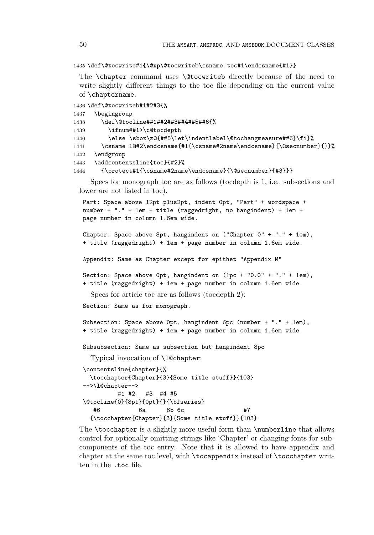1435 \def\@tocwrite#1{\@xp\@tocwriteb\csname toc#1\endcsname{#1}}

The \chapter command uses \@tocwriteb directly because of the need to write slightly different things to the toc file depending on the current value of \chaptername.

```
1436 \def\@tocwriteb#1#2#3{%
```

```
1437 \begingroup
1438 \def\@tocline##1##2##3##4##5##6{%
1439 \ifnum##1>\c@tocdepth
1440 \else \sbox\z@{##5\let\indentlabel\@tochangmeasure##6}\fi}%
1441 \csname l@#2\endcsname{#1{\csname#2name\endcsname}{\@secnumber}{}}%
1442 \endgroup
1443 \addcontentsline{toc}{#2}%
1444 {\protect#1{\csname#2name\endcsname}{\@secnumber}{#3}}}
```
Specs for monograph toc are as follows (tocdepth is 1, i.e., subsections and lower are not listed in toc).

```
Part: Space above 12pt plus2pt, indent 0pt, "Part" + wordspace +
number + "." + 1em + title (raggedright, no hangindent) + 1em +
page number in column 1.6em wide.
```

```
Chapter: Space above 8pt, hangindent on ("Chapter 0" + "." + 1em),
+ title (raggedright) + 1em + page number in column 1.6em wide.
```
Appendix: Same as Chapter except for epithet "Appendix M"

```
Section: Space above 0pt, hangindent on (1pc + "0.0" + "." + 1em),
+ title (raggedright) + 1em + page number in column 1.6em wide.
```
Specs for article toc are as follows (tocdepth 2):

Section: Same as for monograph.

```
Subsection: Space above 0pt, hangindent 6pc (number + "." + 1em),
+ title (raggedright) + 1em + page number in column 1.6em wide.
```
Subsubsection: Same as subsection but hangindent 8pc

Typical invocation of \l@chapter:

```
\contentsline{chapter}{%
 \tocchapter{Chapter}{3}{Some title stuff}}{103}
-->\l@chapter-->
        #1 #2 #3 #4 #5
\@tocline{0}{8pt}{0pt}{}{\bfseries}
  #6 6a 6b 6c #7
 {\tocchapter{Chapter}{3}{Some title stuff}}{103}
```
The \tocchapter is a slightly more useful form than \numberline that allows control for optionally omitting strings like 'Chapter' or changing fonts for subcomponents of the toc entry. Note that it is allowed to have appendix and chapter at the same toc level, with \tocappendix instead of \tocchapter written in the .toc file.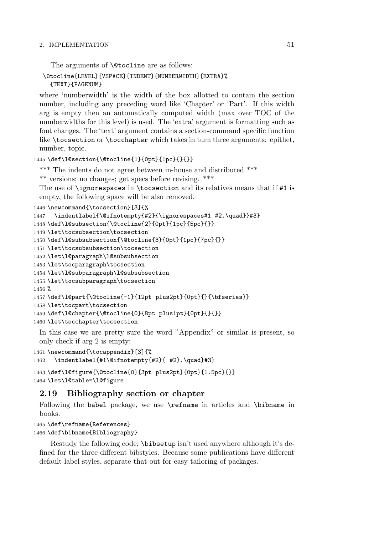The arguments of **\@tocline** are as follows:

## \@tocline{LEVEL}{VSPACE}{INDENT}{NUMBERWIDTH}{EXTRA}% {TEXT}{PAGENUM}

where 'numberwidth' is the width of the box allotted to contain the section number, including any preceding word like 'Chapter' or 'Part'. If this width arg is empty then an automatically computed width (max over TOC of the numberwidths for this level) is used. The 'extra' argument is formatting such as font changes. The 'text' argument contains a section-command specific function like \tocsection or \tocchapter which takes in turn three arguments: epithet, number, topic.

```
1445 \def\l@section{\@tocline{1}{0pt}{1pc}{}{}}
```
\*\*\* The indents do not agree between in-house and distributed \*\*\*

```
** versions; no changes; get specs before revising. ***
```
The use of  $\sigma$  ignorespaces in  $\text{tocsection}$  and its relatives means that if #1 is empty, the following space will be also removed.

```
1446 \newcommand{\tocsection}[3]{%
```

```
1447 \indentlabel{\@ifnotempty{#2}{\ignorespaces#1 #2.\quad}}#3}
1448 \def\l@subsection{\@tocline{2}{0pt}{1pc}{5pc}{}}
1449 \let\tocsubsection\tocsection
1450 \def\l@subsubsection{\@tocline{3}{0pt}{1pc}{7pc}{}}
1451 \let\tocsubsubsection\tocsection
1452 \let\l@paragraph\l@subsubsection
1453 \let\tocparagraph\tocsection
1454 \let\l@subparagraph\l@subsubsection
1455 \let\tocsubparagraph\tocsection
1456 %
1457 \def\l@part{\@tocline{-1}{12pt plus2pt}{0pt}{}{\bfseries}}
1458 \let\tocpart\tocsection
1459 \def\l@chapter{\@tocline{0}{8pt plus1pt}{0pt}{}{}}
1460 \let\tocchapter\tocsection
```
In this case we are pretty sure the word "Appendix" or similar is present, so only check if arg 2 is empty:

1461 \newcommand{\tocappendix}[3]{%

```
1462 \indentlabel{#1\@ifnotempty{#2}{ #2}.\quad}#3}
```

```
1463 \def\l@figure{\@tocline{0}{3pt plus2pt}{0pt}{1.5pc}{}}
1464 \let\l@table=\l@figure
```
# **2.19 Bibliography section or chapter**

Following the babel package, we use \refname in articles and \bibname in books.

```
1465 \def\refname{References}
1466 \def\bibname{Bibliography}
```
Restudy the following code; \bibsetup isn't used anywhere although it's defined for the three different bibstyles. Because some publications have different default label styles, separate that out for easy tailoring of packages.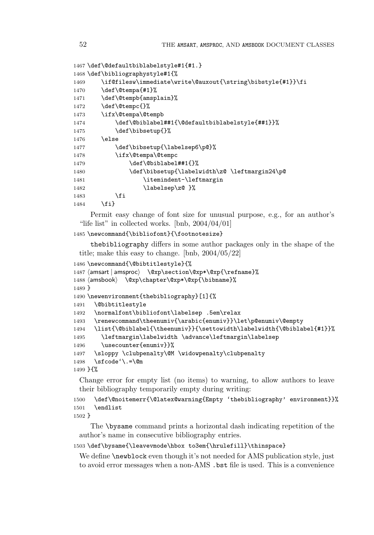```
1467 \def\@defaultbiblabelstyle#1{#1.}
1468 \def\bibliographystyle#1{%
1469 \if@filesw\immediate\write\@auxout{\string\bibstyle{#1}}\fi
1470 \def\@tempa{#1}%
1471 \def\@tempb{amsplain}%
1472 \def\@tempc{}%
1473 \ifx\@tempa\@tempb
1474 \def\@biblabel##1{\@defaultbiblabelstyle{##1}}%
1475 \def\bibsetup{}%
1476 \else
1477 \def\bibsetup{\labelsep6\p@}%
1478 \ifx\@tempa\@tempc
1479 \def\@biblabel##1{}%
1480 \def\bibsetup{\labelwidth\z@ \leftmargin24\p@
1481 \itemindent-\leftmargin
1482 \labelsep\z@ }%
1483 \fi
1484 \fi}
```
Permit easy change of font size for unusual purpose, e.g., for an author's "life list" in collected works. [bnb,  $2004/04/01$ ]

```
1485 \newcommand{\bibliofont}{\footnotesize}
```
thebibliography differs in some author packages only in the shape of the title; make this easy to change. [bnb, 2004/05/22]

```
1486 \newcommand{\@bibtitlestyle}{%
1487 \langle amsart | amsproc\rangle \@xp\section\@xp*\@xp{\refname}%
1488 (amsbook) \@xp\chapter\@xp*\@xp{\bibname}%
1489 }
1490 \newenvironment{thebibliography}[1]{%
1491 \@bibtitlestyle
1492 \normalfont\bibliofont\labelsep .5em\relax
1493 \renewcommand\theenumiv{\arabic{enumiv}}\let\p@enumiv\@empty
1494 \list{\@biblabel{\theenumiv}}{\settowidth\labelwidth{\@biblabel{#1}}%
1495 \leftmargin\labelwidth \advance\leftmargin\labelsep
1496 \usecounter{enumiv}}%
1497 \sloppy \clubpenalty\@M \widowpenalty\clubpenalty
1498 \sfcode'\.=\@m
1499 }{%
```
Change error for empty list (no items) to warning, to allow authors to leave their bibliography temporarily empty during writing:

```
1500 \def\@noitemerr{\@latex@warning{Empty 'thebibliography' environment}}%
1501 \endlist
```
1502 }

The \bysame command prints a horizontal dash indicating repetition of the author's name in consecutive bibliography entries.

1503\def\bysame{\leavevmode\hbox to3em{\hrulefill}\thinspace}

We define **\newblock** even though it's not needed for AMS publication style, just to avoid error messages when a non-AMS .bst file is used. This is a convenience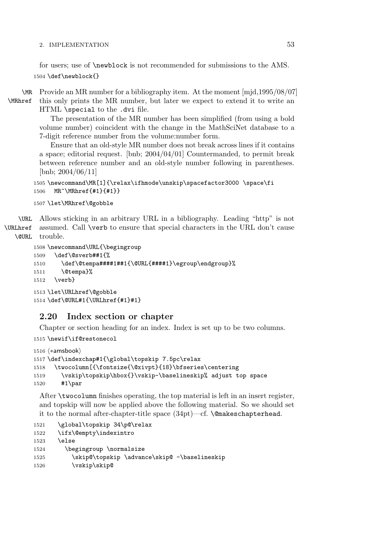for users; use of \newblock is not recommended for submissions to the AMS. 1504 \def\newblock{}

\MR Provide an MR number for a bibliography item. At the moment [mjd,1995/08/07]

\MRhref

this only prints the MR number, but later we expect to extend it to write an HTML \special to the .dvi file.

The presentation of the MR number has been simplified (from using a bold volume number) coincident with the change in the MathSciNet database to a 7-digit reference number from the volume:number form.

Ensure that an old-style MR number does not break across lines if it contains a space; editorial request. [bnb; 2004/04/01] Countermanded, to permit break between reference number and an old-style number following in parentheses. [bnb; 2004/06/11]

```
1505 \newcommand\MR[1]{\relax\ifhmode\unskip\spacefactor3000 \space\fi
1506 MR~\MRhref{#1}{#1}}
```
1507 \let\MRhref\@gobble

\URL \URLhref \@URL Allows sticking in an arbitrary URL in a bibliography. Leading "http" is not assumed. Call \verb to ensure that special characters in the URL don't cause trouble.

```
1508 \newcommand\URL{\begingroup
1509 \def\@sverb##1{%
1510 \def\@tempa####1##1{\@URL{####1}\egroup\endgroup}%
1511 \@tempa}%
1512 \verb}
1513 \let\URLhref\@gobble
1514 \def\@URL#1{\URLhref{#1}#1}
```
# **2.20 Index section or chapter**

Chapter or section heading for an index. Index is set up to be two columns.

```
1515 \newif\if@restonecol
```

```
1516 \; \langle *amsbook \rangle1517 \def\indexchap#1{\global\topskip 7.5pc\relax
1518 \twocolumn[{\fontsize{\@xivpt}{18}\bfseries\centering
1519 \vskip\topskip\hbox{}\vskip-\baselineskip% adjust top space
1520 #1\par
```
After \twocolumn finishes operating, the top material is left in an insert register, and topskip will now be applied above the following material. So we should set it to the normal after-chapter-title space  $(34pt)$ —cf. **\@makeschapterhead.** 

```
1521 \global\topskip 34\p@\relax
1522 \ifx\@empty\indexintro
1523 \else
1524 \begingroup \normalsize
1525 \skip@\topskip \advance\skip@ -\baselineskip
1526 \vskip\skip@
```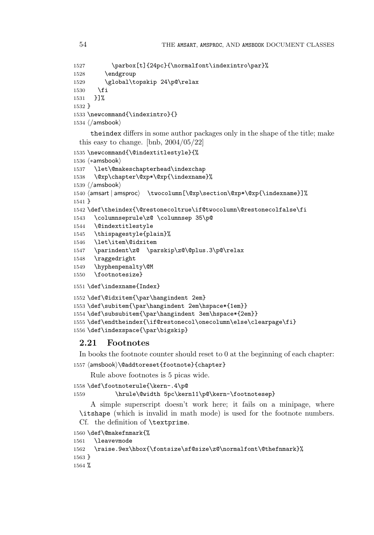```
1527 \parbox[t]{24pc}{\normalfont\indexintro\par}%
1528 \endgroup
1529 \global\topskip 24\p@\relax
1530 \fi
1531 }]%
1532 }
1533 \newcommand{\indexintro}{}
1534 \; \langle / \text{amshook} \rangletheindex differs in some author packages only in the shape of the title; make
 this easy to change. [bnb, 2004/05/22]
1535 \newcommand{\@indextitlestyle}{%
1536 \langle *amsbook \rangle1537 \let\@makeschapterhead\indexchap
1538 \@xp\chapter\@xp*\@xp{\indexname}%
1539 \; \langle / \text{amshook} \rangle1540 \langle amsart | amsproc\rangle \ \twoheadrightarrow\ \twocolumn[\@xp\section\@xp*\@xp{\indexname}] \1541 }
1542 \def\theindex{\@restonecoltrue\if@twocolumn\@restonecolfalse\fi
1543 \columnseprule\z@ \columnsep 35\p@
1544 \@indextitlestyle
1545 \thispagestyle{plain}%
1546 \let\item\@idxitem
1547 \parindent\z@ \parskip\z@\@plus.3\p@\relax
1548 \raggedright
1549 \hyphenpenalty\@M
1550 \footnotesize}
1551 \def\indexname{Index}
```

```
1552 \def\@idxitem{\par\hangindent 2em}
1553 \def\subitem{\par\hangindent 2em\hspace*{1em}}
1554 \def\subsubitem{\par\hangindent 3em\hspace*{2em}}
1555 \def\endtheindex{\if@restonecol\onecolumn\else\clearpage\fi}
1556 \def\indexspace{\par\bigskip}
```
## **2.21 Footnotes**

In books the footnote counter should reset to 0 at the beginning of each chapter:  $1557 \; \langle \textsf{andtoreset}\{\textsf{footnote}\} \{\textsf{chapter}\}$ 

Rule above footnotes is 5 picas wide.

```
1558 \def\footnoterule{\kern-.4\p@
1559 \hrule\@width 5pc\kern11\p@\kern-\footnotesep}
    A simple superscript doesn't work here; it fails on a minipage, where
 \itshape (which is invalid in math mode) is used for the footnote numbers.
 Cf. the definition of \textprime.
1560 \def\@makefnmark{%
1561 \leavevmode
1562 \raise.9ex\hbox{\fontsize\sf@size\z@\normalfont\@thefnmark}%
1563 }
```
%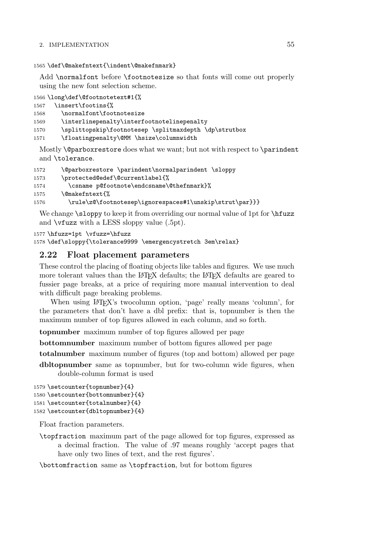1565 \def\@makefntext{\indent\@makefnmark}

Add \normalfont before \footnotesize so that fonts will come out properly using the new font selection scheme.

```
1566 \long\def\@footnotetext#1{%
1567 \insert\footins{%
1568 \normalfont\footnotesize
1569 \interlinepenalty\interfootnotelinepenalty
1570 \splittopskip\footnotesep \splitmaxdepth \dp\strutbox
1571 \floatingpenalty\@MM \hsize\columnwidth
```
Mostly \@parboxrestore does what we want; but not with respect to \parindent and \tolerance.

| 1572 | \@parboxrestore \parindent\normalparindent \sloppy      |
|------|---------------------------------------------------------|
| 1573 | \protected@edef\@currentlabel{%                         |
| 1574 | \csname p@footnote\endcsname\@thefnmark}%               |
| 1575 | \@makefntext{%                                          |
| 1576 | \rule\z@\footnotesep\ignorespaces#1\unskip\strut\par}}} |

We change \sloppy to keep it from overriding our normal value of 1pt for \hfuzz and \vfuzz with a LESS sloppy value (.5pt).

1577 \hfuzz=1pt \vfuzz=\hfuzz

1578 \def\sloppy{\tolerance9999 \emergencystretch 3em\relax}

## **2.22 Float placement parameters**

These control the placing of floating objects like tables and figures. We use much more tolerant values than the LAT<sub>EX</sub> defaults; the LAT<sub>EX</sub> defaults are geared to fussier page breaks, at a price of requiring more manual intervention to deal with difficult page breaking problems.

When using LAT<sub>EX</sub>'s two column option, 'page' really means 'column', for the parameters that don't have a dbl prefix: that is, topnumber is then the maximum number of top figures allowed in each column, and so forth.

**topnumber** maximum number of top figures allowed per page

**bottomnumber** maximum number of bottom figures allowed per page

**totalnumber** maximum number of figures (top and bottom) allowed per page

**dbltopnumber** same as topnumber, but for two-column wide figures, when double-column format is used

```
1579 \setcounter{topnumber}{4}
1580 \setcounter{bottomnumber}{4}
1581 \setcounter{totalnumber}{4}
1582 \setcounter{dbltopnumber}{4}
```
Float fraction parameters.

\topfraction maximum part of the page allowed for top figures, expressed as a decimal fraction. The value of .97 means roughly 'accept pages that have only two lines of text, and the rest figures'.

\bottomfraction same as \topfraction, but for bottom figures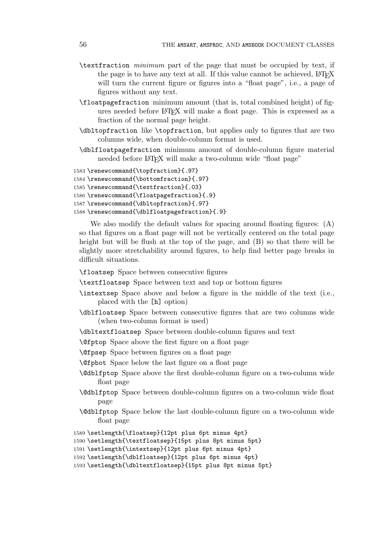- \textfraction minimum part of the page that must be occupied by text, if the page is to have any text at all. If this value cannot be achieved, LATEX will turn the current figure or figures into a "float page", i.e., a page of figures without any text.
- \floatpagefraction minimum amount (that is, total combined height) of figures needed before LAT<sub>EX</sub> will make a float page. This is expressed as a fraction of the normal page height.
- \dbltopfraction like \topfraction, but applies only to figures that are two columns wide, when double-column format is used.
- \dblfloatpagefraction minimum amount of double-column figure material needed before LAT<sub>EX</sub> will make a two-column wide "float page"

```
1583 \renewcommand{\topfraction}{.97}
1584 \renewcommand{\bottomfraction}{.97}
1585 \renewcommand{\textfraction}{.03}
1586 \renewcommand{\floatpagefraction}{.9}
1587 \renewcommand{\dbltopfraction}{.97}
```
1588 \renewcommand{\dblfloatpagefraction}{.9}

We also modify the default values for spacing around floating figures:  $(A)$ so that figures on a float page will not be vertically centered on the total page height but will be flush at the top of the page, and (B) so that there will be slightly more stretchability around figures, to help find better page breaks in difficult situations.

\floatsep Space between consecutive figures

\textfloatsep Space between text and top or bottom figures

- \intextsep Space above and below a figure in the middle of the text (i.e., placed with the [h] option)
- \dblfloatsep Space between consecutive figures that are two columns wide (when two-column format is used)
- \dbltextfloatsep Space between double-column figures and text
- \@fptop Space above the first figure on a float page

\@fpsep Space between figures on a float page

- \@fpbot Space below the last figure on a float page
- \@dblfptop Space above the first double-column figure on a two-column wide float page
- \@dblfptop Space between double-column figures on a two-column wide float page
- \@dblfptop Space below the last double-column figure on a two-column wide float page
- 1589 \setlength{\floatsep}{12pt plus 6pt minus 4pt}

```
1590 \setlength{\textfloatsep}{15pt plus 8pt minus 5pt}
```

```
1591 \setlength{\intextsep}{12pt plus 6pt minus 4pt}
```

```
1592 \setlength{\dblfloatsep}{12pt plus 6pt minus 4pt}
```

```
1593 \setlength{\dbltextfloatsep}{15pt plus 8pt minus 5pt}
```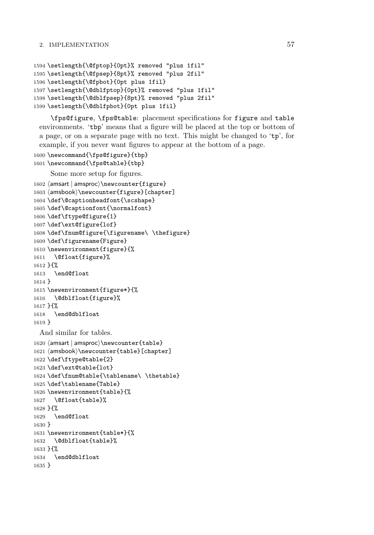```
1594 \setlength{\@fptop}{0pt}% removed "plus 1fil"
1595 \setlength{\@fpsep}{8pt}% removed "plus 2fil"
1596 \setlength{\@fpbot}{0pt plus 1fil}
1597 \setlength{\@dblfptop}{0pt}% removed "plus 1fil"
1598 \setlength{\@dblfpsep}{8pt}% removed "plus 2fil"
1599 \setlength{\@dblfpbot}{0pt plus 1fil}
```
\fps@figure, \fps@table: placement specifications for figure and table environments. 'tbp' means that a figure will be placed at the top or bottom of a page, or on a separate page with no text. This might be changed to 'tp', for example, if you never want figures to appear at the bottom of a page.

```
1600 \newcommand{\fps@figure}{tbp}
1601 \newcommand{\fps@table}{tbp}
```
Some more setup for figures.

```
1602 \langle amsart \vert amsproc\rangle\newcounter\{figure\}1603 \langleamsbook\rangle\newcounter\{figure\}[chapter]
1604 \def\@captionheadfont{\scshape}
1605 \def\@captionfont{\normalfont}
1606 \def\ftype@figure{1}
1607 \def\ext@figure{lof}
1608 \def\fnum@figure{\figurename\ \thefigure}
1609 \def\figurename{Figure}
1610 \newenvironment{figure}{%
1611 \@float{figure}%
1612 }{%
1613 \end@float
1614 }
1615 \newenvironment{figure*}{%
1616 \@dblfloat{figure}%
1617 }{%
1618 \end@dblfloat
1619 }
 And similar for tables.
1620 \text{ (amsart } amsproc) \neq \text{table}1621 \langle amsbook\rangle\newcounter\{table\}[chapter]
1622 \def\ftype@table{2}
1623 \def\ext@table{lot}
1624 \def\fnum@table{\tablename\ \thetable}
1625 \def\tablename{Table}
1626 \newenvironment{table}{%
1627 \@float{table}%
1628 }{%
1629 \end@float
1630 }
1631 \newenvironment{table*}{%
1632 \@dblfloat{table}%
1633 }{%
1634 \end@dblfloat
1635 }
```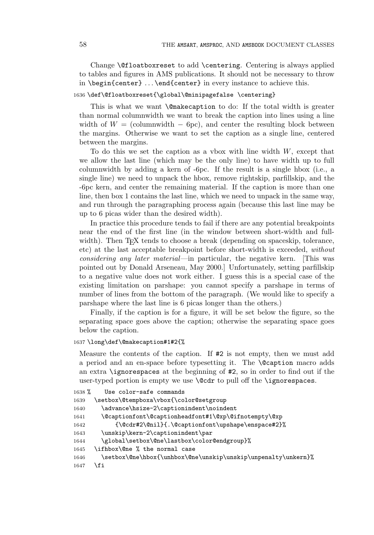Change \@floatboxreset to add \centering. Centering is always applied to tables and figures in AMS publications. It should not be necessary to throw in \begin{center} ... \end{center} in every instance to achieve this.

### 1636 \def\@floatboxreset{\global\@minipagefalse \centering}

This is what we want **\@makecaption** to do: If the total width is greater than normal columnwidth we want to break the caption into lines using a line width of  $W =$  (columnwidth  $-$  6pc), and center the resulting block between the margins. Otherwise we want to set the caption as a single line, centered between the margins.

To do this we set the caption as a vbox with line width  $W$ , except that we allow the last line (which may be the only line) to have width up to full columnwidth by adding a kern of -6pc. If the result is a single hbox (i.e., a single line) we need to unpack the hbox, remove rightskip, parfillskip, and the -6pc kern, and center the remaining material. If the caption is more than one line, then box 1 contains the last line, which we need to unpack in the same way, and run through the paragraphing process again (because this last line may be up to 6 picas wider than the desired width).

In practice this procedure tends to fail if there are any potential breakpoints near the end of the first line (in the window between short-width and fullwidth). Then T<sub>F</sub>X tends to choose a break (depending on spaceskip, tolerance, etc) at the last acceptable breakpoint before short-width is exceeded, without considering any later material—in particular, the negative kern. [This was pointed out by Donald Arseneau, May 2000.] Unfortunately, setting parfillskip to a negative value does not work either. I guess this is a special case of the existing limitation on parshape: you cannot specify a parshape in terms of number of lines from the bottom of the paragraph. (We would like to specify a parshape where the last line is 6 picas longer than the others.)

Finally, if the caption is for a figure, it will be set below the figure, so the separating space goes above the caption; otherwise the separating space goes below the caption.

### 1637 \long\def\@makecaption#1#2{%

Measure the contents of the caption. If #2 is not empty, then we must add a period and an en-space before typesetting it. The \@caption macro adds an extra \ignorespaces at the beginning of #2, so in order to find out if the user-typed portion is empty we use **\@cdr** to pull off the **\ignorespaces**.

```
1638 % Use color-safe commands
1639 \setbox\@tempboxa\vbox{\color@setgroup
1640 \advance\hsize-2\captionindent\noindent
1641 \@captionfont\@captionheadfont#1\@xp\@ifnotempty\@xp
1642 {\@cdr#2\@nil}{.\@captionfont\upshape\enspace#2}%
1643 \unskip\kern-2\captionindent\par
1644 \global\setbox\@ne\lastbox\color@endgroup}%
1645 \ifhbox\@ne % the normal case
1646 \setbox\@ne\hbox{\unhbox\@ne\unskip\unskip\unpenalty\unkern}%
1647 \fi
```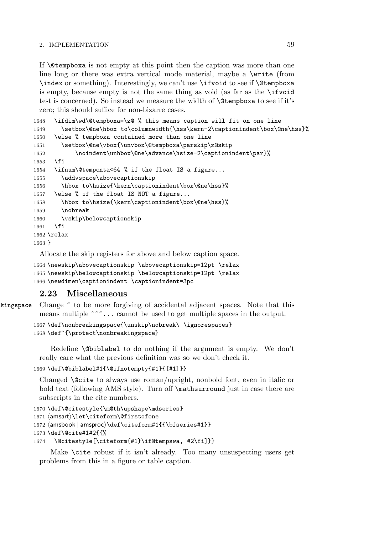If \@tempboxa is not empty at this point then the caption was more than one line long or there was extra vertical mode material, maybe a \write (from \index or something). Interestingly, we can't use \ifvoid to see if \@tempboxa is empty, because empty is not the same thing as void (as far as the \ifvoid test is concerned). So instead we measure the width of \@tempboxa to see if it's zero; this should suffice for non-bizarre cases.

```
1648 \ifdim\wd\@tempboxa=\z@ % this means caption will fit on one line
1649 \setbox\@ne\hbox to\columnwidth{\hss\kern-2\captionindent\box\@ne\hss}%
1650 \else % tempboxa contained more than one line
1651 \setbox\@ne\vbox{\unvbox\@tempboxa\parskip\z@skip
1652 \noindent\unhbox\@ne\advance\hsize-2\captionindent\par}%
1653 \fi
1654 \ifnum\@tempcnta<64 % if the float IS a figure...
1655 \addvspace\abovecaptionskip
1656 \hbox to\hsize{\kern\captionindent\box\@ne\hss}%
1657 \else % if the float IS NOT a figure...
1658 \hbox to\hsize{\kern\captionindent\box\@ne\hss}%
1659 \nobreak
1660 \vskip\belowcaptionskip
1661 \fi
1662 \relax
1663 }
```
Allocate the skip registers for above and below caption space.

1664 \newskip\abovecaptionskip \abovecaptionskip=12pt \relax 1665 \newskip\belowcaptionskip \belowcaptionskip=12pt \relax 1666 \newdimen\captionindent \captionindent=3pc

## **2.23 Miscellaneous**

```
kingspace Change \tilde{\phantom{a}} to be more forgiving of accidental adjacent spaces. Note that this
             means multiple \sim \sim... cannot be used to get multiple spaces in the output.
```

```
1667 \def\nonbreakingspace{\unskip\nobreak\ \ignorespaces}
1668 \def~{\protect\nonbreakingspace}
```
Redefine \@biblabel to do nothing if the argument is empty. We don't really care what the previous definition was so we don't check it.

```
1669 \def\@biblabel#1{\@ifnotempty{#1}{[#1]}}
```
Changed **\@cite** to always use roman/upright, nonbold font, even in italic or bold text (following AMS style). Turn off \mathsurround just in case there are subscripts in the cite numbers.

```
1670 \def\@citestyle{\m@th\upshape\mdseries}
1671 \mathrm{\text{on}}\text{-}1672 \text{ (amshook } amsproc)} \text{def} \text{corm#1}\{\text{bfseries#1}\}1673 \def\@cite#1#2{{%
1674 \@citestyle[\citeform{#1}\if@tempswa, #2\fi]}}
```
Make \cite robust if it isn't already. Too many unsuspecting users get problems from this in a figure or table caption.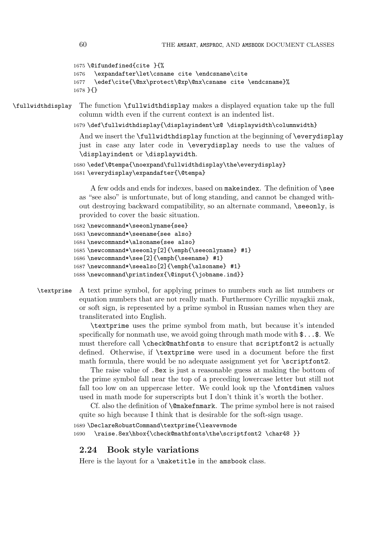```
1675 \@ifundefined{cite }{%
1676 \expandafter\let\csname cite \endcsname\cite
1677 \edef\cite{\@nx\protect\@xp\@nx\csname cite \endcsname}%
1678 }{}
```
\fullwidthdisplay The function \fullwidthdisplay makes a displayed equation take up the full column width even if the current context is an indented list.

1679 \def\fullwidthdisplay{\displayindent\z@ \displaywidth\columnwidth}

And we insert the \fullwidthdisplay function at the beginning of \everydisplay just in case any later code in \everydisplay needs to use the values of \displayindent or \displaywidth.

```
1680 \edef\@tempa{\noexpand\fullwidthdisplay\the\everydisplay}
1681 \everydisplay\expandafter{\@tempa}
```
A few odds and ends for indexes, based on makeindex. The definition of \see as "see also" is unfortunate, but of long standing, and cannot be changed without destroying backward compatibility, so an alternate command, \seeonly, is provided to cover the basic situation.

```
1682 \newcommand*\seeonlyname{see}
1683 \newcommand*\seename{see also}
1684 \newcommand*\alsoname{see also}
1685 \newcommand*\seeonly[2]{\emph{\seeonlyname} #1}
1686 \newcommand*\see[2]{\emph{\seename} #1}
1687 \newcommand*\seealso[2]{\emph{\alsoname} #1}
1688 \newcommand\printindex{\@input{\jobname.ind}}
```
# \textprime A text prime symbol, for applying primes to numbers such as list numbers or equation numbers that are not really math. Furthermore Cyrillic myagkii znak, or soft sign, is represented by a prime symbol in Russian names when they are transliterated into English.

\textprime uses the prime symbol from math, but because it's intended specifically for nonmath use, we avoid going through math mode with  $\mathfrak{F} \dots \mathfrak{F}$ . We must therefore call \check@mathfonts to ensure that scriptfont2 is actually defined. Otherwise, if \textprime were used in a document before the first math formula, there would be no adequate assignment yet for **\scriptfont2**.

The raise value of .8ex is just a reasonable guess at making the bottom of the prime symbol fall near the top of a preceding lowercase letter but still not fall too low on an uppercase letter. We could look up the \fontdimen values used in math mode for superscripts but I don't think it's worth the bother.

Cf. also the definition of \@makefnmark. The prime symbol here is not raised quite so high because I think that is desirable for the soft-sign usage.

1689 \DeclareRobustCommand\textprime{\leavevmode 1690 \raise.8ex\hbox{\check@mathfonts\the\scriptfont2 \char48 }}

### **2.24 Book style variations**

Here is the layout for a  $\text{th}$  and  $\text{th}$  in the amsbook class.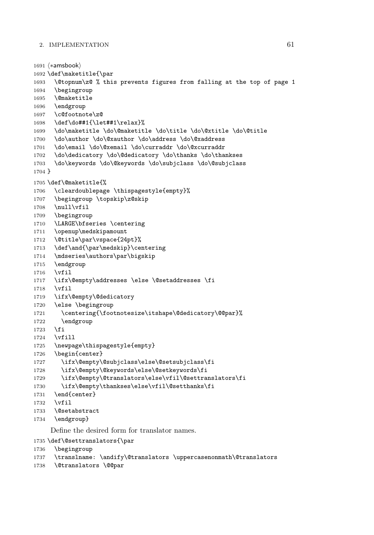```
1691 \n\left\langle \ast \text{amshook} \right\rangle1692 \def\maketitle{\par
1693 \@topnum\z@ % this prevents figures from falling at the top of page 1
1694 \begingroup
1695 \@maketitle
1696 \endgroup
1697 \c@footnote\z@
1698 \def\do##1{\let##1\relax}%
1699 \do\maketitle \do\@maketitle \do\title \do\@xtitle \do\@title
1700 \do\author \do\@xauthor \do\address \do\@xaddress
1701 \do\email \do\@xemail \do\curraddr \do\@xcurraddr
1702 \do\dedicatory \do\@dedicatory \do\thanks \do\thankses
1703 \do\keywords \do\@keywords \do\subjclass \do\@subjclass
1704 }
1705 \def\@maketitle{%
1706 \cleardoublepage \thispagestyle{empty}%
1707 \begingroup \topskip\z@skip
1708 \null\vfil
1709 \begingroup
1710 \LARGE\bfseries \centering
1711 \openup\medskipamount
1712 \@title\par\vspace{24pt}%
1713 \def\and{\par\medskip}\centering
1714 \mdseries\authors\par\bigskip
1715 \endgroup
1716 \vfil
1717 \ifx\@empty\addresses \else \@setaddresses \fi
1718 \vfil
1719 \ifx\@empty\@dedicatory
1720 \else \begingroup
1721 \centering{\footnotesize\itshape\@dedicatory\@@par}%
1722 \endgroup
1723 \fi
1724 \vfill
1725 \newpage\thispagestyle{empty}
1726 \begin{center}
1727 \ifx\@empty\@subjclass\else\@setsubjclass\fi
1728 \ifx\@empty\@keywords\else\@setkeywords\fi
1729 \ifx\@empty\@translators\else\vfil\@settranslators\fi
1730 \ifx\@empty\thankses\else\vfil\@setthanks\fi
1731 \end{center}
1732 \vfil
1733 \@setabstract
1734 \endgroup}
    Define the desired form for translator names.
```
\def\@settranslators{\par

```
1736 \begingroup
```

```
1737 \translname: \andify\@translators \uppercasenonmath\@translators
```

```
1738 \@translators \@@par
```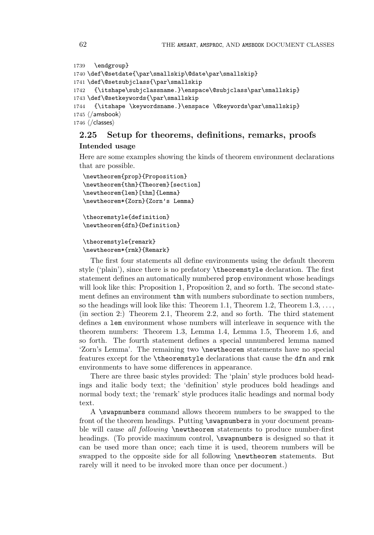```
1739 \endgroup}
1740 \def\@setdate{\par\smallskip\@date\par\smallskip}
1741 \def\@setsubjclass{\par\smallskip
1742 {\itshape\subjclassname.}\enspace\@subjclass\par\smallskip}
1743 \def\@setkeywords{\par\smallskip
1744 {\itshape \keywordsname.}\enspace \@keywords\par\smallskip}
1745 \langle / \text{amsbook} \rangle1746 \ \langle/classes\rangle
```
# **2.25 Setup for theorems, definitions, remarks, proofs Intended usage**

Here are some examples showing the kinds of theorem environment declarations that are possible.

```
\newtheorem{prop}{Proposition}
\newtheorem{thm}{Theorem}[section]
\newtheorem{lem}[thm]{Lemma}
\newtheorem*{Zorn}{Zorn's Lemma}
```

```
\theoremstyle{definition}
\newtheorem{dfn}{Definition}
```
### \theoremstyle{remark} \newtheorem\*{rmk}{Remark}

The first four statements all define environments using the default theorem style ('plain'), since there is no prefatory \theoremstyle declaration. The first statement defines an automatically numbered prop environment whose headings will look like this: Proposition 1, Proposition 2, and so forth. The second statement defines an environment thm with numbers subordinate to section numbers, so the headings will look like this: Theorem 1.1, Theorem 1.2, Theorem  $1.3, \ldots$ , (in section 2:) Theorem 2.1, Theorem 2.2, and so forth. The third statement defines a lem environment whose numbers will interleave in sequence with the theorem numbers: Theorem 1.3, Lemma 1.4, Lemma 1.5, Theorem 1.6, and so forth. The fourth statement defines a special unnumbered lemma named 'Zorn's Lemma'. The remaining two \newtheorem statements have no special features except for the \theoremstyle declarations that cause the dfn and rmk environments to have some differences in appearance.

There are three basic styles provided: The 'plain' style produces bold headings and italic body text; the 'definition' style produces bold headings and normal body text; the 'remark' style produces italic headings and normal body text.

A \swapnumbers command allows theorem numbers to be swapped to the front of the theorem headings. Putting \swapnumbers in your document preamble will cause all following **\newtheorem** statements to produce number-first headings. (To provide maximum control, \swapnumbers is designed so that it can be used more than once; each time it is used, theorem numbers will be swapped to the opposite side for all following \newtheorem statements. But rarely will it need to be invoked more than once per document.)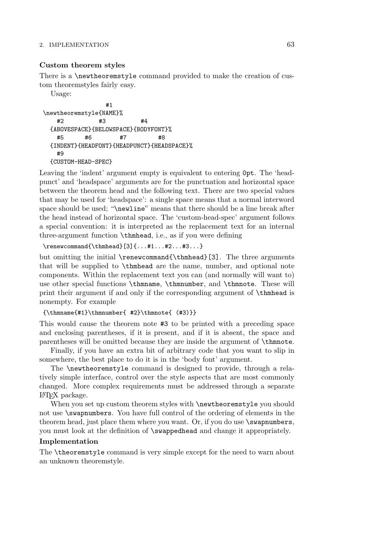### **Custom theorem styles**

There is a \newtheoremstyle command provided to make the creation of custom theoremstyles fairly easy.

Usage:

#1 \newtheoremstyle{NAME}% #2 #3 #4 {ABOVESPACE}{BELOWSPACE}{BODYFONT}% #5 #6 #7 #8 {INDENT}{HEADFONT}{HEADPUNCT}{HEADSPACE}% #9 {CUSTOM-HEAD-SPEC}

Leaving the 'indent' argument empty is equivalent to entering 0pt. The 'headpunct' and 'headspace' arguments are for the punctuation and horizontal space between the theorem head and the following text. There are two special values that may be used for 'headspace': a single space means that a normal interword space should be used; "\newline" means that there should be a line break after the head instead of horizontal space. The 'custom-head-spec' argument follows a special convention: it is interpreted as the replacement text for an internal three-argument function \thmhead, i.e., as if you were defining

\renewcommand{\thmhead}[3]{...#1...#2...#3...}

but omitting the initial \renewcommand{\thmhead}[3]. The three arguments that will be supplied to \thmhead are the name, number, and optional note components. Within the replacement text you can (and normally will want to) use other special functions \thmname, \thmnumber, and \thmnote. These will print their argument if and only if the corresponding argument of \thmhead is nonempty. For example

### ${\thmname{#1}\thmumber{ #2}\thmnote{ (#3)}\}$

This would cause the theorem note #3 to be printed with a preceding space and enclosing parentheses, if it is present, and if it is absent, the space and parentheses will be omitted because they are inside the argument of \thmnote.

Finally, if you have an extra bit of arbitrary code that you want to slip in somewhere, the best place to do it is in the 'body font' argument.

The \newtheoremstyle command is designed to provide, through a relatively simple interface, control over the style aspects that are most commonly changed. More complex requirements must be addressed through a separate LATEX package.

When you set up custom theorem styles with  $\newcommand{\mbox}{\mbox{a}x\mbox{b}y\mbox{b}}$  when you should not use \swapnumbers. You have full control of the ordering of elements in the theorem head, just place them where you want. Or, if you do use \swapnumbers, you must look at the definition of \swappedhead and change it appropriately.

### **Implementation**

The \theoremstyle command is very simple except for the need to warn about an unknown theoremstyle.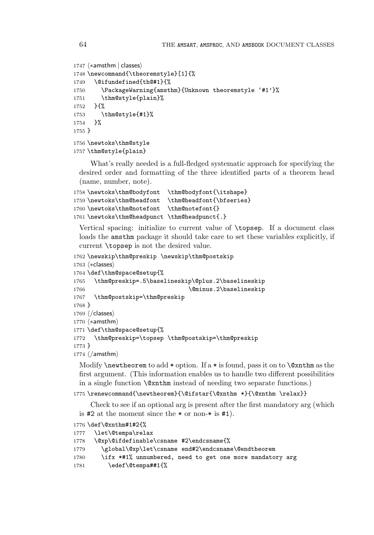```
1747 \langle *amsthm \mid classes \rangle1748 \newcommand{\theoremstyle}[1]{%
1749 \@ifundefined{th@#1}{%
1750 \PackageWarning{amsthm}{Unknown theoremstyle '#1'}%
1751 \thm@style{plain}%
1752 }{%
1753 \thm@style{#1}%
1754 }%
1755 }
1756 \newtoks\thm@style
1757 \thm@style{plain}
```
What's really needed is a full-fledged systematic approach for specifying the desired order and formatting of the three identified parts of a theorem head (name, number, note).

```
1758 \newtoks\thm@bodyfont \thm@bodyfont{\itshape}
1759 \newtoks\thm@headfont \thm@headfont{\bfseries}
1760 \newtoks\thm@notefont \thm@notefont{}
1761 \newtoks\thm@headpunct \thm@headpunct{.}
```
Vertical spacing: initialize to current value of \topsep. If a document class loads the amsthm package it should take care to set these variables explicitly, if current \topsep is not the desired value.

```
1762 \newskip\thm@preskip \newskip\thm@postskip
1763 \n\left\langle *\text{classes} \right\rangle1764 \def\thm@space@setup{%
1765 \thm@preskip=.5\baselineskip\@plus.2\baselineskip
1766 \@minus.2\baselineskip
1767 \thm@postskip=\thm@preskip
1768 }
1769 \; \langle / \textsf{classes} \rangle1770 \; \langle *amsthm \rangle1771 \def\thm@space@setup{%
1772 \thm@preskip=\topsep \thm@postskip=\thm@preskip
1773 }
1774 \langle/amsthm\rangle
```
Modify  $\neq$  to add \* option. If a \* is found, pass it on to  $\&$ xnthm as the first argument. (This information enables us to handle two different possibilities in a single function \@xnthm instead of needing two separate functions.)

### 1775\renewcommand{\newtheorem}{\@ifstar{\@xnthm \*}{\@xnthm \relax}}

Check to see if an optional arg is present after the first mandatory arg (which is #2 at the moment since the \* or non-\* is #1).

```
1776 \def\@xnthm#1#2{%
1777 \let\@tempa\relax
1778 \@xp\@ifdefinable\csname #2\endcsname{%
1779 \global\@xp\let\csname end#2\endcsname\@endtheorem
1780 \ifx *#1% unnumbered, need to get one more mandatory arg
1781 \edef\@tempa##1{%
```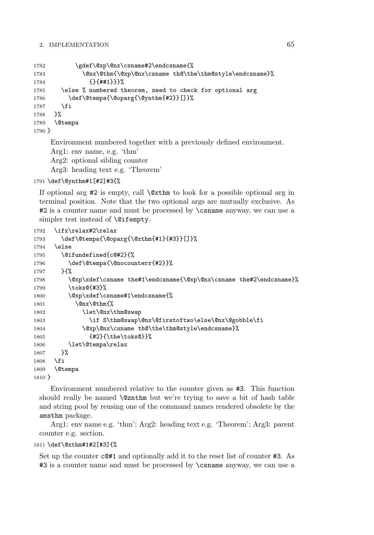| 1782   | \gdef\@xp\@nx\csname#2\endcsname{%                                   |
|--------|----------------------------------------------------------------------|
| 1783   | \@nx\@thm{\@xp\@nx\csname th@\the\thm@style\endcsname}%              |
| 1784   | ${ }$ {}{##1}}}%                                                     |
| 1785   | \else % numbered theorem, need to check for optional arg             |
| 1786   | \def\@tempa{\@oparg{\@ynthm{#2}}[]}%                                 |
| 1787   | \fi                                                                  |
| 1788   | ጉ%                                                                   |
| 1789   | <b>\@tempa</b>                                                       |
| 1790 } |                                                                      |
|        | Environment numbered together with a previously defined environment. |

Arg1: env name, e.g. 'thm'

Arg2: optional sibling counter

Arg3: heading text e.g. 'Theorem'

#### 1791 \def\@ynthm#1[#2]#3{%

If optional arg  $\#2$  is empty, call  $\&$ xthm to look for a possible optional arg in terminal position. Note that the two optional args are mutually exclusive. As #2 is a counter name and must be processed by \csname anyway, we can use a simpler test instead of **\@ifempty**.

```
1792 \ifx\relax#2\relax
1793 \def\@tempa{\@oparg{\@xthm{#1}{#3}}[]}%
1794 \else
1795 \@ifundefined{c@#2}{%
1796 \def\@tempa{\@nocounterr{#2}}%
1797 }{%
1798 \@xp\xdef\csname the#1\endcsname{\@xp\@nx\csname the#2\endcsname}%
1799 \toks@{#3}%
1800 \@xp\xdef\csname#1\endcsname{%
1801 \@nx\@thm{%
1802 \let\@nx\thm@swap
1803 \if S\thm@swap\@nx\@firstoftwo\else\@nx\@gobble\fi
1804 \@xp\@nx\csname th@\the\thm@style\endcsname}%
1805 {#2}{\the\toks@}}%
1806 \let\@tempa\relax
1807 }%
1808 \fi
1809 \@tempa
1810 }
```
Environment numbered relative to the counter given as #3. This function should really be named \@znthm but we're trying to save a bit of hash table and string pool by reusing one of the command names rendered obsolete by the amsthm package.

Arg1: env name e.g. 'thm'; Arg2: heading text e.g. 'Theorem'; Arg3: parent counter e.g. section.

1811 \def\@xthm#1#2[#3]{%

Set up the counter  $c@#1$  and optionally add it to the reset list of counter  $#3$ . As #3 is a counter name and must be processed by \csname anyway, we can use a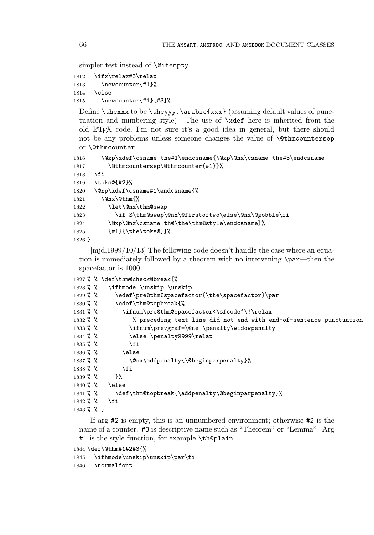simpler test instead of **\@ifempty**.

```
1812 \ifx\relax#3\relax
1813 \newcounter{#1}%
1814 \else
1815 \newcounter{#1}[#3]%
```
Define \thexxx to be \theyyy. \arabic{xxx} (assuming default values of punctuation and numbering style). The use of \xdef here is inherited from the old LATEX code, I'm not sure it's a good idea in general, but there should not be any problems unless someone changes the value of  $\&th$ ncountersep or \@thmcounter.

```
1816 \@xp\xdef\csname the#1\endcsname{\@xp\@nx\csname the#3\endcsname
1817 \@thmcountersep\@thmcounter{#1}}%
1818 \fi
1819 \toks@{#2}%
1820 \@xp\xdef\csname#1\endcsname{%
1821 \@nx\@thm{%
1822 \let\@nx\thm@swap
1823 \if S\thm@swap\@nx\@firstoftwo\else\@nx\@gobble\fi
1824 \@xp\@nx\csname th@\the\thm@style\endcsname}%
1825 {#1}{\the\toks@}}%
1826 }
```
[mjd,1999/10/13] The following code doesn't handle the case where an equation is immediately followed by a theorem with no intervening \par—then the spacefactor is 1000.

```
1827 % % \def\thm@check@break{%
1828 % % \ifhmode \unskip \unskip
1829 % % \edef\pre@thm@spacefactor{\the\spacefactor}\par
1830 % % \edef\thm@topbreak{%
1831 % % \ifnum\pre@thm@spacefactor<\sfcode'\!\relax
1832 % % % % % preceding text line did not end with end-of-sentence punctuation
1833 % % \ifnum\prevgraf=\@ne \penalty\widowpenalty
1834 % \text{le} \pquad \text{y9999}\text{relax}1835 % % \fi
1836 % % \else
1837 % % \@nx\addpenalty{\@beginparpenalty}%
1838 % % \fi
1839 % % }%
1840 % % \else
1841 % % \def\thm@topbreak{\addpenalty\@beginparpenalty}%
1842 % % \fi
1843 % % }
```
If arg #2 is empty, this is an unnumbered environment; otherwise #2 is the name of a counter. #3 is descriptive name such as "Theorem" or "Lemma". Arg #1 is the style function, for example \th@plain.

```
1844 \def\@thm#1#2#3{%
```
1845 \ifhmode\unskip\unskip\par\fi

1846 \normalfont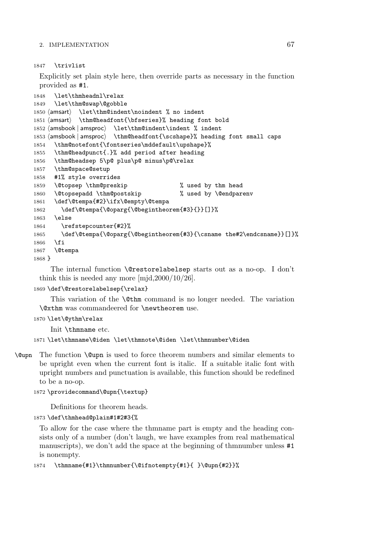1847 \trivlist

Explicitly set plain style here, then override parts as necessary in the function provided as #1.

```
1848 \let\thmheadnl\relax
1849 \let\thm@swap\@gobble
1850 \; \langleamsart\rangle\let\thm@indent\noindent % no indent
1851 \langle amsart\rangle \thm@headfont{\bf \bf series}, heading font bold
1852 \langleamsbook | amsproc\rangle\let\thm@indent\indent % indent
1853 \langle \text{amshook} | \text{amsproc} \rangle<br>1854 \thm@notefont{\f
                        \thm@headfont{\scshape}% heading font small caps
      \thm@notefont{\fontseries\mddefault\upshape}%
1855 \thm@headpunct{.}% add period after heading
1856 \thm@headsep 5\p@ plus\p@ minus\p@\relax
1857 \thm@space@setup
1858 #1% style overrides
1859 \@topsep \thm@preskip % used by thm head
1860 \@topsepadd \thm@postskip % used by \@endparenv
1861 \def\@tempa{#2}\ifx\@empty\@tempa
1862 \def\@tempa{\@oparg{\@begintheorem{#3}{}}[]}%
1863 \else
1864 \refstepcounter{#2}%
1865 \def\@tempa{\@oparg{\@begintheorem{#3}{\csname the#2\endcsname}}[]}%
1866 \fi
1867 \@tempa
1868 }
```
The internal function \@restorelabelsep starts out as a no-op. I don't think this is needed any more [mjd,2000/10/26].

```
1869 \def\@restorelabelsep{\relax}
```
This variation of the \@thm command is no longer needed. The variation \@xthm was commandeered for \newtheorem use.

```
1870 \let\@ythm\relax
```
Init \thmname etc.

```
1871 \let\thmname\@iden \let\thmnote\@iden \let\thmnumber\@iden
```
\@upn The function \@upn is used to force theorem numbers and similar elements to be upright even when the current font is italic. If a suitable italic font with upright numbers and punctuation is available, this function should be redefined to be a no-op.

```
1872 \providecommand\@upn{\textup}
```
Definitions for theorem heads.

```
1873 \def\thmhead@plain#1#2#3{%
```
To allow for the case where the thmname part is empty and the heading consists only of a number (don't laugh, we have examples from real mathematical manuscripts), we don't add the space at the beginning of thmnumber unless  $#1$ is nonempty.

```
1874 \thmname{#1}\thmnumber{\@ifnotempty{#1}{ }\@upn{#2}}%
```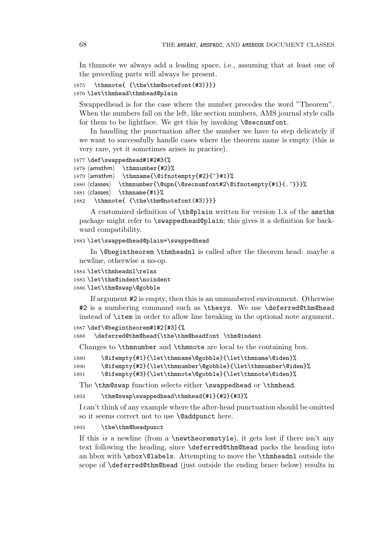In thmnote we always add a leading space, i.e., assuming that at least one of the preceding parts will always be present.

```
1875 \thmnote{ {\the\thm@notefont(#3)}}}
1876 \let\thmhead\thmhead@plain
```
Swappedhead is for the case where the number precedes the word "Theorem". When the numbers fall on the left, like section numbers, AMS journal style calls for them to be lightface. We get this by invoking **\@secnumfont**.

In handling the punctuation after the number we have to step delicately if we want to successfully handle cases where the theorem name is empty (this is very rare, yet it sometimes arises in practice).

```
1877 \def\swappedhead#1#2#3{%
```

```
1878 \; \langle \mathsf{amsthm} \rangle\thmnumber{#2}%
1879 \; \langle \mathsf{amsthm} \rangleamsthm \thmname{\@ifnotempty{#2}{~}#1}%
1880 \langle \text{classes} \rangle\thmnumber{\@upn{\@secnumfont#2\@ifnotempty{#1}{.~}}}%
1881 \langle classes\rangle<br>1882 \angle thmno
                    classes \thmname{#1}%
         \thmnote{ {\the\thm@notefont(#3)}}}
```
A customized definition of \th@plain written for version 1.x of the amsthm package might refer to \swappedhead@plain; this gives it a definition for backward compatibility.

## 1883 \let\swappedhead@plain=\swappedhead

In \@begintheorem \thmheadnl is called after the theorem head: maybe a newline, otherwise a no-op.

```
1884 \let\thmheadnl\relax
1885 \let\thm@indent\noindent
1886 \let\thm@swap\@gobble
```
If argument #2 is empty, then this is an unnumbered environment. Otherwise #2 is a numbering command such as \thexyz. We use \deferred@thm@head instead of \item in order to allow line breaking in the optional note argument.

```
1887 \def\@begintheorem#1#2[#3]{%
1888 \deferred@thm@head{\the\thm@headfont \thm@indent
```
Changes to \thmnumber and \thmnote are local to the containing box.

```
1889 \@ifempty{#1}{\let\thmname\@gobble}{\let\thmname\@iden}%
```

```
1890 \@ifempty{#2}{\let\thmnumber\@gobble}{\let\thmnumber\@iden}%
```

```
1891 \@ifempty{#3}{\let\thmnote\@gobble}{\let\thmnote\@iden}%
```
The \thm@swap function selects either \swappedhead or \thmhead.

1892 \thm@swap\swappedhead\thmhead{#1}{#2}{#3}%

I can't think of any example where the after-head punctuation should be omitted so it seems correct not to use **\@addpunct** here.

### 1893 \the\thm@headpunct

If this is a newline (from a  $\newcommand{\mbox}{\mbox{a}}$  \newtheoremstyle), it gets lost if there isn't any text following the heading, since \deferred@thm@head packs the heading into an hbox with \sbox\@labels. Attempting to move the \thmheadnl outside the scope of \deferred@thm@head (just outside the ending brace below) results in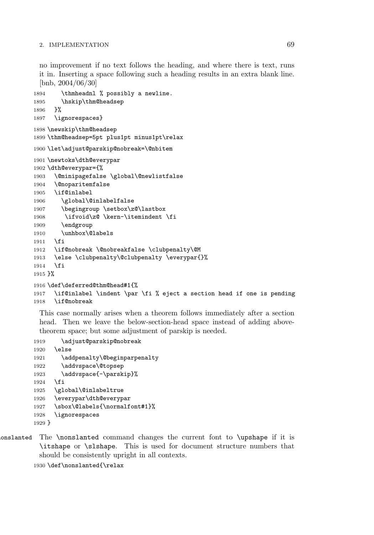no improvement if no text follows the heading, and where there is text, runs it in. Inserting a space following such a heading results in an extra blank line. [bnb, 2004/06/30]

```
1894 \thmheadnl % possibly a newline.
1895 \hskip\thm@headsep
1896 }%
1897 \ignorespaces}
1898 \newskip\thm@headsep
1899 \thm@headsep=5pt plus1pt minus1pt\relax
1900 \let\adjust@parskip@nobreak=\@nbitem
1901 \newtoks\dth@everypar
1902 \dth@everypar={%
1903 \@minipagefalse \global\@newlistfalse
1904 \@noparitemfalse
1905 \if@inlabel
1906 \global\@inlabelfalse
1907 \begingroup \setbox\z@\lastbox
1908 \ifvoid\z@ \kern-\itemindent \fi
1909 \endgroup
1910 \unhbox\@labels
1911 \fi
1912 \if@nobreak \@nobreakfalse \clubpenalty\@M
1913 \else \clubpenalty\@clubpenalty \everypar{}%
1914 \fi
1915 }%
1916 \def\deferred@thm@head#1{%
1917 \if@inlabel \indent \par \fi % eject a section head if one is pending
1918 \if@nobreak
```
This case normally arises when a theorem follows immediately after a section head. Then we leave the below-section-head space instead of adding abovetheorem space; but some adjustment of parskip is needed.

```
1919 \adjust@parskip@nobreak
1920 \else
1921 \addpenalty\@beginparpenalty
1922 \addvspace\@topsep
1923 \addvspace{-\parskip}%
1924 \fi
1925 \global\@inlabeltrue
1926 \everypar\dth@everypar
1927 \sbox\@labels{\normalfont#1}%
1928 \ignorespaces
1929 }
```
nonslanted The \nonslanted command changes the current font to \upshape if it is \itshape or \slshape. This is used for document structure numbers that should be consistently upright in all contexts.

```
1930 \def\nonslanted{\relax
```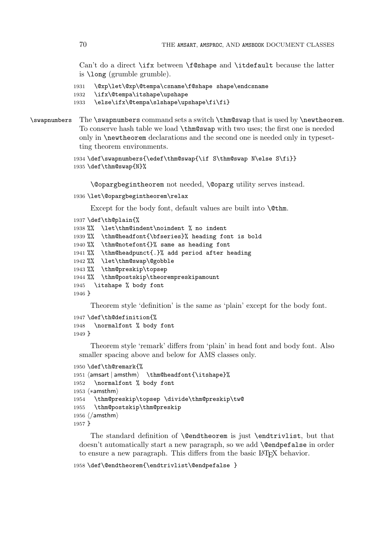Can't do a direct \ifx between \f@shape and \itdefault because the latter is \long (grumble grumble).

```
1931 \@xp\let\@xp\@tempa\csname\f@shape shape\endcsname
```

```
1932 \ifx\@tempa\itshape\upshape
```

```
1933 \else\ifx\@tempa\slshape\upshape\fi\fi}
```

```
\swapnumbers The \swapnumbers command sets a switch \thm@swap that is used by \newtheorem.
              To conserve hash table we load \thm@swap with two uses; the first one is needed
              only in \newtheorem declarations and the second one is needed only in typeset-
              ting theorem environments.
```

```
1934 \def\swapnumbers{\edef\thm@swap{\if S\thm@swap N\else S\fi}}
1935 \def\thm@swap{N}%
```
\@opargbegintheorem not needed, \@oparg utility serves instead.

```
1936 \let\@opargbegintheorem\relax
```
Except for the body font, default values are built into **\@thm.** 

```
1937 \def\th@plain{%
1938 %% \let\thm@indent\noindent % no indent
1939 %% \thm@headfont{\bfseries}% heading font is bold
1940 %% \thm@notefont{}% same as heading font
1941 %% \thm@headpunct{.}% add period after heading
1942 %% \let\thm@swap\@gobble
1943%% \thm@preskip\topsep
1944 %% \thm@postskip\theorempreskipamount
1945 \itshape % body font
1946 }
```
Theorem style 'definition' is the same as 'plain' except for the body font.

```
1947 \def\th@definition{%
1948 \normalfont % body font
1949 }
```
Theorem style 'remark' differs from 'plain' in head font and body font. Also smaller spacing above and below for AMS classes only.

```
1950 \def\th@remark{%
1951 \{\ansart | amsthm\} \thm@headfont{\itshape}%
1952 \normalfont % body font
1953 \langle *amsthm \rangle1954 \thm@preskip\topsep \divide\thm@preskip\tw@
1955 \thm@postskip\thm@preskip
1956 \langle/amsthm\rangle1957 }
```
The standard definition of **\@endtheorem** is just **\endtrivlist**, but that doesn't automatically start a new paragraph, so we add **\@endpefalse** in order to ensure a new paragraph. This differs from the basic LAT<sub>EX</sub> behavior.

```
1958 \def\@endtheorem{\endtrivlist\@endpefalse }
```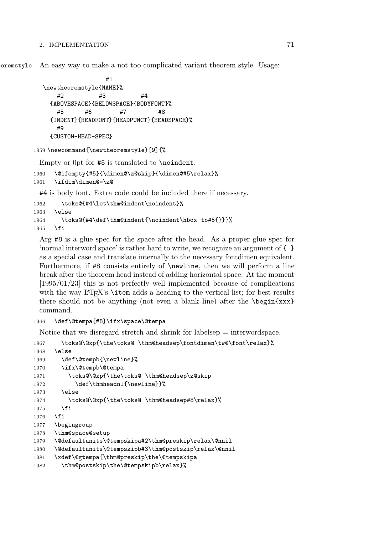eoremstyle An easy way to make a not too complicated variant theorem style. Usage:

```
#1
\newtheoremstyle{NAME}%
   #2 #3 #4
 {ABOVESPACE}{BELOWSPACE}{BODYFONT}%
   #5 #6 #7 #8
 {INDENT}{HEADFONT}{HEADPUNCT}{HEADSPACE}%
   #9
 {CUSTOM-HEAD-SPEC}
```

```
1959 \newcommand{\newtheoremstyle}[9]{%
```
Empty or 0pt for #5 is translated to \noindent.

```
1960 \@ifempty{#5}{\dimen@\z@skip}{\dimen@#5\relax}%
1961 \ifdim\dimen@=\z@
```
#4 is body font. Extra code could be included there if necessary.

```
1962 \toks@{#4\let\thm@indent\noindent}%
1963 \else
1964 \toks@{#4\def\thm@indent{\noindent\hbox to#5{}}}%
1965 \fi
```
Arg #8 is a glue spec for the space after the head. As a proper glue spec for 'normal interword space' is rather hard to write, we recognize an argument of { } as a special case and translate internally to the necessary fontdimen equivalent. Furthermore, if #8 consists entirely of \newline, then we will perform a line break after the theorem head instead of adding horizontal space. At the moment [1995/01/23] this is not perfectly well implemented because of complications with the way  $\mathbb{E}T_F X$ 's  $\text{item adds a heading to the vertical list; for best results}$ there should not be anything (not even a blank line) after the  $\begin{array}{c} \begin{array}{c} \text{begin} x \end{array} \end{array}$ command.

```
1966 \def\@tempa{#8}\ifx\space\@tempa
```
Notice that we disregard stretch and shrink for labelsep = interwordspace.

```
1967 \toks@\@xp{\the\toks@ \thm@headsep\fontdimen\tw@\font\relax}%
1968 \else
1969 \def\@tempb{\newline}%
1970 \ifx\@tempb\@tempa
1971 \toks@\@xp{\the\toks@ \thm@headsep\z@skip
1972 \def\thmheadnl{\newline}}%
1973 \else
1974 \toks@\@xp{\the\toks@ \thm@headsep#8\relax}%
1975 \fi
1976 \fi
1977 \begingroup
1978 \thm@space@setup
1979 \@defaultunits\@tempskipa#2\thm@preskip\relax\@nnil
1980 \@defaultunits\@tempskipb#3\thm@postskip\relax\@nnil
1981 \xdef\@gtempa{\thm@preskip\the\@tempskipa
1982 \thm@postskip\the\@tempskipb\relax}%
```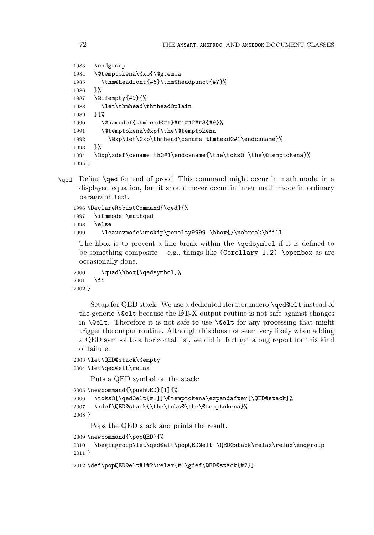```
1983 \endgroup
1984 \@temptokena\@xp{\@gtempa
1985 \thm@headfont{#6}\thm@headpunct{#7}%
1986 }%
1987 \@ifempty{#9}{%
1988 \let\thmhead\thmhead@plain
1989 }{%
1990 \@namedef{thmhead@#1}##1##2##3{#9}%
1991 \@temptokena\@xp{\the\@temptokena
1992 \@xp\let\@xp\thmhead\csname thmhead@#1\endcsname}%
1993 }%
1994 \@xp\xdef\csname th@#1\endcsname{\the\toks@ \the\@temptokena}%
1995 }
```
\qed Define \qed for end of proof. This command might occur in math mode, in a displayed equation, but it should never occur in inner math mode in ordinary paragraph text.

```
1996 \DeclareRobustCommand{\qed}{%
1997 \ifmmode \mathqed
1998 \else
1999 \leavevmode\unskip\penalty9999 \hbox{}\nobreak\hfill
```
The hbox is to prevent a line break within the \qedsymbol if it is defined to be something composite— e.g., things like (Corollary 1.2) \openbox as are occasionally done.

```
2000 \quad\hbox{\qedsymbol}%
2001 \fi
2002 }
```
Setup for QED stack. We use a dedicated iterator macro \qed@elt instead of the generic \@elt because the LATEX output routine is not safe against changes in **\@elt**. Therefore it is not safe to use **\@elt** for any processing that might trigger the output routine. Although this does not seem very likely when adding a QED symbol to a horizontal list, we did in fact get a bug report for this kind of failure.

```
2003 \let\QED@stack\@empty
2004 \let\qed@elt\relax
```
Puts a QED symbol on the stack:

```
2005 \newcommand{\pushQED}[1]{%
2006 \toks@{\qed@elt{#1}}\@temptokena\expandafter{\QED@stack}%
2007 \xdef\QED@stack{\the\toks@\the\@temptokena}%
2008 }
```
Pops the QED stack and prints the result.

```
2009 \newcommand{\popQED}{%
```

```
2010 \begingroup\let\qed@elt\popQED@elt \QED@stack\relax\relax\endgroup
2011 }
```

```
2012 \def\popQED@elt#1#2\relax{#1\gdef\QED@stack{#2}}
```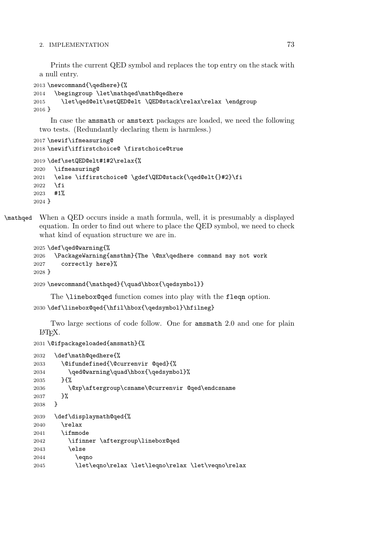Prints the current QED symbol and replaces the top entry on the stack with a null entry.

```
2013 \newcommand{\qedhere}{%
2014 \begingroup \let\mathqed\math@qedhere
2015 \let\qed@elt\setQED@elt \QED@stack\relax\relax \endgroup
2016 }
```
In case the amsmath or amstext packages are loaded, we need the following two tests. (Redundantly declaring them is harmless.)

```
2017 \newif\ifmeasuring@
2018 \newif\iffirstchoice@ \firstchoice@true
2019 \def\setQED@elt#1#2\relax{%
2020 \ifmeasuring@
2021 \else \iffirstchoice@ \gdef\QED@stack{\qed@elt{}#2}\fi
2022 \fi
2023 #1%
2024 }
```
\mathqed When a QED occurs inside a math formula, well, it is presumably a displayed equation. In order to find out where to place the QED symbol, we need to check what kind of equation structure we are in.

```
2025 \def\qed@warning{%
2026 \PackageWarning{amsthm}{The \@nx\qedhere command may not work
2027 correctly here}%
2028 }
```

```
2029 \newcommand{\mathqed}{\quad\hbox{\qedsymbol}}
```
The **\linebox@qed** function comes into play with the fleqn option.

```
2030 \def\linebox@qed{\hfil\hbox{\qedsymbol}\hfilneg}
```
Two large sections of code follow. One for amsmath 2.0 and one for plain LATEX.

```
2031 \@ifpackageloaded{amsmath}{%
```

```
2032 \def\math@qedhere{%
2033 \@ifundefined{\@currenvir @qed}{%
2034 \qed@warning\quad\hbox{\qedsymbol}%
2035 }{%
2036 \@xp\aftergroup\csname\@currenvir @qed\endcsname
2037 }%
2038 }
2039 \def\displaymath@qed{%
2040 \relax
2041 \ifmmode
2042 \ifinner \aftergroup\linebox@qed
2043 \else
2044 \eqno
2045 \let\eqno\relax \let\leqno\relax \let\veqno\relax
```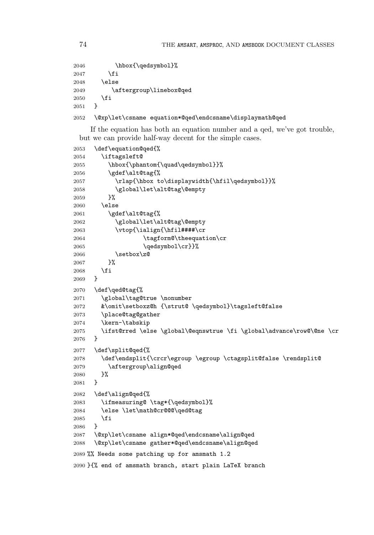```
2046 \hbox{\qedsymbol}%
2047 \fi
2048 \else
2049 \aftergroup\linebox@qed
2050 \fi<br>2051 }
2051 }
2052 \@xp\let\csname equation*@qed\endcsname\displaymath@qed
```
If the equation has both an equation number and a qed, we've got trouble, but we can provide half-way decent for the simple cases.

```
2053 \def\equation@qed{%
2054 \iftagsleft@
2055 \hbox{\phantom{\quad\qedsymbol}}%
2056 \gdef\alt@tag{%
2057 \rlap{\hbox to\displaywidth{\hfil\qedsymbol}}%
2058 \global\let\alt@tag\@empty
2059 }%
2060 \else
2061 \gdef\alt@tag{%
2062 \global\let\alt@tag\@empty
2063 \vtop{\ialign{\hfil####\cr
2064 \tagform@\theequation\cr
2065 \qedsymbol\cr}}%
2066 \setbox\z@
2067 }%
2068 \fi
2069 }
2070 \def\qed@tag{%
2071 \global\tag@true \nonumber
2072 &\omit\setboxz@h {\strut@ \qedsymbol}\tagsleft@false
2073 \place@tag@gather
2074 \kern-\tabskip
2075 \ifst@rred \else \global\@eqnswtrue \fi \global\advance\row@\@ne \cr
2076 }
2077 \def\split@qed{%
2078 \def\endsplit{\crcr\egroup \egroup \ctagsplit@false \rendsplit@
2079 \aftergroup\align@qed
2080 }%
2081
2082 \def\align@qed{%
2083 \ifmeasuring@ \tag*{\qedsymbol}%
2084 \else \let\math@cr@@@\qed@tag<br>2085 \fi
2085
2086 }
2087 \@xp\let\csname align*@qed\endcsname\align@qed
2088 \@xp\let\csname gather*@qed\endcsname\align@qed
2089 %% Needs some patching up for amsmath 1.2
2090 }{% end of amsmath branch, start plain LaTeX branch
```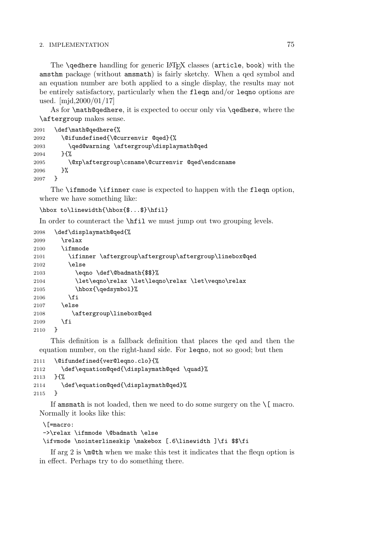#### 2. IMPLEMENTATION 75

The **\qedhere** handling for generic LAT<sub>EX</sub> classes (article, book) with the amsthm package (without amsmath) is fairly sketchy. When a qed symbol and an equation number are both applied to a single display, the results may not be entirely satisfactory, particularly when the fleqn and/or leqno options are used. [mjd,2000/01/17]

As for \math@qedhere, it is expected to occur only via \qedhere, where the \aftergroup makes sense.

```
2091 \def\math@qedhere{%
2092 \@ifundefined{\@currenvir @qed}{%
2093 \qed@warning \aftergroup\displaymath@qed
2094 }{%
2095 \@xp\aftergroup\csname\@currenvir @qed\endcsname
2096 }%
2097 }
```
The \ifmmode \ifinner case is expected to happen with the fleqn option, where we have something like:

```
\hbox to\linewidth{\hbox{$...$}\hfil}
```
In order to counteract the **\hist** we must jump out two grouping levels.

```
2098 \def\displaymath@qed{%
2099 \relax
2100 \ifmmode
2101 \ifinner \aftergroup\aftergroup\aftergroup\linebox@qed
2102 \else
2103 \eqno \def\@badmath{$$}%
2104 \let\eqno\relax \let\leqno\relax \let\veqno\relax
2105 \hbox{\qedsymbol}%
2106 \fi
2107 \else
2108 \aftergroup\linebox@qed
2109 \fi
2110 }
```
This definition is a fallback definition that places the qed and then the equation number, on the right-hand side. For leqno, not so good; but then

```
2111 \@ifundefined{ver@leqno.clo}{%
2112 \def\equation@qed{\displaymath@qed \quad}%
2113 }{%
2114 \def\equation@qed{\displaymath@qed}%
2115 }
```
If amsmath is not loaded, then we need to do some surgery on the  $\setminus$ [ macro. Normally it looks like this:

```
\[=macro:
->\relax \ifmmode \@badmath \else
\ifvmode \nointerlineskip \makebox [.6\linewidth ]\fi $$\fi
```
If arg 2 is \m@th when we make this test it indicates that the fleqn option is in effect. Perhaps try to do something there.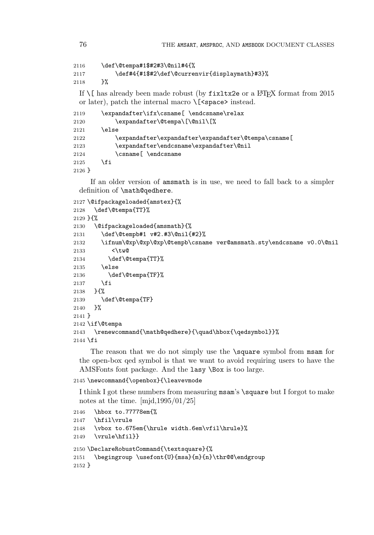```
2116 \def\@tempa#1$#2#3\@nil#4{%
2117 \def#4{#1$#2\def\@currenvir{displaymath}#3}%
```
}%

If  $\lceil \cdot \rceil$  has already been made robust (by fixltx2e or a LATEX format from 2015 or later), patch the internal macro  $\{\text{~sea}\}$  instead.

```
2119 \expandafter\ifx\csname[ \endcsname\relax
2120 \expandafter\@tempa\[\@nil\[%
2121 \else
2122 \expandafter\expandafter\expandafter\@tempa\csname[
2123 \expandafter\endcsname\expandafter\@nil
2124 \csname[ \endcsname
2125 \fi
2126 }
```
If an older version of amsmath is in use, we need to fall back to a simpler definition of \math@qedhere.

```
2127 \@ifpackageloaded{amstex}{%
2128 \def\@tempa{TT}%
2129 }{%
2130 \@ifpackageloaded{amsmath}{%
2131 \def\@tempb#1 v#2.#3\@nil{#2}%
2132 \ifnum\@xp\@xp\@xp\@tempb\csname ver@amsmath.sty\endcsname v0.0\@nil
2133 <\tw@
2134 \def\@tempa{TT}%
2135 \else
2136 \def\@tempa{TF}%
2137 \fi
2138 }{%
2139 \def\@tempa{TF}
2140 }%
2141 }
2142 \if\@tempa
2143 \renewcommand{\math@qedhere}{\quad\hbox{\qedsymbol}}%
2144 \fi
```
The reason that we do not simply use the \square symbol from msam for the open-box qed symbol is that we want to avoid requiring users to have the AMSFonts font package. And the lasy \Box is too large.

```
2145 \newcommand{\openbox}{\leavevmode
```
I think I got these numbers from measuring msam's \square but I forgot to make notes at the time. [mjd,1995/01/25]

```
2146 \hbox to.77778em{%
2147 \hfil\vrule
2148 \vbox to.675em{\hrule width.6em\vfil\hrule}%
2149 \vrule\hfil}}
2150 \DeclareRobustCommand{\textsquare}{%
2151 \begingroup \usefont{U}{msa}{m}{n}\thr@@\endgroup
2152 }
```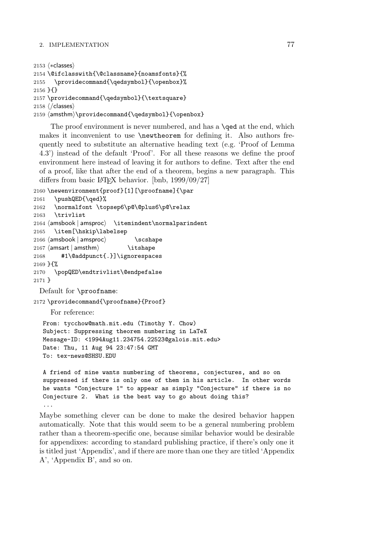### 2. IMPLEMENTATION 77

```
2153 \n\left\langle *\text{classes}\right\rangle2154 \@ifclasswith{\@classname}{noamsfonts}{%
2155 \providecommand{\qedsymbol}{\openbox}%
2156 }{}
2157 \providecommand{\qedsymbol}{\textsquare}
2158 \; \langle \text{/classes} \rangle2159 \text{ (amsthm)} \text{2159}
```
The proof environment is never numbered, and has a **\qed** at the end, which makes it inconvenient to use **\newtheorem** for defining it. Also authors frequently need to substitute an alternative heading text (e.g. 'Proof of Lemma 4.3') instead of the default 'Proof'. For all these reasons we define the proof environment here instead of leaving it for authors to define. Text after the end of a proof, like that after the end of a theorem, begins a new paragraph. This differs from basic LAT<sub>EX</sub> behavior. [bnb,  $1999/09/27$ ]

```
2160 \newenvironment{proof}[1][\proofname]{\par
```

```
2161 \pushQED{\qed}%
2162 \normalfont \topsep6\p@\@plus6\p@\relax
2163 \trivlist
2164 (amsbook | amsproc) \itemindent\normalparindent
2165 \item[\hskip\labelsep
2166 \langle \mathsf{amshook} \mid \mathsf{amsproc} \rangle \scshape
2167 \langleamsart | amsthm\rangle \itshape
2168 #1\@addpunct{.}]\ignorespaces
2169 }{%
2170 \popQED\endtrivlist\@endpefalse
2171 }
 Default for \proofname:
```
2172 \providecommand{\proofname}{Proof}

For reference:

From: tycchow@math.mit.edu (Timothy Y. Chow) Subject: Suppressing theorem numbering in LaTeX Message-ID: <1994Aug11.234754.22523@galois.mit.edu> Date: Thu, 11 Aug 94 23:47:54 GMT To: tex-news@SHSU.EDU

A friend of mine wants numbering of theorems, conjectures, and so on suppressed if there is only one of them in his article. In other words he wants "Conjecture 1" to appear as simply "Conjecture" if there is no Conjecture 2. What is the best way to go about doing this? ...

Maybe something clever can be done to make the desired behavior happen automatically. Note that this would seem to be a general numbering problem rather than a theorem-specific one, because similar behavior would be desirable for appendixes: according to standard publishing practice, if there's only one it is titled just 'Appendix', and if there are more than one they are titled 'Appendix A', 'Appendix B', and so on.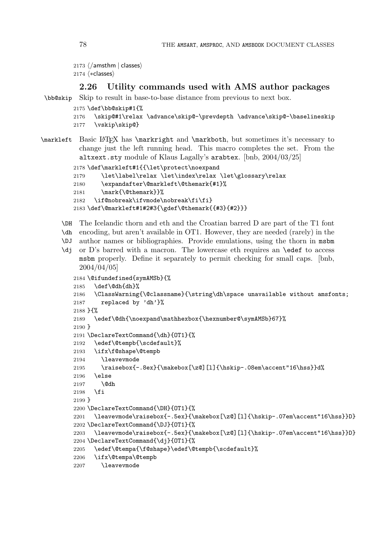```
\left| \begin{array}{c} 2173 \end{array} \right\langle / \textsf{amsthm} \mid \textsf{classes} \rangle2174 \langle * \text{classes} \rangle
```
# **2.26 Utility commands used with AMS author packages**

```
\bb@skip Skip to result in base-to-base distance from previous to next box.
```

```
2175 \def\bb@skip#1{%
2176 \skip@#1\relax \advance\skip@-\prevdepth \advance\skip@-\baselineskip
2177 \vskip\skip@}
```
\markleft Basic LATEX has \markright and \markboth, but sometimes it's necessary to change just the left running head. This macro completes the set. From the altxext.sty module of Klaus Lagally's arabtex. [bnb, 2004/03/25]

```
2178 \def\markleft#1{{\let\protect\noexpand
2179 \let\label\relax \let\index\relax \let\glossary\relax
2180 \expandafter\@markleft\@themark{#1}%
2181 \mark{\@themark}}%
2182 \if@nobreak\ifvmode\nobreak\fi\fi}
2183 \def\@markleft#1#2#3{\gdef\@themark{{#3}{#2}}}
```
- \DH The Icelandic thorn and eth and the Croatian barred D are part of the T1 font \dh encoding, but aren't available in OT1. However, they are needed (rarely) in the
- \DJ author names or bibliographies. Provide emulations, using the thorn in msbm
- \dj or D's barred with a macron. The lowercase eth requires an \edef to access msbm properly. Define it separately to permit checking for small caps. [bnb, 2004/04/05]

```
2184 \@ifundefined{symAMSb}{%
2185 \def\@dh{dh}%
2186 \ClassWarning{\@classname}{\string\dh\space unavailable without amsfonts;
2187 replaced by 'dh'}%
2188 }{%
2189 \edef\@dh{\noexpand\mathhexbox{\hexnumber@\symAMSb}67}%
2190 }
2191 \DeclareTextCommand{\dh}{OT1}{%
2192 \edef\@tempb{\scdefault}%
2193 \ifx\f@shape\@tempb
2194 \leavevmode
2195 \raisebox{-.8ex}{\makebox[\z@][l]{\hskip-.08em\accent"16\hss}}d%
2196 \else
2197 \@dh
2198 \fi
2199 }
2200 \DeclareTextCommand{\DH}{OT1}{%
2201 \leavevmode\raisebox{-.5ex}{\makebox[\z@][l]{\hskip-.07em\accent"16\hss}}D}
2202 \DeclareTextCommand{\DJ}{OT1}{%
2203 \leavevmode\raisebox{-.5ex}{\makebox[\z@][l]{\hskip-.07em\accent"16\hss}}D}
2204 \DeclareTextCommand{\dj}{OT1}{%
2205 \edef\@tempa{\f@shape}\edef\@tempb{\scdefault}%
2206 \ifx\@tempa\@tempb
2207 \leavevmode
```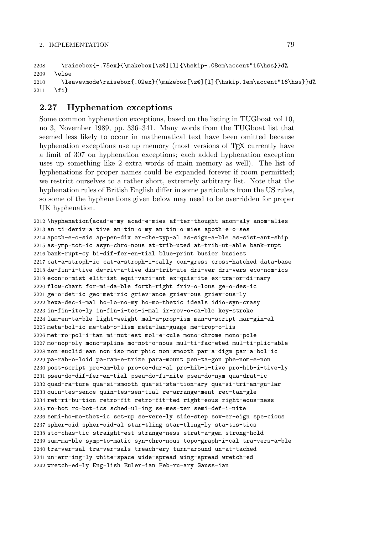```
2208 \raisebox{-.75ex}{\makebox[\z@][l]{\hskip-.08em\accent"16\hss}}d%
2209 \else
2210 \leavevmode\raisebox{.02ex}{\makebox[\z@][l]{\hskip.1em\accent"16\hss}}d%
2211 \fi}
```
# **2.27 Hyphenation exceptions**

Some common hyphenation exceptions, based on the listing in TUGboat vol 10, no 3, November 1989, pp. 336–341. Many words from the TUGboat list that seemed less likely to occur in mathematical text have been omitted because hyphenation exceptions use up memory (most versions of T<sub>E</sub>X currently have a limit of 307 on hyphenation exceptions; each added hyphenation exception uses up something like 2 extra words of main memory as well). The list of hyphenations for proper names could be expanded forever if room permitted; we restrict ourselves to a rather short, extremely arbitrary list. Note that the hyphenation rules of British English differ in some particulars from the US rules, so some of the hyphenations given below may need to be overridden for proper UK hyphenation.

 \hyphenation{acad-e-my acad-e-mies af-ter-thought anom-aly anom-alies an-ti-deriv-a-tive an-tin-o-my an-tin-o-mies apoth-e-o-ses apoth-e-o-sis ap-pen-dix ar-che-typ-al as-sign-a-ble as-sist-ant-ship as-ymp-tot-ic asyn-chro-nous at-trib-uted at-trib-ut-able bank-rupt bank-rupt-cy bi-dif-fer-en-tial blue-print busier busiest cat-a-stroph-ic cat-a-stroph-i-cally con-gress cross-hatched data-base de-fin-i-tive de-riv-a-tive dis-trib-ute dri-ver dri-vers eco-nom-ics econ-o-mist elit-ist equi-vari-ant ex-quis-ite ex-tra-or-di-nary flow-chart for-mi-da-ble forth-right friv-o-lous ge-o-des-ic ge-o-det-ic geo-met-ric griev-ance griev-ous griev-ous-ly hexa-dec-i-mal ho-lo-no-my ho-mo-thetic ideals idio-syn-crasy in-fin-ite-ly in-fin-i-tes-i-mal ir-rev-o-ca-ble key-stroke lam-en-ta-ble light-weight mal-a-prop-ism man-u-script mar-gin-al meta-bol-ic me-tab-o-lism meta-lan-guage me-trop-o-lis met-ro-pol-i-tan mi-nut-est mol-e-cule mono-chrome mono-pole mo-nop-oly mono-spline mo-not-o-nous mul-ti-fac-eted mul-ti-plic-able non-euclid-ean non-iso-mor-phic non-smooth par-a-digm par-a-bol-ic pa-rab-o-loid pa-ram-e-trize para-mount pen-ta-gon phe-nom-e-non post-script pre-am-ble pro-ce-dur-al pro-hib-i-tive pro-hib-i-tive-ly pseu-do-dif-fer-en-tial pseu-do-fi-nite pseu-do-nym qua-drat-ic quad-ra-ture qua-si-smooth qua-si-sta-tion-ary qua-si-tri-an-gu-lar quin-tes-sence quin-tes-sen-tial re-arrange-ment rec-tan-gle ret-ri-bu-tion retro-fit retro-fit-ted right-eous right-eous-ness ro-bot ro-bot-ics sched-ul-ing se-mes-ter semi-def-i-nite semi-ho-mo-thet-ic set-up se-vere-ly side-step sov-er-eign spe-cious spher-oid spher-oid-al star-tling star-tling-ly sta-tis-tics sto-chas-tic straight-est strange-ness strat-a-gem strong-hold sum-ma-ble symp-to-matic syn-chro-nous topo-graph-i-cal tra-vers-a-ble tra-ver-sal tra-ver-sals treach-ery turn-around un-at-tached un-err-ing-ly white-space wide-spread wing-spread wretch-ed wretch-ed-ly Eng-lish Euler-ian Feb-ru-ary Gauss-ian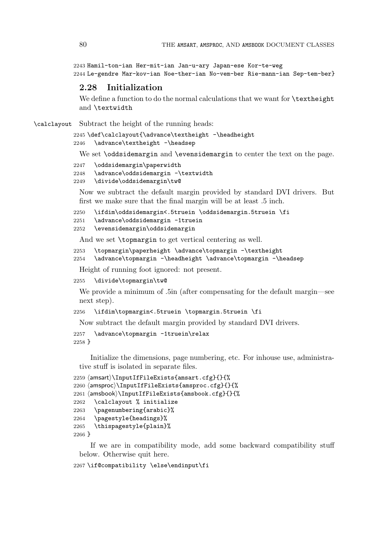2243 Hamil-ton-ian Her-mit-ian Jan-u-ary Japan-ese Kor-te-weg 2244 Le-gendre Mar-kov-ian Noe-ther-ian No-vem-ber Rie-mann-ian Sep-tem-ber}

# **2.28 Initialization**

We define a function to do the normal calculations that we want for \textheight and \textwidth

\calclayout Subtract the height of the running heads:

```
2245 \def\calclayout{\advance\textheight -\headheight
2246 \advance\textheight -\headsep
```
We set \oddsidemargin and \evensidemargin to center the text on the page.

```
2247 \oddsidemargin\paperwidth
```

```
2248 \advance\oddsidemargin -\textwidth
```
2249 \divide\oddsidemargin\tw@

Now we subtract the default margin provided by standard DVI drivers. But first we make sure that the final margin will be at least .5 inch.

```
2250 \ifdim\oddsidemargin<.5truein \oddsidemargin.5truein \fi
```

```
2251 \advance\oddsidemargin -1truein
```

```
2252 \evensidemargin\oddsidemargin
```
And we set \topmargin to get vertical centering as well.

2253 \topmargin\paperheight \advance\topmargin -\textheight

```
2254 \advance\topmargin -\headheight \advance\topmargin -\headsep
```
Height of running foot ignored: not present.

```
2255 \divide\topmargin\tw@
```
We provide a minimum of .5in (after compensating for the default margin—see next step).

```
2256 \ifdim\topmargin<.5truein \topmargin.5truein \fi
```
Now subtract the default margin provided by standard DVI drivers.

```
2257 \advance\topmargin -1truein\relax
2258 }
```
Initialize the dimensions, page numbering, etc. For inhouse use, administrative stuff is isolated in separate files.

```
2259 \langleamsart\rangle\InputIfFileExists{amsart.cfg}{}{%
2260 \langleamsproc\rangle\langleInputIfFileExists{amsproc.cfg}{}{%
2261 \langleamsbook\rangle\backslashInputIfFileExists\{amsbook.cfg\}{\}{\langle2262 \calclayout % initialize
2263 \pagenumbering{arabic}%
2264 \pagestyle{headings}%
2265 \thispagestyle{plain}%
2266 }
```
If we are in compatibility mode, add some backward compatibility stuff below. Otherwise quit here.

```
2267 \if@compatibility \else\endinput\fi
```